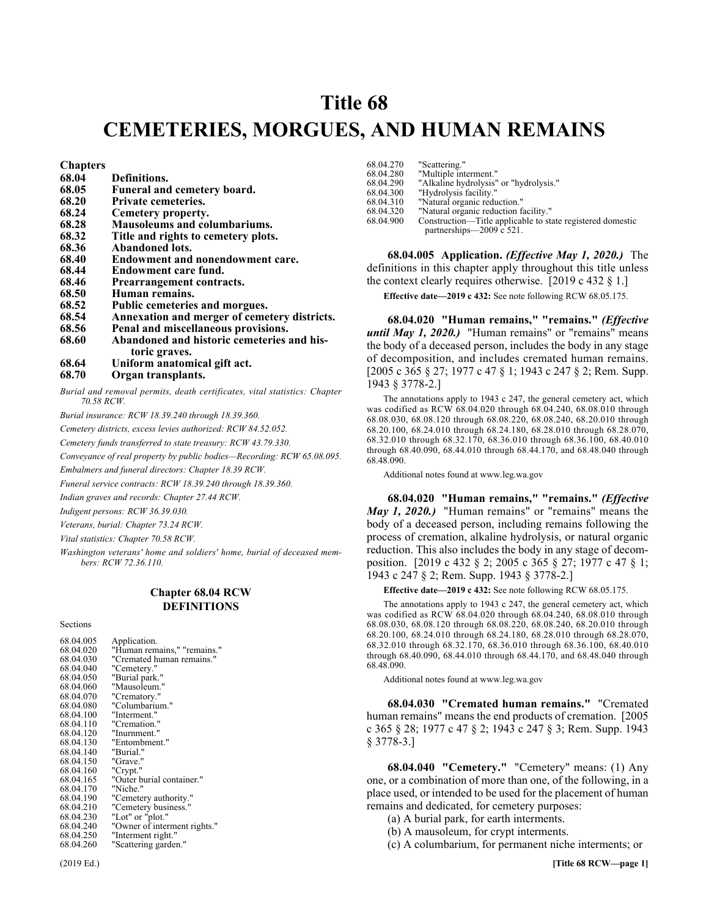# Title 68 **Title 68 CEMETERIES, MORGUES, AND HUMAN REMAINS**

**Chapters** 

- **68.04 Definitions. 68.05 Funeral and cemetery board. 68.20 Private cemeteries. 68.24 Cemetery property. 68.28 Mausoleums and columbariums. 68.32 Title and rights to cemetery plots. 68.36 Abandoned lots. 68.40 Endowment and nonendowment care. 68.44 Endowment care fund. 68.46 Prearrangement contracts. 68.50 Human remains. 68.52 Public cemeteries and morgues. 68.54 Annexation and merger of cemetery districts. 68.56 Penal and miscellaneous provisions.** Abandoned and historic cemeteries and his**toric graves. 68.64 Uniform anatomical gift act.**
- **68.70 Organ transplants.**

*Burial and removal permits, death certificates, vital statistics: Chapter 70.58 RCW.*

*Burial insurance: RCW 18.39.240 through 18.39.360.*

*Cemetery districts, excess levies authorized: RCW 84.52.052.*

*Cemetery funds transferred to state treasury: RCW 43.79.330.*

*Conveyance of real property by public bodies—Recording: RCW 65.08.095.*

*Embalmers and funeral directors: Chapter 18.39 RCW.*

*Funeral service contracts: RCW 18.39.240 through 18.39.360.*

*Indian graves and records: Chapter 27.44 RCW.*

*Indigent persons: RCW 36.39.030.*

*Veterans, burial: Chapter 73.24 RCW.*

*Vital statistics: Chapter 70.58 RCW.*

*Washington veterans' home and soldiers' home, burial of deceased members: RCW 72.36.110.*

# Chapter 68.04 **Chapter 68.04 RCW DEFINITIONS**

**Sections** 

| 68.04.005 | Application.                 |
|-----------|------------------------------|
| 68.04.020 | "Human remains," "remains."  |
| 68.04.030 | "Cremated human remains."    |
| 68.04.040 | "Cemetery."                  |
| 68.04.050 | "Burial park."               |
| 68.04.060 | "Mausoleum."                 |
| 68.04.070 | "Crematory."                 |
| 68.04.080 | "Columbarium."               |
| 68.04.100 | "Interment."                 |
| 68.04.110 | "Cremation."                 |
| 68.04.120 | "Inurnment."                 |
|           |                              |
| 68.04.130 | "Entombment."                |
| 68.04.140 | "Burial."                    |
| 68.04.150 | "Grave."                     |
| 68.04.160 | "Crypt."                     |
| 68.04.165 | "Outer burial container."    |
| 68.04.170 | "Niche."                     |
| 68.04.190 | "Cemetery authority."        |
| 68.04.210 | "Cemetery business."         |
| 68.04.230 | "Lot" or "plot."             |
| 68.04.240 | "Owner of interment rights." |
| 68.04.250 | "Interment right."           |
| 68.04.260 | "Scattering garden."         |
|           |                              |

| 68.04.270 | "Scattering."                                              |
|-----------|------------------------------------------------------------|
| 68.04.280 | "Multiple interment."                                      |
| 68.04.290 | "Alkaline hydrolysis" or "hydrolysis."                     |
| 68.04.300 | "Hydrolysis facility."                                     |
| 68.04.310 | "Natural organic reduction."                               |
| 68.04.320 | "Natural organic reduction facility."                      |
| 68.04.900 | Construction—Title applicable to state registered domestic |
|           | partnerships—2009 c 521.                                   |

68.04.005 68.04.005 Application. (Effective May 1, 2020.) **68.04.005 Application.** *(Effective May 1, 2020.)* The definitions in this chapter apply throughout this title unless the context clearly requires otherwise. [2019 c 432 § 1.]

**Effective date—2019 c 432:** See note following RCW 68.05.175.

68.04.020 "Human remains," "remains." *(Effective until May 1, 2020.)* "Human remains" or "remains" means the body of a deceased person, includes the body in any stage of decomposition, and includes cremated human remains. [2005 c 365 § 27; 1977 c 47 § 1; 1943 c 247 § 2; Rem. Supp. 1943 § 3778-2.]

The annotations apply to 1943 c 247, the general cemetery act, which was codified as RCW 68.04.020 through 68.04.240, 68.08.010 through 68.08.030, 68.08.120 through 68.08.220, 68.08.240, 68.20.010 through 68.20.100, 68.24.010 through 68.24.180, 68.28.010 through 68.28.070, 68.32.010 through 68.32.170, 68.36.010 through 68.36.100, 68.40.010 through 68.40.090, 68.44.010 through 68.44.170, and 68.48.040 through 68.48.090.

Additional notes found at www.leg.wa.gov

68.04.020 "Human remains," "remains." *(Effective May 1, 2020.)* "Human remains" or "remains" means the body of a deceased person, including remains following the process of cremation, alkaline hydrolysis, or natural organic reduction. This also includes the body in any stage of decomposition. [2019 c 432 § 2; 2005 c 365 § 27; 1977 c 47 § 1; 1943 c 247 § 2; Rem. Supp. 1943 § 3778-2.]

**Effective date—2019 c 432:** See note following RCW 68.05.175.

The annotations apply to 1943 c 247, the general cemetery act, which was codified as RCW 68.04.020 through 68.04.240, 68.08.010 through 68.08.030, 68.08.120 through 68.08.220, 68.08.240, 68.20.010 through 68.20.100, 68.24.010 through 68.24.180, 68.28.010 through 68.28.070, 68.32.010 through 68.32.170, 68.36.010 through 68.36.100, 68.40.010 through 68.40.090, 68.44.010 through 68.44.170, and 68.48.040 through 68.48.090.

Additional notes found at www.leg.wa.gov

68.04.030 68.04.030 "Cremated human remains." **68.04.030 "Cremated human remains."** "Cremated human remains" means the end products of cremation. [2005] c 365 § 28; 1977 c 47 § 2; 1943 c 247 § 3; Rem. Supp. 1943 § 3778-3.]

68.04.040 "Cemetery." "Cemetery" means: (1) Any one, or a combination of more than one, of the following, in a place used, or intended to be used for the placement of human remains and dedicated, for cemetery purposes:

(a) A burial park, for earth interments.

(b) A mausoleum, for crypt interments.

(c) A columbarium, for permanent niche interments; or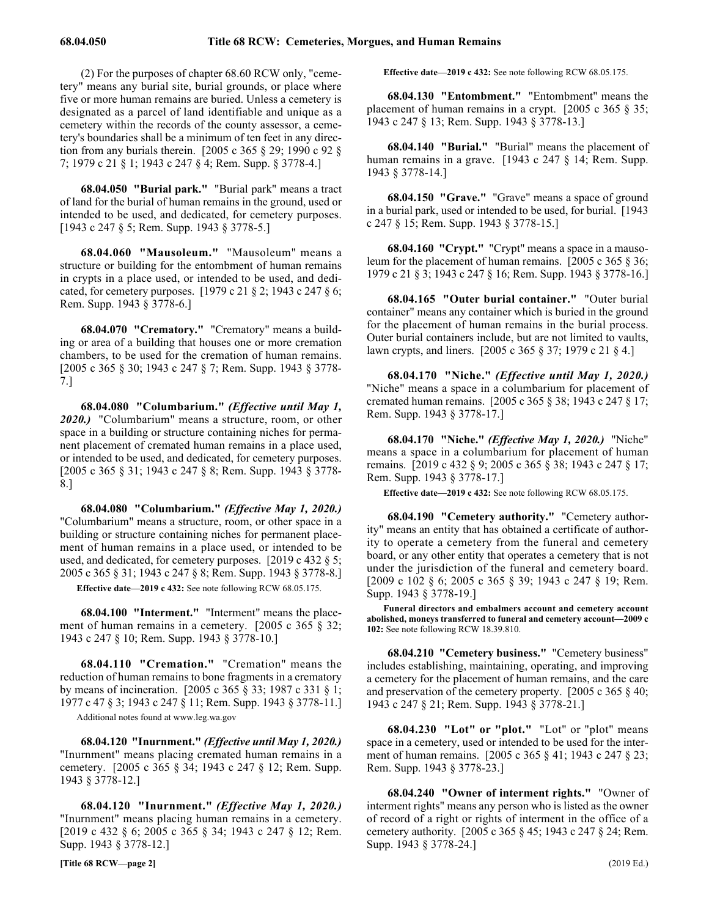(2) For the purposes of chapter 68.60 RCW only, "cemetery" means any burial site, burial grounds, or place where five or more human remains are buried. Unless a cemetery is designated as a parcel of land identifiable and unique as a cemetery within the records of the county assessor, a cemetery's boundaries shall be a minimum of ten feet in any direction from any burials therein. [2005 c 365 § 29; 1990 c 92 § 7; 1979 c 21 § 1; 1943 c 247 § 4; Rem. Supp. § 3778-4.]

68.04.050 "Burial park." "Burial park" means a tract of land for the burial of human remains in the ground, used or intended to be used, and dedicated, for cemetery purposes. [1943 c 247 § 5; Rem. Supp. 1943 § 3778-5.]

68.04.060 68.04.060 "Mausoleum." **68.04.060 "Mausoleum."** "Mausoleum" means a structure or building for the entombment of human remains in crypts in a place used, or intended to be used, and dedicated, for cemetery purposes. [1979 c 21 § 2; 1943 c 247 § 6; Rem. Supp. 1943 § 3778-6.]

68.04.070 "Crematory." "Crematory" means a building or area of a building that houses one or more cremation chambers, to be used for the cremation of human remains. [2005 c 365 § 30; 1943 c 247 § 7; Rem. Supp. 1943 § 3778- 7.]

68.04.080 68.04.080 "Columbarium." (Effective until May 1, 2020.) **68.04.080 "Columbarium."** *(Effective until May 1, 2020.)* "Columbarium" means a structure, room, or other space in a building or structure containing niches for permanent placement of cremated human remains in a place used, or intended to be used, and dedicated, for cemetery purposes. [2005 c 365 § 31; 1943 c 247 § 8; Rem. Supp. 1943 § 3778- 8.]

68.04.080 68.04.080 "Columbarium." (Effective May 1, 2020.) **68.04.080 "Columbarium."** *(Effective May 1, 2020.)* "Columbarium" means a structure, room, or other space in a building or structure containing niches for permanent placement of human remains in a place used, or intended to be used, and dedicated, for cemetery purposes. [2019 c 432 § 5; 2005 c 365 § 31; 1943 c 247 § 8; Rem. Supp. 1943 § 3778-8.]

**Effective date—2019 c 432:** See note following RCW 68.05.175.

68.04.100 "Interment." "Interment" means the placement of human remains in a cemetery. [2005 c 365 § 32; 1943 c 247 § 10; Rem. Supp. 1943 § 3778-10.]

68.04.110 68.04.110 "Cremation." **68.04.110 "Cremation."** "Cremation" means the reduction of human remains to bone fragments in a crematory by means of incineration. [2005 c 365 § 33; 1987 c 331 § 1; 1977 c 47 § 3; 1943 c 247 § 11; Rem. Supp. 1943 § 3778-11.]

Additional notes found at www.leg.wa.gov

68.04.120 68.04.120 "Inurnment." (Effective until May 1, 2020.) **68.04.120 "Inurnment."** *(Effective until May 1, 2020.)* "Inurnment" means placing cremated human remains in a cemetery. [2005 c 365 § 34; 1943 c 247 § 12; Rem. Supp. 1943 § 3778-12.]

68.04.120 68.04.120 "Inurnment." (Effective May 1, 2020.) **68.04.120 "Inurnment."** *(Effective May 1, 2020.)* "Inurnment" means placing human remains in a cemetery. [2019 c 432 § 6; 2005 c 365 § 34; 1943 c 247 § 12; Rem. Supp. 1943 § 3778-12.]

**Effective date—2019 c 432:** See note following RCW 68.05.175.

68.04.130 68.04.130 "Entombment." **68.04.130 "Entombment."** "Entombment" means the placement of human remains in a crypt. [2005 c 365 § 35; 1943 c 247 § 13; Rem. Supp. 1943 § 3778-13.]

68.04.140 68.04.140 "Burial." **68.04.140 "Burial."** "Burial" means the placement of human remains in a grave. [1943 c 247 § 14; Rem. Supp. 1943 § 3778-14.]

68.04.150 "Grave." "Grave" means a space of ground in a burial park, used or intended to be used, for burial. [1943 c 247 § 15; Rem. Supp. 1943 § 3778-15.]

68.04.160 "Crypt." "Crypt" means a space in a mausoleum for the placement of human remains. [2005 c 365 § 36; 1979 c 21 § 3; 1943 c 247 § 16; Rem. Supp. 1943 § 3778-16.]

68.04.165 "Outer burial container." "Outer burial container" means any container which is buried in the ground for the placement of human remains in the burial process. Outer burial containers include, but are not limited to vaults, lawn crypts, and liners. [2005 c 365 § 37; 1979 c 21 § 4.]

68.04.170 68.04.170 "Niche." (Effective until May 1, 2020.) **68.04.170 "Niche."** *(Effective until May 1, 2020.)* "Niche" means a space in a columbarium for placement of cremated human remains. [2005 c 365 § 38; 1943 c 247 § 17; Rem. Supp. 1943 § 3778-17.]

68.04.170 68.04.170 "Niche." (Effective May 1, 2020.) **68.04.170 "Niche."** *(Effective May 1, 2020.)* "Niche" means a space in a columbarium for placement of human remains. [2019 c 432 § 9; 2005 c 365 § 38; 1943 c 247 § 17; Rem. Supp. 1943 § 3778-17.]

**Effective date—2019 c 432:** See note following RCW 68.05.175.

68.04.190 "Cemetery authority." "Cemetery authority" means an entity that has obtained a certificate of authority to operate a cemetery from the funeral and cemetery board, or any other entity that operates a cemetery that is not under the jurisdiction of the funeral and cemetery board. [2009 c 102 § 6; 2005 c 365 § 39; 1943 c 247 § 19; Rem. Supp. 1943 § 3778-19.]

**Funeral directors and embalmers account and cemetery account abolished, moneys transferred to funeral and cemetery account—2009 c 102:** See note following RCW 18.39.810.

68.04.210 68.04.210 "Cemetery business." **68.04.210 "Cemetery business."** "Cemetery business" includes establishing, maintaining, operating, and improving a cemetery for the placement of human remains, and the care and preservation of the cemetery property. [2005 c 365 § 40; 1943 c 247 § 21; Rem. Supp. 1943 § 3778-21.]

68.04.230 68.04.230 "Lot" or "plot." **68.04.230 "Lot" or "plot."** "Lot" or "plot" means space in a cemetery, used or intended to be used for the interment of human remains. [2005 c 365 § 41; 1943 c 247 § 23; Rem. Supp. 1943 § 3778-23.]

68.04.240 "Owner of interment rights." "Owner of interment rights" means any person who is listed as the owner of record of a right or rights of interment in the office of a cemetery authority. [2005 c 365 § 45; 1943 c 247 § 24; Rem. Supp. 1943 § 3778-24.]

**[Title 68 RCW—page 2]** (2019 Ed.)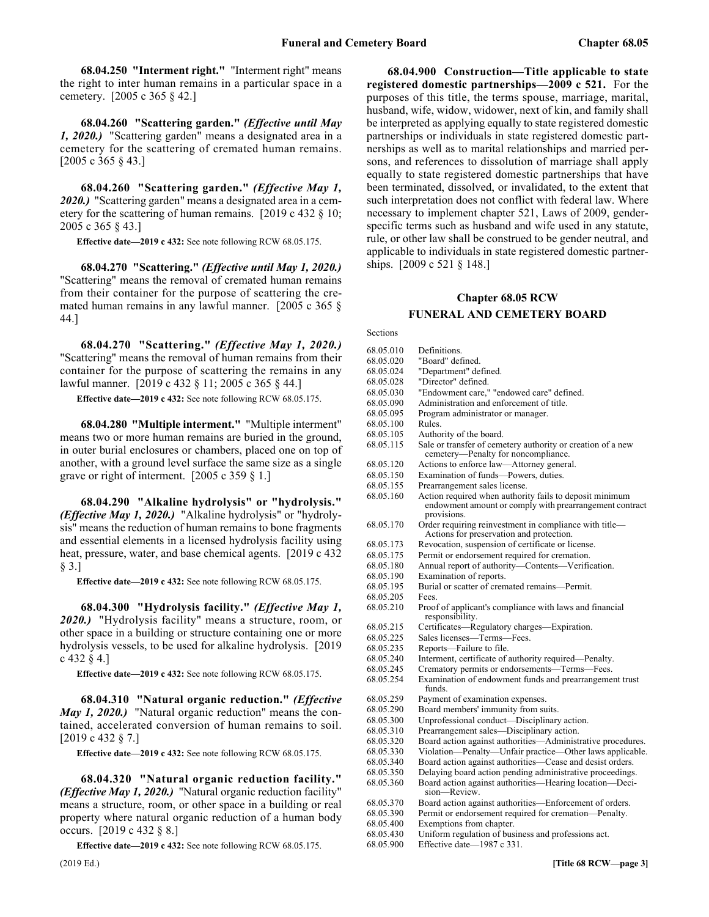68.04.250 68.04.250 "Interment right." **68.04.250 "Interment right."** "Interment right" means the right to inter human remains in a particular space in a cemetery. [2005 c 365 § 42.]

68.04.260 68.04.260 "Scattering garden." (Effective until May 1, 2020.) **68.04.260 "Scattering garden."** *(Effective until May 1, 2020.)* "Scattering garden" means a designated area in a cemetery for the scattering of cremated human remains. [2005 c 365 § 43.]

68.04.260 68.04.260 "Scattering garden." (Effective May 1, 2020.) **68.04.260 "Scattering garden."** *(Effective May 1, 2020.)* "Scattering garden" means a designated area in a cemetery for the scattering of human remains. [2019 c 432 § 10; 2005 c 365 § 43.]

**Effective date—2019 c 432:** See note following RCW 68.05.175.

68.04.270 68.04.270 "Scattering." (Effective until May 1, 2020.) **68.04.270 "Scattering."** *(Effective until May 1, 2020.)* "Scattering" means the removal of cremated human remains from their container for the purpose of scattering the cremated human remains in any lawful manner. [2005 c 365 § 44.]

68.04.270 68.04.270 "Scattering." (Effective May 1, 2020.) **68.04.270 "Scattering."** *(Effective May 1, 2020.)* "Scattering" means the removal of human remains from their container for the purpose of scattering the remains in any lawful manner. [2019 c 432 § 11; 2005 c 365 § 44.]

**Effective date—2019 c 432:** See note following RCW 68.05.175.

68.04.280 68.04.280 "Multiple interment." **68.04.280 "Multiple interment."** "Multiple interment" means two or more human remains are buried in the ground, in outer burial enclosures or chambers, placed one on top of another, with a ground level surface the same size as a single grave or right of interment. [2005 c 359 § 1.]

68.04.290 "Alkaline hydrolysis" or "hydrolysis." *(Effective May 1, 2020.)* "Alkaline hydrolysis" or "hydrolysis" means the reduction of human remains to bone fragments and essential elements in a licensed hydrolysis facility using heat, pressure, water, and base chemical agents. [2019 c 432] § 3.]

**Effective date—2019 c 432:** See note following RCW 68.05.175.

68.04.300 68.04.300 "Hydrolysis facility." (Effective May 1, 2020.) **68.04.300 "Hydrolysis facility."** *(Effective May 1, 2020.)* "Hydrolysis facility" means a structure, room, or other space in a building or structure containing one or more hydrolysis vessels, to be used for alkaline hydrolysis. [2019 c 432 § 4.]

**Effective date—2019 c 432:** See note following RCW 68.05.175.

68.04.310 "Natural organic reduction." *(Effective May 1, 2020.)* "Natural organic reduction" means the contained, accelerated conversion of human remains to soil. [2019 c 432 § 7.]

**Effective date—2019 c 432:** See note following RCW 68.05.175.

68.04.320 "Natural organic reduction facility." *(Effective May 1, 2020.)* "Natural organic reduction facility" means a structure, room, or other space in a building or real property where natural organic reduction of a human body occurs. [2019 c 432 § 8.]

**Effective date—2019 c 432:** See note following RCW 68.05.175.

68.04.900 68.04.900 Construction—Title applicable to state registered domestic partnerships—2009 c 521. **68.04.900 Construction—Title applicable to state registered domestic partnerships—2009 c 521.** For the purposes of this title, the terms spouse, marriage, marital, husband, wife, widow, widower, next of kin, and family shall be interpreted as applying equally to state registered domestic partnerships or individuals in state registered domestic partnerships as well as to marital relationships and married persons, and references to dissolution of marriage shall apply equally to state registered domestic partnerships that have been terminated, dissolved, or invalidated, to the extent that such interpretation does not conflict with federal law. Where necessary to implement chapter 521, Laws of 2009, genderspecific terms such as husband and wife used in any statute, rule, or other law shall be construed to be gender neutral, and applicable to individuals in state registered domestic partnerships. [2009 c 521 § 148.]

# Chapter 68.05 **Chapter 68.05 RCW FUNERAL AND CEMETERY BOARD**

Sections

| 68.05.010 | Definitions.                                                                                                                      |
|-----------|-----------------------------------------------------------------------------------------------------------------------------------|
| 68.05.020 | "Board" defined.                                                                                                                  |
| 68.05.024 | "Department" defined.                                                                                                             |
| 68.05.028 | "Director" defined.                                                                                                               |
| 68.05.030 | "Endowment care," "endowed care" defined.                                                                                         |
| 68.05.090 | Administration and enforcement of title.                                                                                          |
| 68.05.095 | Program administrator or manager.                                                                                                 |
| 68.05.100 | Rules.                                                                                                                            |
| 68.05.105 | Authority of the board.                                                                                                           |
| 68.05.115 | Sale or transfer of cemetery authority or creation of a new<br>cemetery-Penalty for noncompliance.                                |
| 68.05.120 | Actions to enforce law-Attorney general.                                                                                          |
| 68.05.150 | Examination of funds-Powers, duties.                                                                                              |
| 68.05.155 | Prearrangement sales license.                                                                                                     |
| 68.05.160 | Action required when authority fails to deposit minimum<br>endowment amount or comply with prearrangement contract<br>provisions. |
| 68.05.170 | Order requiring reinvestment in compliance with title-<br>Actions for preservation and protection.                                |
| 68.05.173 | Revocation, suspension of certificate or license.                                                                                 |
| 68.05.175 | Permit or endorsement required for cremation.                                                                                     |
| 68.05.180 | Annual report of authority-Contents-Verification.                                                                                 |
| 68.05.190 | Examination of reports.                                                                                                           |
| 68.05.195 | Burial or scatter of cremated remains—Permit.                                                                                     |
| 68.05.205 | Fees.                                                                                                                             |
| 68.05.210 | Proof of applicant's compliance with laws and financial<br>responsibility.                                                        |
| 68.05.215 | Certificates—Regulatory charges—Expiration.                                                                                       |
| 68.05.225 | Sales licenses-Terms-Fees.                                                                                                        |
| 68.05.235 | Reports-Failure to file.                                                                                                          |
| 68.05.240 | Interment, certificate of authority required—Penalty.                                                                             |
| 68.05.245 | Crematory permits or endorsements—Terms—Fees.                                                                                     |
| 68.05.254 | Examination of endowment funds and prearrangement trust<br>funds.                                                                 |
| 68.05.259 | Payment of examination expenses.                                                                                                  |
| 68.05.290 | Board members' immunity from suits.                                                                                               |
| 68.05.300 | Unprofessional conduct—Disciplinary action.                                                                                       |
| 68.05.310 | Prearrangement sales—Disciplinary action.                                                                                         |
| 68.05.320 | Board action against authorities—Administrative procedures.                                                                       |
| 68.05.330 | Violation-Penalty-Unfair practice-Other laws applicable.                                                                          |
| 68.05.340 | Board action against authorities-Cease and desist orders.                                                                         |
| 68.05.350 | Delaying board action pending administrative proceedings.                                                                         |
| 68.05.360 | Board action against authorities—Hearing location—Deci-<br>sion—Review.                                                           |
| 68.05.370 | Board action against authorities—Enforcement of orders.                                                                           |
| 68.05.390 | Permit or endorsement required for cremation-Penalty.                                                                             |
| 68.05.400 | Exemptions from chapter.                                                                                                          |
| 68.05.430 | Uniform regulation of business and professions act.                                                                               |

68.05.900 Effective date—1987 c 331.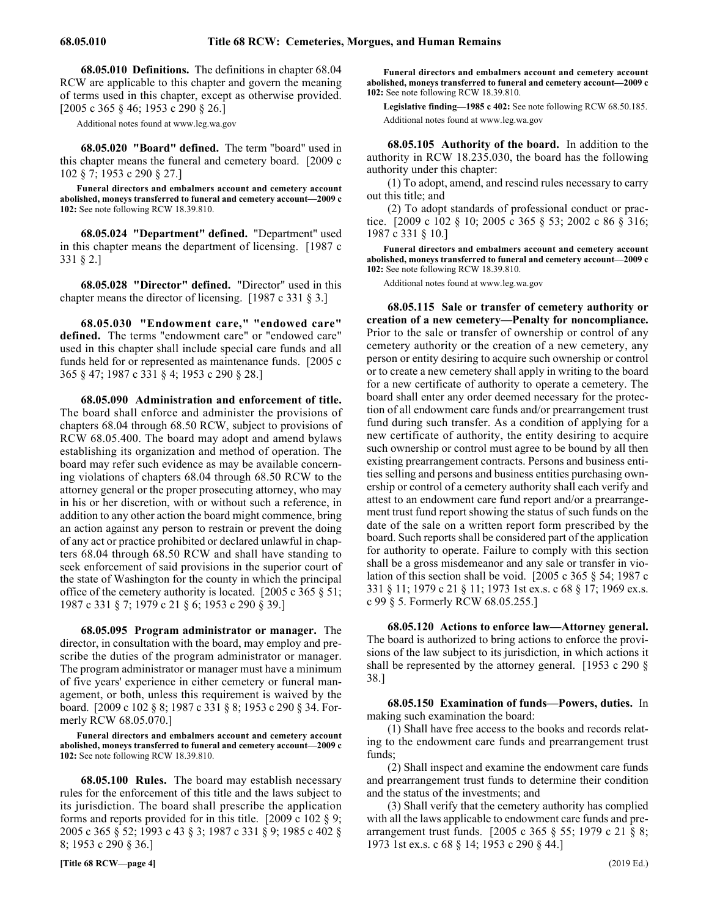68.05.010 Definitions. The definitions in chapter 68.04 RCW are applicable to this chapter and govern the meaning of terms used in this chapter, except as otherwise provided. [2005 c 365 § 46; 1953 c 290 § 26.]

Additional notes found at www.leg.wa.gov

68.05.020 68.05.020 "Board" defined. **68.05.020 "Board" defined.** The term "board" used in this chapter means the funeral and cemetery board. [2009 c 102 § 7; 1953 c 290 § 27.]

**Funeral directors and embalmers account and cemetery account abolished, moneys transferred to funeral and cemetery account—2009 c 102:** See note following RCW 18.39.810.

68.05.024 68.05.024 "Department" defined. **68.05.024 "Department" defined.** "Department" used in this chapter means the department of licensing. [1987 c 331 § 2.]

68.05.028 68.05.028 "Director" defined. **68.05.028 "Director" defined.** "Director" used in this chapter means the director of licensing. [1987 c 331 § 3.]

68.05.030 "Endowment care," "endowed care" **defined.** The terms "endowment care" or "endowed care" used in this chapter shall include special care funds and all funds held for or represented as maintenance funds. [2005 c 365 § 47; 1987 c 331 § 4; 1953 c 290 § 28.]

68.05.090 68.05.090 Administration and enforcement of title. **68.05.090 Administration and enforcement of title.** The board shall enforce and administer the provisions of chapters 68.04 through 68.50 RCW, subject to provisions of RCW 68.05.400. The board may adopt and amend bylaws establishing its organization and method of operation. The board may refer such evidence as may be available concerning violations of chapters 68.04 through 68.50 RCW to the attorney general or the proper prosecuting attorney, who may in his or her discretion, with or without such a reference, in addition to any other action the board might commence, bring an action against any person to restrain or prevent the doing of any act or practice prohibited or declared unlawful in chapters 68.04 through 68.50 RCW and shall have standing to seek enforcement of said provisions in the superior court of the state of Washington for the county in which the principal office of the cemetery authority is located. [2005 c 365 § 51; 1987 c 331 § 7; 1979 c 21 § 6; 1953 c 290 § 39.]

68.05.095 68.05.095 Program administrator or manager. **68.05.095 Program administrator or manager.** The director, in consultation with the board, may employ and prescribe the duties of the program administrator or manager. The program administrator or manager must have a minimum of five years' experience in either cemetery or funeral management, or both, unless this requirement is waived by the board. [2009 c 102 § 8; 1987 c 331 § 8; 1953 c 290 § 34. Formerly RCW 68.05.070.]

**Funeral directors and embalmers account and cemetery account abolished, moneys transferred to funeral and cemetery account—2009 c 102:** See note following RCW 18.39.810.

68.05.100 68.05.100 Rules. **68.05.100 Rules.** The board may establish necessary rules for the enforcement of this title and the laws subject to its jurisdiction. The board shall prescribe the application forms and reports provided for in this title. [2009 c 102  $\S$  9; 2005 c 365 § 52; 1993 c 43 § 3; 1987 c 331 § 9; 1985 c 402 § 8; 1953 c 290 § 36.]

**[Title 68 RCW—page 4]** (2019 Ed.)

**Funeral directors and embalmers account and cemetery account abolished, moneys transferred to funeral and cemetery account—2009 c 102:** See note following RCW 18.39.810.

**Legislative finding—1985 c 402:** See note following RCW 68.50.185. Additional notes found at www.leg.wa.gov

68.05.105 68.05.105 Authority of the board. **68.05.105 Authority of the board.** In addition to the authority in RCW 18.235.030, the board has the following authority under this chapter:

(1) To adopt, amend, and rescind rules necessary to carry out this title; and

(2) To adopt standards of professional conduct or practice. [2009 c 102 § 10; 2005 c 365 § 53; 2002 c 86 § 316; 1987 c 331 § 10.]

**Funeral directors and embalmers account and cemetery account abolished, moneys transferred to funeral and cemetery account—2009 c 102:** See note following RCW 18.39.810.

Additional notes found at www.leg.wa.gov

68.05.115 Sale or transfer of cemetery authority or **creation of a new cemetery—Penalty for noncompliance.** Prior to the sale or transfer of ownership or control of any cemetery authority or the creation of a new cemetery, any person or entity desiring to acquire such ownership or control or to create a new cemetery shall apply in writing to the board for a new certificate of authority to operate a cemetery. The board shall enter any order deemed necessary for the protection of all endowment care funds and/or prearrangement trust fund during such transfer. As a condition of applying for a new certificate of authority, the entity desiring to acquire such ownership or control must agree to be bound by all then existing prearrangement contracts. Persons and business entities selling and persons and business entities purchasing ownership or control of a cemetery authority shall each verify and attest to an endowment care fund report and/or a prearrangement trust fund report showing the status of such funds on the date of the sale on a written report form prescribed by the board. Such reports shall be considered part of the application for authority to operate. Failure to comply with this section shall be a gross misdemeanor and any sale or transfer in violation of this section shall be void. [2005 c 365 § 54; 1987 c 331 § 11; 1979 c 21 § 11; 1973 1st ex.s. c 68 § 17; 1969 ex.s. c 99 § 5. Formerly RCW 68.05.255.]

68.05.120 68.05.120 Actions to enforce law—Attorney general. **68.05.120 Actions to enforce law—Attorney general.** The board is authorized to bring actions to enforce the provisions of the law subject to its jurisdiction, in which actions it shall be represented by the attorney general. [1953 c 290 § 38.]

68.05.150 68.05.150 Examination of funds—Powers, duties. **68.05.150 Examination of funds—Powers, duties.** In making such examination the board:

(1) Shall have free access to the books and records relating to the endowment care funds and prearrangement trust funds;

(2) Shall inspect and examine the endowment care funds and prearrangement trust funds to determine their condition and the status of the investments; and

(3) Shall verify that the cemetery authority has complied with all the laws applicable to endowment care funds and prearrangement trust funds. [2005 c 365 § 55; 1979 c 21 § 8; 1973 1st ex.s. c 68 § 14; 1953 c 290 § 44.]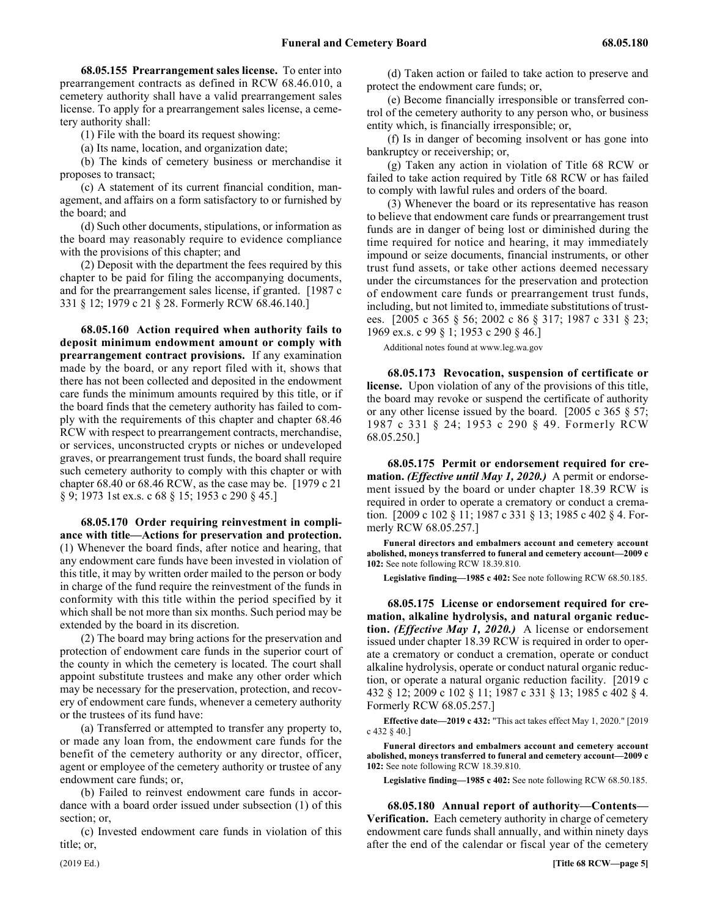68.05.155 Prearrangement sales license. To enter into prearrangement contracts as defined in RCW 68.46.010, a cemetery authority shall have a valid prearrangement sales license. To apply for a prearrangement sales license, a cemetery authority shall:

(1) File with the board its request showing:

(a) Its name, location, and organization date;

(b) The kinds of cemetery business or merchandise it proposes to transact;

(c) A statement of its current financial condition, management, and affairs on a form satisfactory to or furnished by the board; and

(d) Such other documents, stipulations, or information as the board may reasonably require to evidence compliance with the provisions of this chapter; and

(2) Deposit with the department the fees required by this chapter to be paid for filing the accompanying documents, and for the prearrangement sales license, if granted. [1987 c 331 § 12; 1979 c 21 § 28. Formerly RCW 68.46.140.]

68.05.160 Action required when authority fails to **deposit minimum endowment amount or comply with prearrangement contract provisions.** If any examination made by the board, or any report filed with it, shows that there has not been collected and deposited in the endowment care funds the minimum amounts required by this title, or if the board finds that the cemetery authority has failed to comply with the requirements of this chapter and chapter 68.46 RCW with respect to prearrangement contracts, merchandise, or services, unconstructed crypts or niches or undeveloped graves, or prearrangement trust funds, the board shall require such cemetery authority to comply with this chapter or with chapter 68.40 or 68.46 RCW, as the case may be. [1979 c 21 § 9; 1973 1st ex.s. c 68 § 15; 1953 c 290 § 45.]

68.05.170 Order requiring reinvestment in compli**ance with title—Actions for preservation and protection.** (1) Whenever the board finds, after notice and hearing, that any endowment care funds have been invested in violation of this title, it may by written order mailed to the person or body in charge of the fund require the reinvestment of the funds in conformity with this title within the period specified by it which shall be not more than six months. Such period may be extended by the board in its discretion.

(2) The board may bring actions for the preservation and protection of endowment care funds in the superior court of the county in which the cemetery is located. The court shall appoint substitute trustees and make any other order which may be necessary for the preservation, protection, and recovery of endowment care funds, whenever a cemetery authority or the trustees of its fund have:

(a) Transferred or attempted to transfer any property to, or made any loan from, the endowment care funds for the benefit of the cemetery authority or any director, officer, agent or employee of the cemetery authority or trustee of any endowment care funds; or,

(b) Failed to reinvest endowment care funds in accordance with a board order issued under subsection (1) of this section; or,

(c) Invested endowment care funds in violation of this title; or,

(d) Taken action or failed to take action to preserve and protect the endowment care funds; or,

(e) Become financially irresponsible or transferred control of the cemetery authority to any person who, or business entity which, is financially irresponsible; or,

(f) Is in danger of becoming insolvent or has gone into bankruptcy or receivership; or,

(g) Taken any action in violation of Title 68 RCW or failed to take action required by Title 68 RCW or has failed to comply with lawful rules and orders of the board.

(3) Whenever the board or its representative has reason to believe that endowment care funds or prearrangement trust funds are in danger of being lost or diminished during the time required for notice and hearing, it may immediately impound or seize documents, financial instruments, or other trust fund assets, or take other actions deemed necessary under the circumstances for the preservation and protection of endowment care funds or prearrangement trust funds, including, but not limited to, immediate substitutions of trustees. [2005 c 365 § 56; 2002 c 86 § 317; 1987 c 331 § 23; 1969 ex.s. c 99 § 1; 1953 c 290 § 46.]

Additional notes found at www.leg.wa.gov

68.05.173 Revocation, suspension of certificate or **license.** Upon violation of any of the provisions of this title, the board may revoke or suspend the certificate of authority or any other license issued by the board. [2005 c 365 § 57; 1987 c 331 § 24; 1953 c 290 § 49. Formerly RCW 68.05.250.]

68.05.175 68.05.175 Permit or endorsement required for cremation. (Effective until May 1, 2020.) **68.05.175 Permit or endorsement required for cremation.** *(Effective until May 1, 2020.)* A permit or endorsement issued by the board or under chapter 18.39 RCW is required in order to operate a crematory or conduct a cremation. [2009 c 102 § 11; 1987 c 331 § 13; 1985 c 402 § 4. Formerly RCW 68.05.257.]

**Funeral directors and embalmers account and cemetery account abolished, moneys transferred to funeral and cemetery account—2009 c 102:** See note following RCW 18.39.810.

**Legislative finding—1985 c 402:** See note following RCW 68.50.185.

68.05.175 License or endorsement required for cre**mation, alkaline hydrolysis, and natural organic reduction.** *(Effective May 1, 2020.)* A license or endorsement issued under chapter 18.39 RCW is required in order to operate a crematory or conduct a cremation, operate or conduct alkaline hydrolysis, operate or conduct natural organic reduction, or operate a natural organic reduction facility. [2019 c 432 § 12; 2009 c 102 § 11; 1987 c 331 § 13; 1985 c 402 § 4. Formerly RCW 68.05.257.]

**Effective date—2019 c 432:** "This act takes effect May 1, 2020." [2019 c 432 § 40.]

**Funeral directors and embalmers account and cemetery account abolished, moneys transferred to funeral and cemetery account—2009 c 102:** See note following RCW 18.39.810.

**Legislative finding—1985 c 402:** See note following RCW 68.50.185.

68.05.180 Annual report of authority—Contents— **Verification.** Each cemetery authority in charge of cemetery endowment care funds shall annually, and within ninety days after the end of the calendar or fiscal year of the cemetery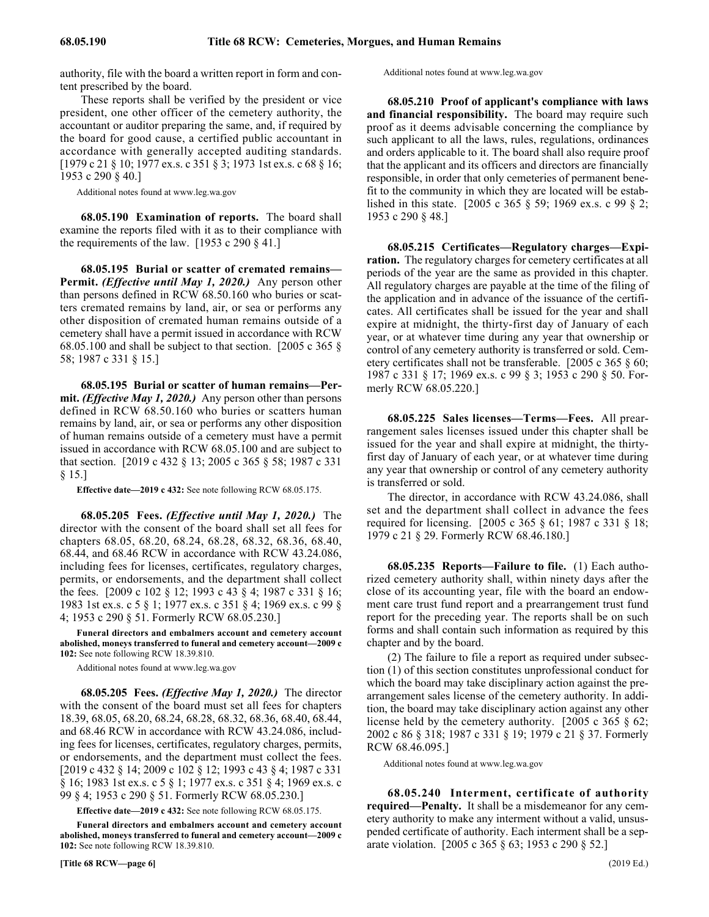authority, file with the board a written report in form and content prescribed by the board.

These reports shall be verified by the president or vice president, one other officer of the cemetery authority, the accountant or auditor preparing the same, and, if required by the board for good cause, a certified public accountant in accordance with generally accepted auditing standards. [1979 c 21 § 10; 1977 ex.s. c 351 § 3; 1973 1st ex.s. c 68 § 16; 1953 c 290 § 40.]

Additional notes found at www.leg.wa.gov

68.05.190 68.05.190 Examination of reports. **68.05.190 Examination of reports.** The board shall examine the reports filed with it as to their compliance with the requirements of the law.  $[1953 \text{ c } 290 \text{ § } 41.]$ 

68.05.195 68.05.195 Burial or scatter of cremated remains—Permit. (Effective until May 1, 2020.) **68.05.195 Burial or scatter of cremated remains— Permit.** *(Effective until May 1, 2020.)* Any person other than persons defined in RCW 68.50.160 who buries or scatters cremated remains by land, air, or sea or performs any other disposition of cremated human remains outside of a cemetery shall have a permit issued in accordance with RCW 68.05.100 and shall be subject to that section. [2005 c 365 § 58; 1987 c 331 § 15.]

68.05.195 Burial or scatter of human remains-Per**mit.** *(Effective May 1, 2020.)* Any person other than persons defined in RCW 68.50.160 who buries or scatters human remains by land, air, or sea or performs any other disposition of human remains outside of a cemetery must have a permit issued in accordance with RCW 68.05.100 and are subject to that section. [2019 c 432 § 13; 2005 c 365 § 58; 1987 c 331 § 15.]

**Effective date—2019 c 432:** See note following RCW 68.05.175.

68.05.205 68.05.205 Fees. (Effective until May 1, 2020.) **68.05.205 Fees.** *(Effective until May 1, 2020.)* The director with the consent of the board shall set all fees for chapters 68.05, 68.20, 68.24, 68.28, 68.32, 68.36, 68.40, 68.44, and 68.46 RCW in accordance with RCW 43.24.086, including fees for licenses, certificates, regulatory charges, permits, or endorsements, and the department shall collect the fees. [2009 c 102 § 12; 1993 c 43 § 4; 1987 c 331 § 16; 1983 1st ex.s. c 5 § 1; 1977 ex.s. c 351 § 4; 1969 ex.s. c 99 § 4; 1953 c 290 § 51. Formerly RCW 68.05.230.]

**Funeral directors and embalmers account and cemetery account abolished, moneys transferred to funeral and cemetery account—2009 c 102:** See note following RCW 18.39.810.

Additional notes found at www.leg.wa.gov

68.05.205 68.05.205 Fees. (Effective May 1, 2020.) **68.05.205 Fees.** *(Effective May 1, 2020.)* The director with the consent of the board must set all fees for chapters 18.39, 68.05, 68.20, 68.24, 68.28, 68.32, 68.36, 68.40, 68.44, and 68.46 RCW in accordance with RCW 43.24.086, including fees for licenses, certificates, regulatory charges, permits, or endorsements, and the department must collect the fees. [2019 c 432 § 14; 2009 c 102 § 12; 1993 c 43 § 4; 1987 c 331 § 16; 1983 1st ex.s. c 5 § 1; 1977 ex.s. c 351 § 4; 1969 ex.s. c 99 § 4; 1953 c 290 § 51. Formerly RCW 68.05.230.]

**Effective date—2019 c 432:** See note following RCW 68.05.175.

**Funeral directors and embalmers account and cemetery account abolished, moneys transferred to funeral and cemetery account—2009 c 102:** See note following RCW 18.39.810.

Additional notes found at www.leg.wa.gov

68.05.210 Proof of applicant's compliance with laws **and financial responsibility.** The board may require such proof as it deems advisable concerning the compliance by such applicant to all the laws, rules, regulations, ordinances and orders applicable to it. The board shall also require proof that the applicant and its officers and directors are financially responsible, in order that only cemeteries of permanent benefit to the community in which they are located will be established in this state. [2005 c 365 § 59; 1969 ex.s. c 99 § 2; 1953 c 290 § 48.]

68.05.215 68.05.215 Certificates—Regulatory charges—Expiration. **68.05.215 Certificates—Regulatory charges—Expiration.** The regulatory charges for cemetery certificates at all periods of the year are the same as provided in this chapter. All regulatory charges are payable at the time of the filing of the application and in advance of the issuance of the certificates. All certificates shall be issued for the year and shall expire at midnight, the thirty-first day of January of each year, or at whatever time during any year that ownership or control of any cemetery authority is transferred or sold. Cemetery certificates shall not be transferable. [2005 c 365 § 60; 1987 c 331 § 17; 1969 ex.s. c 99 § 3; 1953 c 290 § 50. Formerly RCW 68.05.220.]

68.05.225 68.05.225 Sales licenses—Terms—Fees. **68.05.225 Sales licenses—Terms—Fees.** All prearrangement sales licenses issued under this chapter shall be issued for the year and shall expire at midnight, the thirtyfirst day of January of each year, or at whatever time during any year that ownership or control of any cemetery authority is transferred or sold.

The director, in accordance with RCW 43.24.086, shall set and the department shall collect in advance the fees required for licensing. [2005 c 365 § 61; 1987 c 331 § 18; 1979 c 21 § 29. Formerly RCW 68.46.180.]

68.05.235 68.05.235 Reports—Failure to file. **68.05.235 Reports—Failure to file.** (1) Each authorized cemetery authority shall, within ninety days after the close of its accounting year, file with the board an endowment care trust fund report and a prearrangement trust fund report for the preceding year. The reports shall be on such forms and shall contain such information as required by this chapter and by the board.

(2) The failure to file a report as required under subsection (1) of this section constitutes unprofessional conduct for which the board may take disciplinary action against the prearrangement sales license of the cemetery authority. In addition, the board may take disciplinary action against any other license held by the cemetery authority. [2005 c 365 § 62; 2002 c 86 § 318; 1987 c 331 § 19; 1979 c 21 § 37. Formerly RCW 68.46.095.]

Additional notes found at www.leg.wa.gov

68.05.240 Interment, certificate of authority **required—Penalty.** It shall be a misdemeanor for any cemetery authority to make any interment without a valid, unsuspended certificate of authority. Each interment shall be a separate violation. [2005 c 365 § 63; 1953 c 290 § 52.]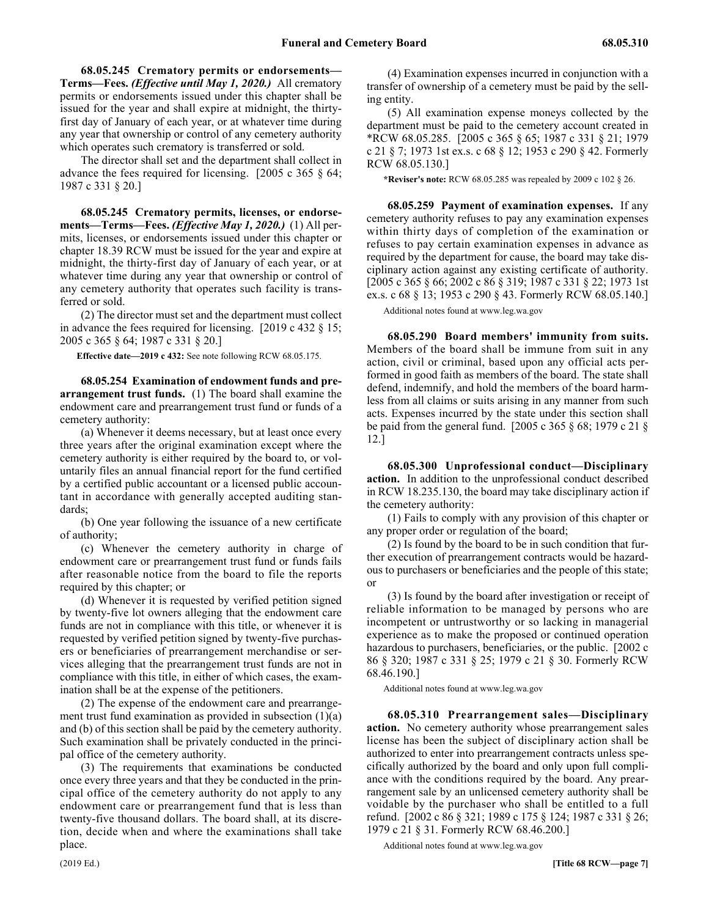68.05.245 Crematory permits or endorsements— **Terms—Fees.** *(Effective until May 1, 2020.)* All crematory permits or endorsements issued under this chapter shall be issued for the year and shall expire at midnight, the thirtyfirst day of January of each year, or at whatever time during any year that ownership or control of any cemetery authority which operates such crematory is transferred or sold.

The director shall set and the department shall collect in advance the fees required for licensing. [2005 c 365 § 64; 1987 c 331 § 20.]

68.05.245 Crematory permits, licenses, or endorse**ments—Terms—Fees.** *(Effective May 1, 2020.)* (1) All permits, licenses, or endorsements issued under this chapter or chapter 18.39 RCW must be issued for the year and expire at midnight, the thirty-first day of January of each year, or at whatever time during any year that ownership or control of any cemetery authority that operates such facility is transferred or sold.

(2) The director must set and the department must collect in advance the fees required for licensing. [2019 c 432 § 15; 2005 c 365 § 64; 1987 c 331 § 20.]

**Effective date—2019 c 432:** See note following RCW 68.05.175.

68.05.254 Examination of endowment funds and pre**arrangement trust funds.** (1) The board shall examine the endowment care and prearrangement trust fund or funds of a cemetery authority:

(a) Whenever it deems necessary, but at least once every three years after the original examination except where the cemetery authority is either required by the board to, or voluntarily files an annual financial report for the fund certified by a certified public accountant or a licensed public accountant in accordance with generally accepted auditing standards;

(b) One year following the issuance of a new certificate of authority;

(c) Whenever the cemetery authority in charge of endowment care or prearrangement trust fund or funds fails after reasonable notice from the board to file the reports required by this chapter; or

(d) Whenever it is requested by verified petition signed by twenty-five lot owners alleging that the endowment care funds are not in compliance with this title, or whenever it is requested by verified petition signed by twenty-five purchasers or beneficiaries of prearrangement merchandise or services alleging that the prearrangement trust funds are not in compliance with this title, in either of which cases, the examination shall be at the expense of the petitioners.

(2) The expense of the endowment care and prearrangement trust fund examination as provided in subsection  $(1)(a)$ and (b) of this section shall be paid by the cemetery authority. Such examination shall be privately conducted in the principal office of the cemetery authority.

(3) The requirements that examinations be conducted once every three years and that they be conducted in the principal office of the cemetery authority do not apply to any endowment care or prearrangement fund that is less than twenty-five thousand dollars. The board shall, at its discretion, decide when and where the examinations shall take place.

(4) Examination expenses incurred in conjunction with a transfer of ownership of a cemetery must be paid by the selling entity.

(5) All examination expense moneys collected by the department must be paid to the cemetery account created in \*RCW 68.05.285. [2005 c 365 § 65; 1987 c 331 § 21; 1979 c 21 § 7; 1973 1st ex.s. c 68 § 12; 1953 c 290 § 42. Formerly RCW 68.05.130.]

**\*Reviser's note:** RCW 68.05.285 was repealed by 2009 c 102 § 26.

68.05.259 68.05.259 Payment of examination expenses. **68.05.259 Payment of examination expenses.** If any cemetery authority refuses to pay any examination expenses within thirty days of completion of the examination or refuses to pay certain examination expenses in advance as required by the department for cause, the board may take disciplinary action against any existing certificate of authority. [2005 c 365 § 66; 2002 c 86 § 319; 1987 c 331 § 22; 1973 1st ex.s. c 68 § 13; 1953 c 290 § 43. Formerly RCW 68.05.140.]

Additional notes found at www.leg.wa.gov

68.05.290 68.05.290 Board members' immunity from suits. **68.05.290 Board members' immunity from suits.** Members of the board shall be immune from suit in any action, civil or criminal, based upon any official acts performed in good faith as members of the board. The state shall defend, indemnify, and hold the members of the board harmless from all claims or suits arising in any manner from such acts. Expenses incurred by the state under this section shall be paid from the general fund. [2005 c 365 § 68; 1979 c 21 § 12.]

68.05.300 68.05.300 Unprofessional conduct—Disciplinary action. **68.05.300 Unprofessional conduct—Disciplinary action.** In addition to the unprofessional conduct described in RCW 18.235.130, the board may take disciplinary action if the cemetery authority:

(1) Fails to comply with any provision of this chapter or any proper order or regulation of the board;

(2) Is found by the board to be in such condition that further execution of prearrangement contracts would be hazardous to purchasers or beneficiaries and the people of this state; or

(3) Is found by the board after investigation or receipt of reliable information to be managed by persons who are incompetent or untrustworthy or so lacking in managerial experience as to make the proposed or continued operation hazardous to purchasers, beneficiaries, or the public. [2002 c] 86 § 320; 1987 c 331 § 25; 1979 c 21 § 30. Formerly RCW 68.46.190.]

Additional notes found at www.leg.wa.gov

68.05.310 68.05.310 Prearrangement sales—Disciplinary action. **68.05.310 Prearrangement sales—Disciplinary action.** No cemetery authority whose prearrangement sales license has been the subject of disciplinary action shall be authorized to enter into prearrangement contracts unless specifically authorized by the board and only upon full compliance with the conditions required by the board. Any prearrangement sale by an unlicensed cemetery authority shall be voidable by the purchaser who shall be entitled to a full refund. [2002 c 86 § 321; 1989 c 175 § 124; 1987 c 331 § 26; 1979 c 21 § 31. Formerly RCW 68.46.200.]

Additional notes found at www.leg.wa.gov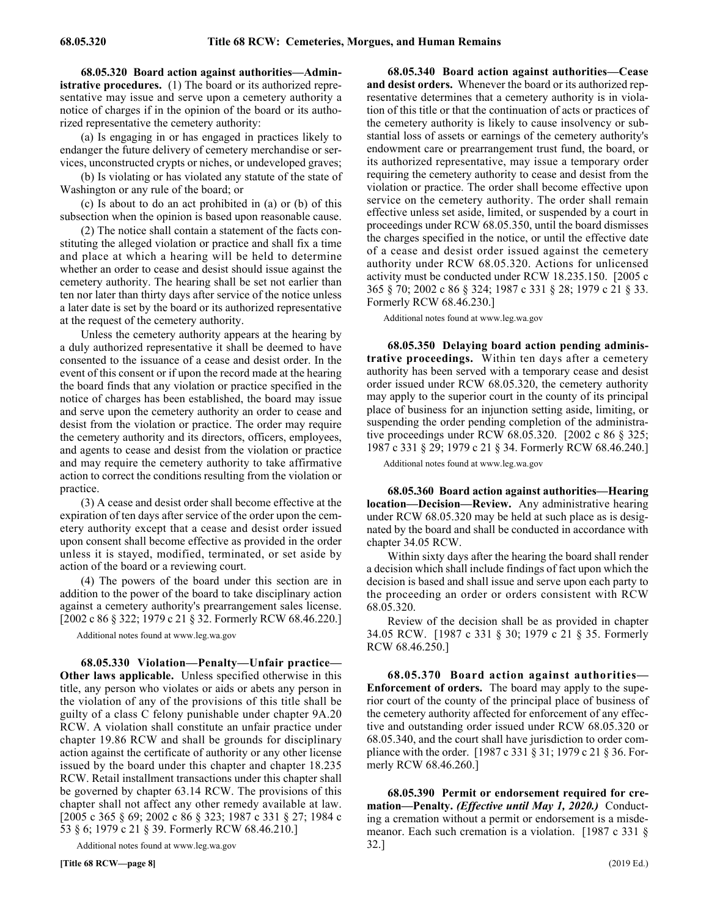68.05.320 68.05.320 Board action against authorities—Administrative procedures. **68.05.320 Board action against authorities—Administrative procedures.** (1) The board or its authorized representative may issue and serve upon a cemetery authority a notice of charges if in the opinion of the board or its authorized representative the cemetery authority:

(a) Is engaging in or has engaged in practices likely to endanger the future delivery of cemetery merchandise or services, unconstructed crypts or niches, or undeveloped graves;

(b) Is violating or has violated any statute of the state of Washington or any rule of the board; or

(c) Is about to do an act prohibited in (a) or (b) of this subsection when the opinion is based upon reasonable cause.

(2) The notice shall contain a statement of the facts constituting the alleged violation or practice and shall fix a time and place at which a hearing will be held to determine whether an order to cease and desist should issue against the cemetery authority. The hearing shall be set not earlier than ten nor later than thirty days after service of the notice unless a later date is set by the board or its authorized representative at the request of the cemetery authority.

Unless the cemetery authority appears at the hearing by a duly authorized representative it shall be deemed to have consented to the issuance of a cease and desist order. In the event of this consent or if upon the record made at the hearing the board finds that any violation or practice specified in the notice of charges has been established, the board may issue and serve upon the cemetery authority an order to cease and desist from the violation or practice. The order may require the cemetery authority and its directors, officers, employees, and agents to cease and desist from the violation or practice and may require the cemetery authority to take affirmative action to correct the conditions resulting from the violation or practice.

(3) A cease and desist order shall become effective at the expiration of ten days after service of the order upon the cemetery authority except that a cease and desist order issued upon consent shall become effective as provided in the order unless it is stayed, modified, terminated, or set aside by action of the board or a reviewing court.

(4) The powers of the board under this section are in addition to the power of the board to take disciplinary action against a cemetery authority's prearrangement sales license. [2002 c 86 § 322; 1979 c 21 § 32. Formerly RCW 68.46.220.]

Additional notes found at www.leg.wa.gov

68.05.330 Violation—Penalty—Unfair practice— **Other laws applicable.** Unless specified otherwise in this title, any person who violates or aids or abets any person in the violation of any of the provisions of this title shall be guilty of a class C felony punishable under chapter 9A.20 RCW. A violation shall constitute an unfair practice under chapter 19.86 RCW and shall be grounds for disciplinary action against the certificate of authority or any other license issued by the board under this chapter and chapter 18.235 RCW. Retail installment transactions under this chapter shall be governed by chapter 63.14 RCW. The provisions of this chapter shall not affect any other remedy available at law. [2005 c 365 § 69; 2002 c 86 § 323; 1987 c 331 § 27; 1984 c 53 § 6; 1979 c 21 § 39. Formerly RCW 68.46.210.]

Additional notes found at www.leg.wa.gov

68.05.340 68.05.340 Board action against authorities—Cease and desist orders. **68.05.340 Board action against authorities—Cease and desist orders.** Whenever the board or its authorized representative determines that a cemetery authority is in violation of this title or that the continuation of acts or practices of the cemetery authority is likely to cause insolvency or substantial loss of assets or earnings of the cemetery authority's endowment care or prearrangement trust fund, the board, or its authorized representative, may issue a temporary order requiring the cemetery authority to cease and desist from the violation or practice. The order shall become effective upon service on the cemetery authority. The order shall remain effective unless set aside, limited, or suspended by a court in proceedings under RCW 68.05.350, until the board dismisses the charges specified in the notice, or until the effective date of a cease and desist order issued against the cemetery authority under RCW 68.05.320. Actions for unlicensed activity must be conducted under RCW 18.235.150. [2005 c 365 § 70; 2002 c 86 § 324; 1987 c 331 § 28; 1979 c 21 § 33. Formerly RCW 68.46.230.]

Additional notes found at www.leg.wa.gov

68.05.350 68.05.350 Delaying board action pending administrative proceedings. **68.05.350 Delaying board action pending administrative proceedings.** Within ten days after a cemetery authority has been served with a temporary cease and desist order issued under RCW 68.05.320, the cemetery authority may apply to the superior court in the county of its principal place of business for an injunction setting aside, limiting, or suspending the order pending completion of the administrative proceedings under RCW 68.05.320. [2002 c 86 § 325; 1987 c 331 § 29; 1979 c 21 § 34. Formerly RCW 68.46.240.]

Additional notes found at www.leg.wa.gov

68.05.360 68.05.360 Board action against authorities—Hearing location—Decision—Review. **68.05.360 Board action against authorities—Hearing location—Decision—Review.** Any administrative hearing under RCW 68.05.320 may be held at such place as is designated by the board and shall be conducted in accordance with chapter 34.05 RCW.

Within sixty days after the hearing the board shall render a decision which shall include findings of fact upon which the decision is based and shall issue and serve upon each party to the proceeding an order or orders consistent with RCW 68.05.320.

Review of the decision shall be as provided in chapter 34.05 RCW. [1987 c 331 § 30; 1979 c 21 § 35. Formerly RCW 68.46.250.]

68.05.370 Board action against authorities-**Enforcement of orders.** The board may apply to the superior court of the county of the principal place of business of the cemetery authority affected for enforcement of any effective and outstanding order issued under RCW 68.05.320 or 68.05.340, and the court shall have jurisdiction to order compliance with the order. [1987 c 331 § 31; 1979 c 21 § 36. Formerly RCW 68.46.260.]

68.05.390 Permit or endorsement required for cre**mation—Penalty.** *(Effective until May 1, 2020.)* Conducting a cremation without a permit or endorsement is a misdemeanor. Each such cremation is a violation. [1987 c 331 § 32.]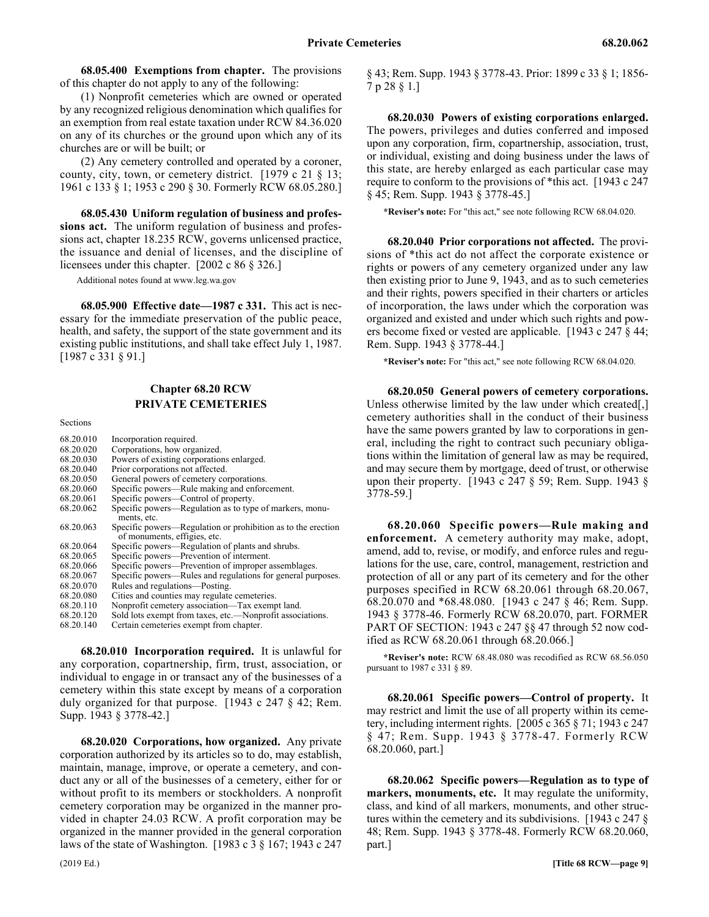68.05.400 68.05.400 Exemptions from chapter. **68.05.400 Exemptions from chapter.** The provisions of this chapter do not apply to any of the following:

(1) Nonprofit cemeteries which are owned or operated by any recognized religious denomination which qualifies for an exemption from real estate taxation under RCW 84.36.020 on any of its churches or the ground upon which any of its churches are or will be built; or

(2) Any cemetery controlled and operated by a coroner, county, city, town, or cemetery district. [1979 c 21 § 13; 1961 c 133 § 1; 1953 c 290 § 30. Formerly RCW 68.05.280.]

68.05.430 68.05.430 Uniform regulation of business and professions act. **68.05.430 Uniform regulation of business and professions act.** The uniform regulation of business and professions act, chapter 18.235 RCW, governs unlicensed practice, the issuance and denial of licenses, and the discipline of licensees under this chapter. [2002 c 86 § 326.]

Additional notes found at www.leg.wa.gov

68.05.900 68.05.900 Effective date—1987 c 331. **68.05.900 Effective date—1987 c 331.** This act is necessary for the immediate preservation of the public peace, health, and safety, the support of the state government and its existing public institutions, and shall take effect July 1, 1987. [1987 c 331 § 91.]

# Chapter 68.20 **Chapter 68.20 RCW PRIVATE CEMETERIES**

Sections

| 68.20.010 | Incorporation required.                                                                      |
|-----------|----------------------------------------------------------------------------------------------|
| 68.20.020 | Corporations, how organized.                                                                 |
| 68.20.030 | Powers of existing corporations enlarged.                                                    |
| 68.20.040 | Prior corporations not affected.                                                             |
| 68.20.050 | General powers of cemetery corporations.                                                     |
| 68.20.060 | Specific powers—Rule making and enforcement.                                                 |
| 68.20.061 | Specific powers—Control of property.                                                         |
| 68.20.062 | Specific powers—Regulation as to type of markers, monu-<br>ments, etc.                       |
| 68.20.063 | Specific powers—Regulation or prohibition as to the erection<br>of monuments, effigies, etc. |
| 68.20.064 | Specific powers—Regulation of plants and shrubs.                                             |
| 68.20.065 | Specific powers—Prevention of interment.                                                     |
| 68.20.066 | Specific powers—Prevention of improper assemblages.                                          |
| 68.20.067 | Specific powers—Rules and regulations for general purposes.                                  |
| 68.20.070 | Rules and regulations—Posting.                                                               |
| 68.20.080 | Cities and counties may regulate cemeteries.                                                 |
| 68.20.110 | Nonprofit cemetery association—Tax exempt land.                                              |
| 68.20.120 | Sold lots exempt from taxes, etc.—Nonprofit associations.                                    |
| 68.20.140 | Certain cemeteries exempt from chapter.                                                      |
|           |                                                                                              |

68.20.010 68.20.010 Incorporation required. **68.20.010 Incorporation required.** It is unlawful for any corporation, copartnership, firm, trust, association, or individual to engage in or transact any of the businesses of a cemetery within this state except by means of a corporation duly organized for that purpose. [1943 c 247 § 42; Rem. Supp. 1943 § 3778-42.]

68.20.020 68.20.020 Corporations, how organized. **68.20.020 Corporations, how organized.** Any private corporation authorized by its articles so to do, may establish, maintain, manage, improve, or operate a cemetery, and conduct any or all of the businesses of a cemetery, either for or without profit to its members or stockholders. A nonprofit cemetery corporation may be organized in the manner provided in chapter 24.03 RCW. A profit corporation may be organized in the manner provided in the general corporation laws of the state of Washington. [1983 c 3 § 167; 1943 c 247 § 43; Rem. Supp. 1943 § 3778-43. Prior: 1899 c 33 § 1; 1856- 7 p 28 § 1.]

68.20.030 68.20.030 Powers of existing corporations enlarged. **68.20.030 Powers of existing corporations enlarged.** The powers, privileges and duties conferred and imposed upon any corporation, firm, copartnership, association, trust, or individual, existing and doing business under the laws of this state, are hereby enlarged as each particular case may require to conform to the provisions of \*this act. [1943 c 247 § 45; Rem. Supp. 1943 § 3778-45.]

**\*Reviser's note:** For "this act," see note following RCW 68.04.020.

68.20.040 68.20.040 Prior corporations not affected. **68.20.040 Prior corporations not affected.** The provisions of \*this act do not affect the corporate existence or rights or powers of any cemetery organized under any law then existing prior to June 9, 1943, and as to such cemeteries and their rights, powers specified in their charters or articles of incorporation, the laws under which the corporation was organized and existed and under which such rights and powers become fixed or vested are applicable. [1943 c 247 § 44; Rem. Supp. 1943 § 3778-44.]

**\*Reviser's note:** For "this act," see note following RCW 68.04.020.

68.20.050 68.20.050 General powers of cemetery corporations. **68.20.050 General powers of cemetery corporations.** Unless otherwise limited by the law under which created[,] cemetery authorities shall in the conduct of their business have the same powers granted by law to corporations in general, including the right to contract such pecuniary obligations within the limitation of general law as may be required, and may secure them by mortgage, deed of trust, or otherwise upon their property. [1943 c 247 § 59; Rem. Supp. 1943 § 3778-59.]

68.20.060 Specific powers—Rule making and **enforcement.** A cemetery authority may make, adopt, amend, add to, revise, or modify, and enforce rules and regulations for the use, care, control, management, restriction and protection of all or any part of its cemetery and for the other purposes specified in RCW 68.20.061 through 68.20.067, 68.20.070 and \*68.48.080. [1943 c 247 § 46; Rem. Supp. 1943 § 3778-46. Formerly RCW 68.20.070, part. FORMER PART OF SECTION: 1943 c 247 §§ 47 through 52 now codified as RCW 68.20.061 through 68.20.066.]

**\*Reviser's note:** RCW 68.48.080 was recodified as RCW 68.56.050 pursuant to 1987 c 331 § 89.

68.20.061 68.20.061 Specific powers—Control of property. **68.20.061 Specific powers—Control of property.** It may restrict and limit the use of all property within its cemetery, including interment rights. [2005 c 365 § 71; 1943 c 247 § 47; Rem. Supp. 1943 § 3778-47. Formerly RCW 68.20.060, part.]

68.20.062 Specific powers—Regulation as to type of **markers, monuments, etc.** It may regulate the uniformity, class, and kind of all markers, monuments, and other structures within the cemetery and its subdivisions. [1943 c 247 § 48; Rem. Supp. 1943 § 3778-48. Formerly RCW 68.20.060, part.]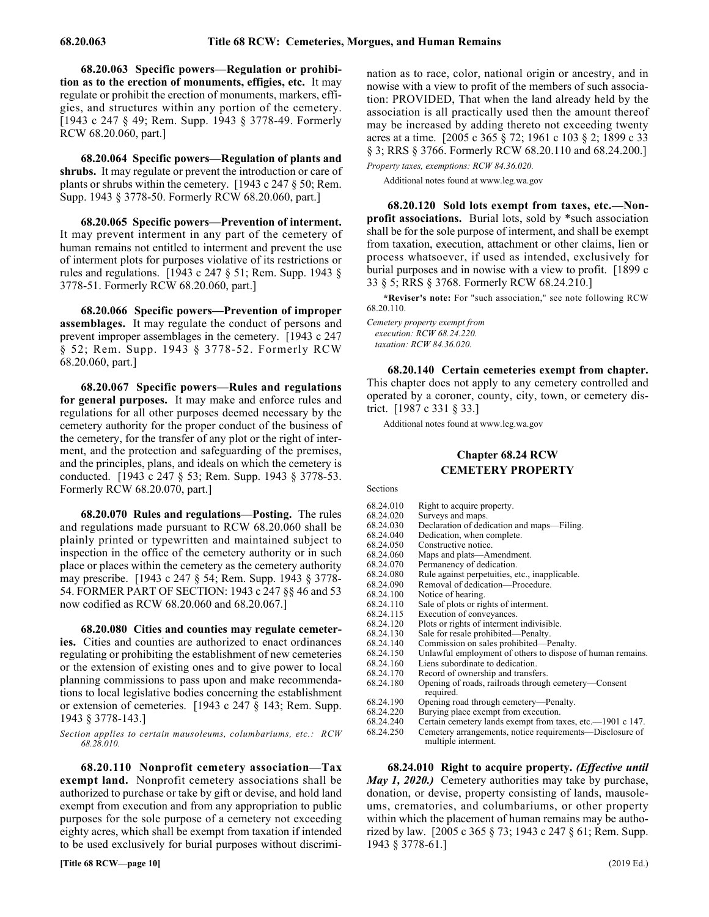68.20.063 Specific powers—Regulation or prohibi**tion as to the erection of monuments, effigies, etc.** It may regulate or prohibit the erection of monuments, markers, effigies, and structures within any portion of the cemetery. [1943 c 247 § 49; Rem. Supp. 1943 § 3778-49. Formerly RCW 68.20.060, part.]

68.20.064 Specific powers—Regulation of plants and **shrubs.** It may regulate or prevent the introduction or care of plants or shrubs within the cemetery. [1943 c 247 § 50; Rem. Supp. 1943 § 3778-50. Formerly RCW 68.20.060, part.]

68.20.065 68.20.065 Specific powers—Prevention of interment. **68.20.065 Specific powers—Prevention of interment.** It may prevent interment in any part of the cemetery of human remains not entitled to interment and prevent the use of interment plots for purposes violative of its restrictions or rules and regulations. [1943 c 247 § 51; Rem. Supp. 1943 § 3778-51. Formerly RCW 68.20.060, part.]

68.20.066 Specific powers—Prevention of improper **assemblages.** It may regulate the conduct of persons and prevent improper assemblages in the cemetery. [1943 c 247 § 52; Rem. Supp. 1943 § 3778-52. Formerly RCW 68.20.060, part.]

68.20.067 Specific powers—Rules and regulations **for general purposes.** It may make and enforce rules and regulations for all other purposes deemed necessary by the cemetery authority for the proper conduct of the business of the cemetery, for the transfer of any plot or the right of interment, and the protection and safeguarding of the premises, and the principles, plans, and ideals on which the cemetery is conducted. [1943 c 247 § 53; Rem. Supp. 1943 § 3778-53. Formerly RCW 68.20.070, part.]

68.20.070 68.20.070 Rules and regulations—Posting. **68.20.070 Rules and regulations—Posting.** The rules and regulations made pursuant to RCW 68.20.060 shall be plainly printed or typewritten and maintained subject to inspection in the office of the cemetery authority or in such place or places within the cemetery as the cemetery authority may prescribe. [1943 c 247 § 54; Rem. Supp. 1943 § 3778- 54. FORMER PART OF SECTION: 1943 c 247 §§ 46 and 53 now codified as RCW 68.20.060 and 68.20.067.]

68.20.080 Cities and counties may regulate cemeter**ies.** Cities and counties are authorized to enact ordinances regulating or prohibiting the establishment of new cemeteries or the extension of existing ones and to give power to local planning commissions to pass upon and make recommendations to local legislative bodies concerning the establishment or extension of cemeteries. [1943 c 247 § 143; Rem. Supp. 1943 § 3778-143.]

*Section applies to certain mausoleums, columbariums, etc.: RCW 68.28.010.*

68.20.110 Nonprofit cemetery association—Tax **exempt land.** Nonprofit cemetery associations shall be authorized to purchase or take by gift or devise, and hold land exempt from execution and from any appropriation to public purposes for the sole purpose of a cemetery not exceeding eighty acres, which shall be exempt from taxation if intended to be used exclusively for burial purposes without discrimination as to race, color, national origin or ancestry, and in nowise with a view to profit of the members of such association: PROVIDED, That when the land already held by the association is all practically used then the amount thereof may be increased by adding thereto not exceeding twenty acres at a time. [2005 c 365 § 72; 1961 c 103 § 2; 1899 c 33 § 3; RRS § 3766. Formerly RCW 68.20.110 and 68.24.200.]

*Property taxes, exemptions: RCW 84.36.020.*

Additional notes found at www.leg.wa.gov

68.20.120 Sold lots exempt from taxes, etc.—Non**profit associations.** Burial lots, sold by \*such association shall be for the sole purpose of interment, and shall be exempt from taxation, execution, attachment or other claims, lien or process whatsoever, if used as intended, exclusively for burial purposes and in nowise with a view to profit. [1899 c 33 § 5; RRS § 3768. Formerly RCW 68.24.210.]

**\*Reviser's note:** For "such association," see note following RCW 68.20.110.

*Cemetery property exempt from execution: RCW 68.24.220. taxation: RCW 84.36.020.*

68.20.140 68.20.140 Certain cemeteries exempt from chapter. **68.20.140 Certain cemeteries exempt from chapter.** This chapter does not apply to any cemetery controlled and operated by a coroner, county, city, town, or cemetery district. [1987 c 331 § 33.]

Additional notes found at www.leg.wa.gov

# Chapter 68.24 **Chapter 68.24 RCW CEMETERY PROPERTY**

Sections

- 68.24.010 Right to acquire property.
- 68.24.020 Surveys and maps.<br>68.24.030 Declaration of ded
- 68.24.030 Declaration of dedication and maps—Filing.<br>68.24.040 Dedication, when complete.
- Dedication, when complete.
- 68.24.050 Constructive notice.
- 68.24.060 Maps and plats—Amendment.<br>68.24.070 Permanency of dedication.
- Permanency of dedication.
- 68.24.080 Rule against perpetuities, etc., inapplicable.<br>68.24.090 Removal of dedication—Procedure.
- Removal of dedication—Procedure.
- 68.24.100 Notice of hearing.
- 68.24.110 Sale of plots or rights of interment.<br>68.24.115 Execution of conveyances.
- 68.24.115 Execution of conveyances.<br>68.24.120 Plots or rights of interment
- $68.24.120$  Plots or rights of interment indivisible.<br> $68.24.130$  Sale for resale prohibited—Penalty.
- Sale for resale prohibited—Penalty.
- 68.24.140 Commission on sales prohibited—Penalty.
- 68.24.150 Unlawful employment of others to dispose of human remains.<br>68.24.160 Liens subordinate to dedication.
- Liens subordinate to dedication.
- 68.24.170 Record of ownership and transfers.
- 68.24.180 Opening of roads, railroads through cemetery—Consent required.
- 68.24.190 Opening road through cemetery—Penalty.<br>68.24.220 Burying place exempt from execution.
- Burying place exempt from execution.
- 68.24.240 Certain cemetery lands exempt from taxes, etc.—1901 c 147. Cemetery arrangements, notice requirements—Disclosure of
	- multiple interment.

68.24.010 Right to acquire property. *(Effective until bay 1, 2021.010 Right to acquire property. <i>(Effective until*) *May 1, 2020.)* Cemetery authorities may take by purchase, donation, or devise, property consisting of lands, mausoleums, crematories, and columbariums, or other property within which the placement of human remains may be authorized by law. [2005 c 365 § 73; 1943 c 247 § 61; Rem. Supp. 1943 § 3778-61.]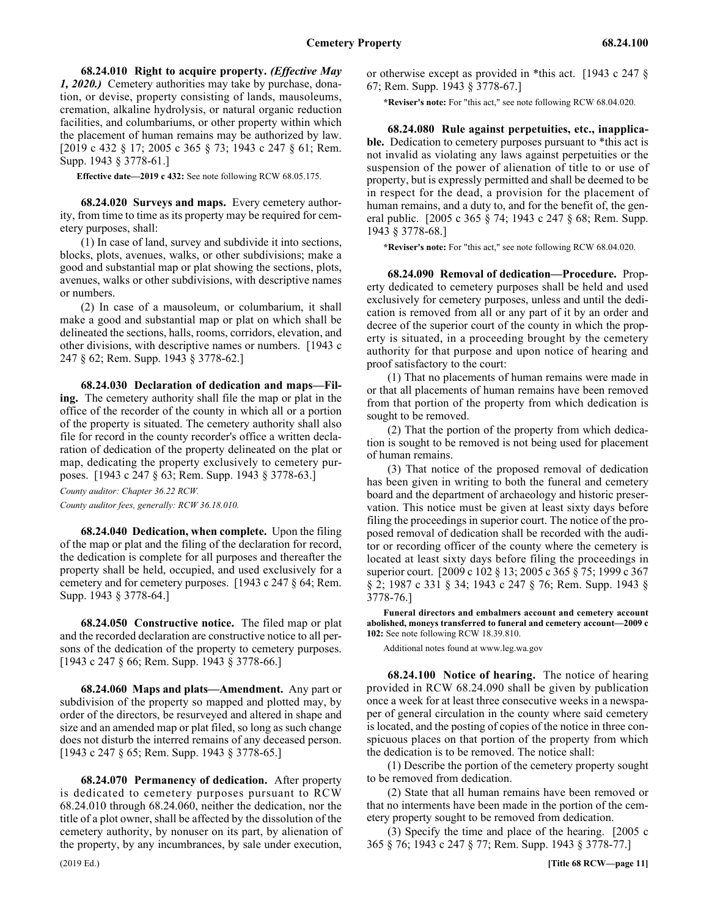68.24.010 68.24.010 Right to acquire property. (Effective May 1, 2020.) **68.24.010 Right to acquire property.** *(Effective May 1, 2020.)* Cemetery authorities may take by purchase, donation, or devise, property consisting of lands, mausoleums, cremation, alkaline hydrolysis, or natural organic reduction facilities, and columbariums, or other property within which the placement of human remains may be authorized by law. [2019 c 432 § 17; 2005 c 365 § 73; 1943 c 247 § 61; Rem. Supp. 1943 § 3778-61.]

**Effective date—2019 c 432:** See note following RCW 68.05.175.

68.24.020 68.24.020 Surveys and maps. **68.24.020 Surveys and maps.** Every cemetery authority, from time to time as its property may be required for cemetery purposes, shall:

(1) In case of land, survey and subdivide it into sections, blocks, plots, avenues, walks, or other subdivisions; make a good and substantial map or plat showing the sections, plots, avenues, walks or other subdivisions, with descriptive names or numbers.

(2) In case of a mausoleum, or columbarium, it shall make a good and substantial map or plat on which shall be delineated the sections, halls, rooms, corridors, elevation, and other divisions, with descriptive names or numbers. [1943 c 247 § 62; Rem. Supp. 1943 § 3778-62.]

68.24.030 68.24.030 Declaration of dedication and maps—Filing. **68.24.030 Declaration of dedication and maps—Filing.** The cemetery authority shall file the map or plat in the office of the recorder of the county in which all or a portion of the property is situated. The cemetery authority shall also file for record in the county recorder's office a written declaration of dedication of the property delineated on the plat or map, dedicating the property exclusively to cemetery purposes. [1943 c 247 § 63; Rem. Supp. 1943 § 3778-63.]

*County auditor: Chapter 36.22 RCW.*

*County auditor fees, generally: RCW 36.18.010.*

68.24.040 68.24.040 Dedication, when complete. **68.24.040 Dedication, when complete.** Upon the filing of the map or plat and the filing of the declaration for record, the dedication is complete for all purposes and thereafter the property shall be held, occupied, and used exclusively for a cemetery and for cemetery purposes. [1943 c 247 § 64; Rem. Supp. 1943 § 3778-64.]

68.24.050 68.24.050 Constructive notice. **68.24.050 Constructive notice.** The filed map or plat and the recorded declaration are constructive notice to all persons of the dedication of the property to cemetery purposes. [1943 c 247 § 66; Rem. Supp. 1943 § 3778-66.]

68.24.060 68.24.060 Maps and plats—Amendment. **68.24.060 Maps and plats—Amendment.** Any part or subdivision of the property so mapped and plotted may, by order of the directors, be resurveyed and altered in shape and size and an amended map or plat filed, so long as such change does not disturb the interred remains of any deceased person. [1943 c 247 § 65; Rem. Supp. 1943 § 3778-65.]

68.24.070 68.24.070 Permanency of dedication. **68.24.070 Permanency of dedication.** After property is dedicated to cemetery purposes pursuant to RCW 68.24.010 through 68.24.060, neither the dedication, nor the title of a plot owner, shall be affected by the dissolution of the cemetery authority, by nonuser on its part, by alienation of the property, by any incumbrances, by sale under execution,

or otherwise except as provided in \*this act. [1943 c 247 § 67; Rem. Supp. 1943 § 3778-67.]

**\*Reviser's note:** For "this act," see note following RCW 68.04.020.

68.24.080 68.24.080 Rule against perpetuities, etc., inapplicable. **68.24.080 Rule against perpetuities, etc., inapplicable.** Dedication to cemetery purposes pursuant to \*this act is not invalid as violating any laws against perpetuities or the suspension of the power of alienation of title to or use of property, but is expressly permitted and shall be deemed to be in respect for the dead, a provision for the placement of human remains, and a duty to, and for the benefit of, the general public. [2005 c 365 § 74; 1943 c 247 § 68; Rem. Supp. 1943 § 3778-68.]

**\*Reviser's note:** For "this act," see note following RCW 68.04.020.

68.24.090 68.24.090 Removal of dedication—Procedure. **68.24.090 Removal of dedication—Procedure.** Property dedicated to cemetery purposes shall be held and used exclusively for cemetery purposes, unless and until the dedication is removed from all or any part of it by an order and decree of the superior court of the county in which the property is situated, in a proceeding brought by the cemetery authority for that purpose and upon notice of hearing and proof satisfactory to the court:

(1) That no placements of human remains were made in or that all placements of human remains have been removed from that portion of the property from which dedication is sought to be removed.

(2) That the portion of the property from which dedication is sought to be removed is not being used for placement of human remains.

(3) That notice of the proposed removal of dedication has been given in writing to both the funeral and cemetery board and the department of archaeology and historic preservation. This notice must be given at least sixty days before filing the proceedings in superior court. The notice of the proposed removal of dedication shall be recorded with the auditor or recording officer of the county where the cemetery is located at least sixty days before filing the proceedings in superior court. [2009 c 102 § 13; 2005 c 365 § 75; 1999 c 367 § 2; 1987 c 331 § 34; 1943 c 247 § 76; Rem. Supp. 1943 § 3778-76.]

**Funeral directors and embalmers account and cemetery account abolished, moneys transferred to funeral and cemetery account—2009 c 102:** See note following RCW 18.39.810.

Additional notes found at www.leg.wa.gov

68.24.100 Notice of hearing. The notice of hearing. provided in RCW 68.24.090 shall be given by publication once a week for at least three consecutive weeks in a newspaper of general circulation in the county where said cemetery is located, and the posting of copies of the notice in three conspicuous places on that portion of the property from which the dedication is to be removed. The notice shall:

(1) Describe the portion of the cemetery property sought to be removed from dedication.

(2) State that all human remains have been removed or that no interments have been made in the portion of the cemetery property sought to be removed from dedication.

(3) Specify the time and place of the hearing. [2005 c 365 § 76; 1943 c 247 § 77; Rem. Supp. 1943 § 3778-77.]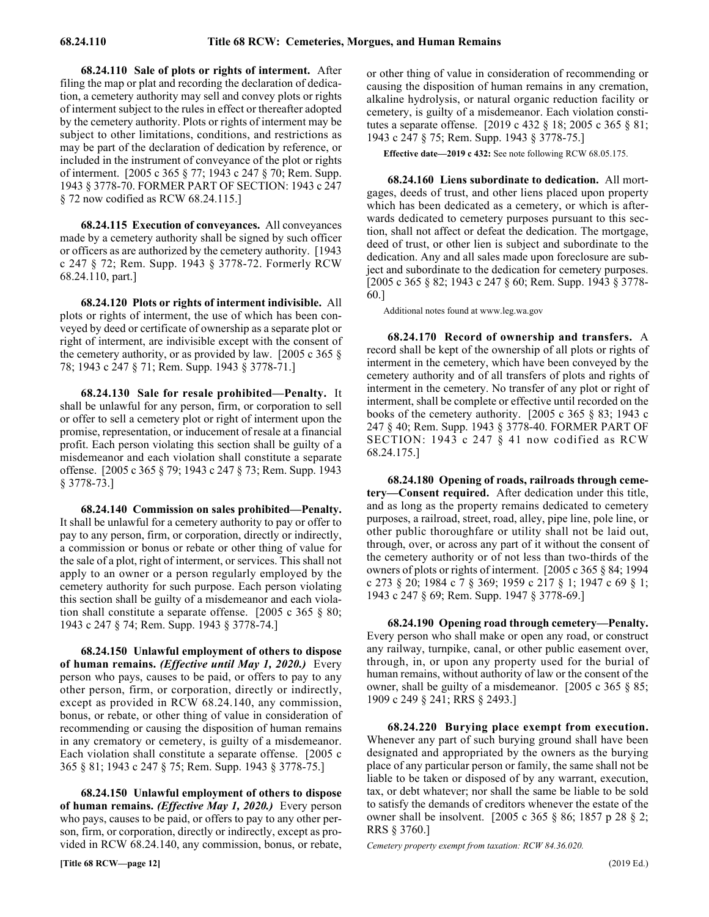68.24.110 68.24.110 Sale of plots or rights of interment. **68.24.110 Sale of plots or rights of interment.** After filing the map or plat and recording the declaration of dedication, a cemetery authority may sell and convey plots or rights of interment subject to the rules in effect or thereafter adopted by the cemetery authority. Plots or rights of interment may be subject to other limitations, conditions, and restrictions as may be part of the declaration of dedication by reference, or included in the instrument of conveyance of the plot or rights of interment. [2005 c 365 § 77; 1943 c 247 § 70; Rem. Supp. 1943 § 3778-70. FORMER PART OF SECTION: 1943 c 247 § 72 now codified as RCW 68.24.115.]

68.24.115 68.24.115 Execution of conveyances. **68.24.115 Execution of conveyances.** All conveyances made by a cemetery authority shall be signed by such officer or officers as are authorized by the cemetery authority. [1943 c 247 § 72; Rem. Supp. 1943 § 3778-72. Formerly RCW 68.24.110, part.]

68.24.120 68.24.120 Plots or rights of interment indivisible. **68.24.120 Plots or rights of interment indivisible.** All plots or rights of interment, the use of which has been conveyed by deed or certificate of ownership as a separate plot or right of interment, are indivisible except with the consent of the cemetery authority, or as provided by law. [2005 c 365 § 78; 1943 c 247 § 71; Rem. Supp. 1943 § 3778-71.]

68.24.130 68.24.130 Sale for resale prohibited—Penalty. **68.24.130 Sale for resale prohibited—Penalty.** It shall be unlawful for any person, firm, or corporation to sell or offer to sell a cemetery plot or right of interment upon the promise, representation, or inducement of resale at a financial profit. Each person violating this section shall be guilty of a misdemeanor and each violation shall constitute a separate offense. [2005 c 365 § 79; 1943 c 247 § 73; Rem. Supp. 1943 § 3778-73.]

68.24.140 68.24.140 Commission on sales prohibited—Penalty. **68.24.140 Commission on sales prohibited—Penalty.** It shall be unlawful for a cemetery authority to pay or offer to pay to any person, firm, or corporation, directly or indirectly, a commission or bonus or rebate or other thing of value for the sale of a plot, right of interment, or services. This shall not apply to an owner or a person regularly employed by the cemetery authority for such purpose. Each person violating this section shall be guilty of a misdemeanor and each violation shall constitute a separate offense. [2005 c 365 § 80; 1943 c 247 § 74; Rem. Supp. 1943 § 3778-74.]

68.24.150 Unlawful employment of others to dispose **of human remains.** *(Effective until May 1, 2020.)* Every person who pays, causes to be paid, or offers to pay to any other person, firm, or corporation, directly or indirectly, except as provided in RCW 68.24.140, any commission, bonus, or rebate, or other thing of value in consideration of recommending or causing the disposition of human remains in any crematory or cemetery, is guilty of a misdemeanor. Each violation shall constitute a separate offense. [2005 c 365 § 81; 1943 c 247 § 75; Rem. Supp. 1943 § 3778-75.]

68.24.150 Unlawful employment of others to dispose **of human remains.** *(Effective May 1, 2020.)* Every person who pays, causes to be paid, or offers to pay to any other person, firm, or corporation, directly or indirectly, except as provided in RCW 68.24.140, any commission, bonus, or rebate, or other thing of value in consideration of recommending or causing the disposition of human remains in any cremation, alkaline hydrolysis, or natural organic reduction facility or cemetery, is guilty of a misdemeanor. Each violation constitutes a separate offense. [2019 c 432 § 18; 2005 c 365 § 81; 1943 c 247 § 75; Rem. Supp. 1943 § 3778-75.]

**Effective date—2019 c 432:** See note following RCW 68.05.175.

68.24.160 68.24.160 Liens subordinate to dedication. **68.24.160 Liens subordinate to dedication.** All mortgages, deeds of trust, and other liens placed upon property which has been dedicated as a cemetery, or which is afterwards dedicated to cemetery purposes pursuant to this section, shall not affect or defeat the dedication. The mortgage, deed of trust, or other lien is subject and subordinate to the dedication. Any and all sales made upon foreclosure are subject and subordinate to the dedication for cemetery purposes. [2005 c 365 § 82; 1943 c 247 § 60; Rem. Supp. 1943 § 3778- 60.]

Additional notes found at www.leg.wa.gov

68.24.170 68.24.170 Record of ownership and transfers. **68.24.170 Record of ownership and transfers.** A record shall be kept of the ownership of all plots or rights of interment in the cemetery, which have been conveyed by the cemetery authority and of all transfers of plots and rights of interment in the cemetery. No transfer of any plot or right of interment, shall be complete or effective until recorded on the books of the cemetery authority. [2005 c 365 § 83; 1943 c 247 § 40; Rem. Supp. 1943 § 3778-40. FORMER PART OF SECTION: 1943 c 247 § 41 now codified as RCW 68.24.175.]

68.24.180 68.24.180 Opening of roads, railroads through cemetery—Consent required. **68.24.180 Opening of roads, railroads through cemetery—Consent required.** After dedication under this title, and as long as the property remains dedicated to cemetery purposes, a railroad, street, road, alley, pipe line, pole line, or other public thoroughfare or utility shall not be laid out, through, over, or across any part of it without the consent of the cemetery authority or of not less than two-thirds of the owners of plots or rights of interment. [2005 c 365 § 84; 1994 c 273 § 20; 1984 c 7 § 369; 1959 c 217 § 1; 1947 c 69 § 1; 1943 c 247 § 69; Rem. Supp. 1947 § 3778-69.]

68.24.190 68.24.190 Opening road through cemetery—Penalty. **68.24.190 Opening road through cemetery—Penalty.** Every person who shall make or open any road, or construct any railway, turnpike, canal, or other public easement over, through, in, or upon any property used for the burial of human remains, without authority of law or the consent of the owner, shall be guilty of a misdemeanor. [2005 c 365 § 85; 1909 c 249 § 241; RRS § 2493.]

68.24.220 68.24.220 Burying place exempt from execution. **68.24.220 Burying place exempt from execution.** Whenever any part of such burying ground shall have been designated and appropriated by the owners as the burying place of any particular person or family, the same shall not be liable to be taken or disposed of by any warrant, execution, tax, or debt whatever; nor shall the same be liable to be sold to satisfy the demands of creditors whenever the estate of the owner shall be insolvent. [2005 c 365 § 86; 1857 p 28 § 2; RRS § 3760.]

*Cemetery property exempt from taxation: RCW 84.36.020.*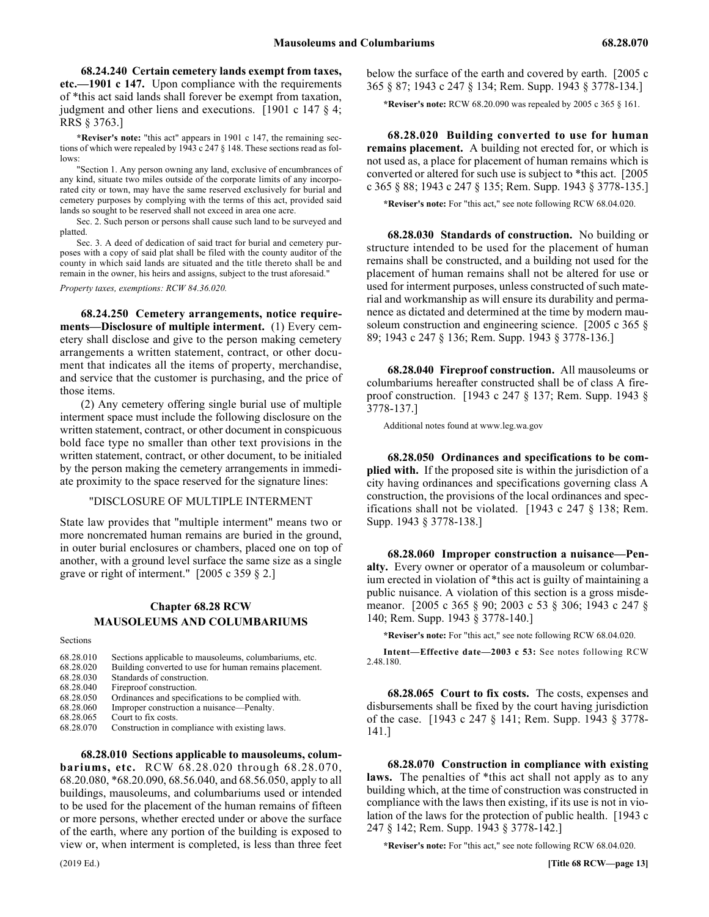68.24.240 Certain cemetery lands exempt from taxes, **etc.—1901 c 147.** Upon compliance with the requirements of \*this act said lands shall forever be exempt from taxation, judgment and other liens and executions. [1901 c 147 § 4; RRS § 3763.]

**\*Reviser's note:** "this act" appears in 1901 c 147, the remaining sections of which were repealed by 1943 c 247 § 148. These sections read as follows:

"Section 1. Any person owning any land, exclusive of encumbrances of any kind, situate two miles outside of the corporate limits of any incorporated city or town, may have the same reserved exclusively for burial and cemetery purposes by complying with the terms of this act, provided said lands so sought to be reserved shall not exceed in area one acre.

Sec. 2. Such person or persons shall cause such land to be surveyed and platted.

Sec. 3. A deed of dedication of said tract for burial and cemetery purposes with a copy of said plat shall be filed with the county auditor of the county in which said lands are situated and the title thereto shall be and remain in the owner, his heirs and assigns, subject to the trust aforesaid."

*Property taxes, exemptions: RCW 84.36.020.*

68.24.250 68.24.250 Cemetery arrangements, notice requirements—Disclosure of multiple interment. **68.24.250 Cemetery arrangements, notice requirements—Disclosure of multiple interment.** (1) Every cemetery shall disclose and give to the person making cemetery arrangements a written statement, contract, or other document that indicates all the items of property, merchandise, and service that the customer is purchasing, and the price of those items.

(2) Any cemetery offering single burial use of multiple interment space must include the following disclosure on the written statement, contract, or other document in conspicuous bold face type no smaller than other text provisions in the written statement, contract, or other document, to be initialed by the person making the cemetery arrangements in immediate proximity to the space reserved for the signature lines:

# "DISCLOSURE OF MULTIPLE INTERMENT

State law provides that "multiple interment" means two or more noncremated human remains are buried in the ground, in outer burial enclosures or chambers, placed one on top of another, with a ground level surface the same size as a single grave or right of interment." [2005 c 359 § 2.]

# Chapter 68.28 **Chapter 68.28 RCW** 68.28 MAUSOLEUMS AND COLUMBARIUMS **MAUSOLEUMS AND COLUMBARIUMS**

Sections

68.28.010 Sections applicable to mausoleums, columbariums, etc. 68.28.020 Building converted to use for human remains placement. 68.28.030 Standards of construction. 68.28.040 Fireproof construction. 68.28.050 Ordinances and specifications to be complied with. 68.28.060 Improper construction a nuisance—Penalty.<br>68.28.065 Court to fix costs. Court to fix costs. 68.28.070 Construction in compliance with existing laws.

68.28.010 68.28.010 Sections applicable to mausoleums, columbariums, etc. **68.28.010 Sections applicable to mausoleums, columbariums, etc.** RCW 68.28.020 through 68.28.070, 68.20.080, \*68.20.090, 68.56.040, and 68.56.050, apply to all buildings, mausoleums, and columbariums used or intended to be used for the placement of the human remains of fifteen or more persons, whether erected under or above the surface of the earth, where any portion of the building is exposed to view or, when interment is completed, is less than three feet below the surface of the earth and covered by earth. [2005 c 365 § 87; 1943 c 247 § 134; Rem. Supp. 1943 § 3778-134.]

**\*Reviser's note:** RCW 68.20.090 was repealed by 2005 c 365 § 161.

68.28.020 Building converted to use for human **remains placement.** A building not erected for, or which is not used as, a place for placement of human remains which is converted or altered for such use is subject to \*this act. [2005 c 365 § 88; 1943 c 247 § 135; Rem. Supp. 1943 § 3778-135.]

**\*Reviser's note:** For "this act," see note following RCW 68.04.020.

68.28.030 68.28.030 Standards of construction. **68.28.030 Standards of construction.** No building or structure intended to be used for the placement of human remains shall be constructed, and a building not used for the placement of human remains shall not be altered for use or used for interment purposes, unless constructed of such material and workmanship as will ensure its durability and permanence as dictated and determined at the time by modern mausoleum construction and engineering science. [2005 c 365 § 89; 1943 c 247 § 136; Rem. Supp. 1943 § 3778-136.]

68.28.040 Fireproof construction. All mausoleums or columbariums hereafter constructed shall be of class A fireproof construction. [1943 c 247 § 137; Rem. Supp. 1943 § 3778-137.]

Additional notes found at www.leg.wa.gov

68.28.050 Ordinances and specifications to be com**plied with.** If the proposed site is within the jurisdiction of a city having ordinances and specifications governing class A construction, the provisions of the local ordinances and specifications shall not be violated. [1943 c 247 § 138; Rem. Supp. 1943 § 3778-138.]

68.28.060 Improper construction a nuisance—Pen**alty.** Every owner or operator of a mausoleum or columbarium erected in violation of \*this act is guilty of maintaining a public nuisance. A violation of this section is a gross misdemeanor. [2005 c 365 § 90; 2003 c 53 § 306; 1943 c 247 § 140; Rem. Supp. 1943 § 3778-140.]

**\*Reviser's note:** For "this act," see note following RCW 68.04.020.

**Intent—Effective date—2003 c 53:** See notes following RCW 2.48.180.

68.28.065 68.28.065 Court to fix costs. **68.28.065 Court to fix costs.** The costs, expenses and disbursements shall be fixed by the court having jurisdiction of the case. [1943 c 247 § 141; Rem. Supp. 1943 § 3778- 141.]

68.28.070 Construction in compliance with existing laws. The penalties of \*this act shall not apply as to any building which, at the time of construction was constructed in compliance with the laws then existing, if its use is not in violation of the laws for the protection of public health. [1943 c 247 § 142; Rem. Supp. 1943 § 3778-142.]

**\*Reviser's note:** For "this act," see note following RCW 68.04.020.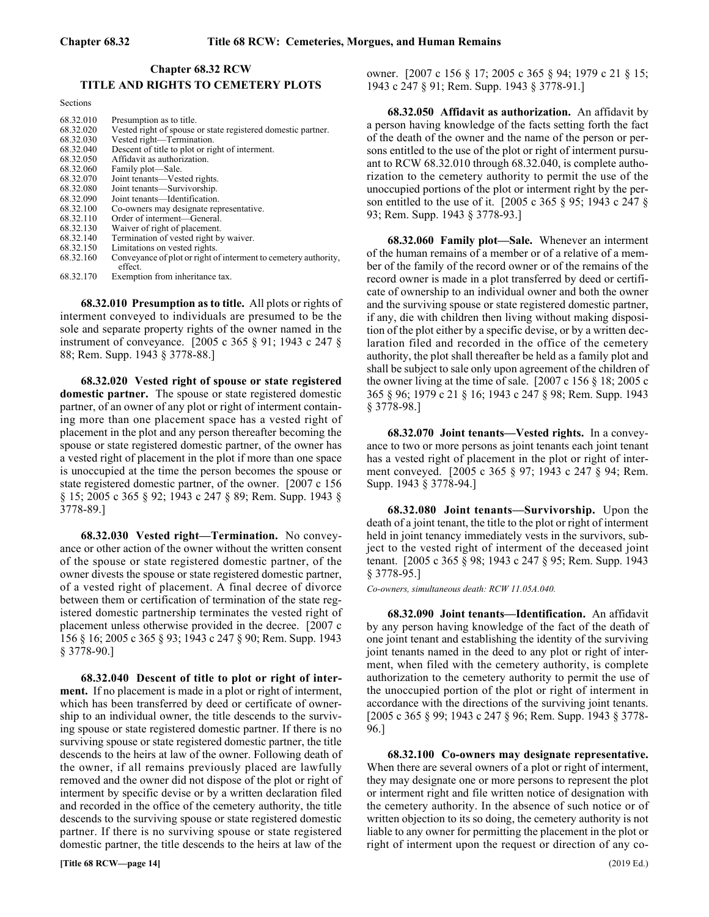# **Chapter 68.32 RCW** 68.32 TITLE AND RIGHTS TO CEMETERY PLOTS **TITLE AND RIGHTS TO CEMETERY PLOTS**

Sections

| 68.32.010 | Presumption as to title.                                                   |
|-----------|----------------------------------------------------------------------------|
| 68.32.020 | Vested right of spouse or state registered domestic partner.               |
| 68.32.030 | Vested right-Termination.                                                  |
| 68.32.040 | Descent of title to plot or right of interment.                            |
| 68.32.050 | Affidavit as authorization.                                                |
| 68.32.060 | Family plot—Sale.                                                          |
| 68.32.070 | Joint tenants—Vested rights.                                               |
| 68.32.080 | Joint tenants—Survivorship.                                                |
| 68.32.090 | Joint tenants—Identification.                                              |
| 68.32.100 | Co-owners may designate representative.                                    |
| 68.32.110 | Order of interment—General.                                                |
| 68.32.130 | Waiver of right of placement.                                              |
| 68.32.140 | Termination of vested right by waiver.                                     |
| 68.32.150 | Limitations on vested rights.                                              |
| 68.32.160 | Conveyance of plot or right of interment to cemetery authority,<br>effect. |
| 68.32.170 | Exemption from inheritance tax.                                            |

68.32.010 68.32.010 Presumption as to title. **68.32.010 Presumption as to title.** All plots or rights of interment conveyed to individuals are presumed to be the sole and separate property rights of the owner named in the instrument of conveyance. [2005 c 365 § 91; 1943 c 247 § 88; Rem. Supp. 1943 § 3778-88.]

68.32.020 Vested right of spouse or state registered **domestic partner.** The spouse or state registered domestic partner, of an owner of any plot or right of interment containing more than one placement space has a vested right of placement in the plot and any person thereafter becoming the spouse or state registered domestic partner, of the owner has a vested right of placement in the plot if more than one space is unoccupied at the time the person becomes the spouse or state registered domestic partner, of the owner. [2007 c 156 § 15; 2005 c 365 § 92; 1943 c 247 § 89; Rem. Supp. 1943 § 3778-89.]

68.32.030 68.32.030 Vested right—Termination. **68.32.030 Vested right—Termination.** No conveyance or other action of the owner without the written consent of the spouse or state registered domestic partner, of the owner divests the spouse or state registered domestic partner, of a vested right of placement. A final decree of divorce between them or certification of termination of the state registered domestic partnership terminates the vested right of placement unless otherwise provided in the decree. [2007 c 156 § 16; 2005 c 365 § 93; 1943 c 247 § 90; Rem. Supp. 1943 § 3778-90.]

68.32.040 68.32.040 Descent of title to plot or right of interment. **68.32.040 Descent of title to plot or right of interment.** If no placement is made in a plot or right of interment, which has been transferred by deed or certificate of ownership to an individual owner, the title descends to the surviving spouse or state registered domestic partner. If there is no surviving spouse or state registered domestic partner, the title descends to the heirs at law of the owner. Following death of the owner, if all remains previously placed are lawfully removed and the owner did not dispose of the plot or right of interment by specific devise or by a written declaration filed and recorded in the office of the cemetery authority, the title descends to the surviving spouse or state registered domestic partner. If there is no surviving spouse or state registered domestic partner, the title descends to the heirs at law of the

owner. [2007 c 156 § 17; 2005 c 365 § 94; 1979 c 21 § 15; 1943 c 247 § 91; Rem. Supp. 1943 § 3778-91.]

68.32.050 68.32.050 Affidavit as authorization. **68.32.050 Affidavit as authorization.** An affidavit by a person having knowledge of the facts setting forth the fact of the death of the owner and the name of the person or persons entitled to the use of the plot or right of interment pursuant to RCW 68.32.010 through 68.32.040, is complete authorization to the cemetery authority to permit the use of the unoccupied portions of the plot or interment right by the person entitled to the use of it. [2005 c 365 § 95; 1943 c 247 § 93; Rem. Supp. 1943 § 3778-93.]

68.32.060 68.32.060 Family plot—Sale. **68.32.060 Family plot—Sale.** Whenever an interment of the human remains of a member or of a relative of a member of the family of the record owner or of the remains of the record owner is made in a plot transferred by deed or certificate of ownership to an individual owner and both the owner and the surviving spouse or state registered domestic partner, if any, die with children then living without making disposition of the plot either by a specific devise, or by a written declaration filed and recorded in the office of the cemetery authority, the plot shall thereafter be held as a family plot and shall be subject to sale only upon agreement of the children of the owner living at the time of sale. [2007 c 156 § 18; 2005 c 365 § 96; 1979 c 21 § 16; 1943 c 247 § 98; Rem. Supp. 1943 § 3778-98.]

68.32.070 68.32.070 Joint tenants—Vested rights. **68.32.070 Joint tenants—Vested rights.** In a conveyance to two or more persons as joint tenants each joint tenant has a vested right of placement in the plot or right of interment conveyed. [2005 c 365 § 97; 1943 c 247 § 94; Rem. Supp. 1943 § 3778-94.]

68.32.080 68.32.080 Joint tenants—Survivorship. **68.32.080 Joint tenants—Survivorship.** Upon the death of a joint tenant, the title to the plot or right of interment held in joint tenancy immediately vests in the survivors, subject to the vested right of interment of the deceased joint tenant. [2005 c 365 § 98; 1943 c 247 § 95; Rem. Supp. 1943 § 3778-95.]

*Co-owners, simultaneous death: RCW 11.05A.040.*

68.32.090 68.32.090 Joint tenants—Identification. **68.32.090 Joint tenants—Identification.** An affidavit by any person having knowledge of the fact of the death of one joint tenant and establishing the identity of the surviving joint tenants named in the deed to any plot or right of interment, when filed with the cemetery authority, is complete authorization to the cemetery authority to permit the use of the unoccupied portion of the plot or right of interment in accordance with the directions of the surviving joint tenants. [2005 c 365 § 99; 1943 c 247 § 96; Rem. Supp. 1943 § 3778- 96.]

68.32.100 68.32.100 Co-owners may designate representative. **68.32.100 Co-owners may designate representative.** When there are several owners of a plot or right of interment, they may designate one or more persons to represent the plot or interment right and file written notice of designation with the cemetery authority. In the absence of such notice or of written objection to its so doing, the cemetery authority is not liable to any owner for permitting the placement in the plot or right of interment upon the request or direction of any co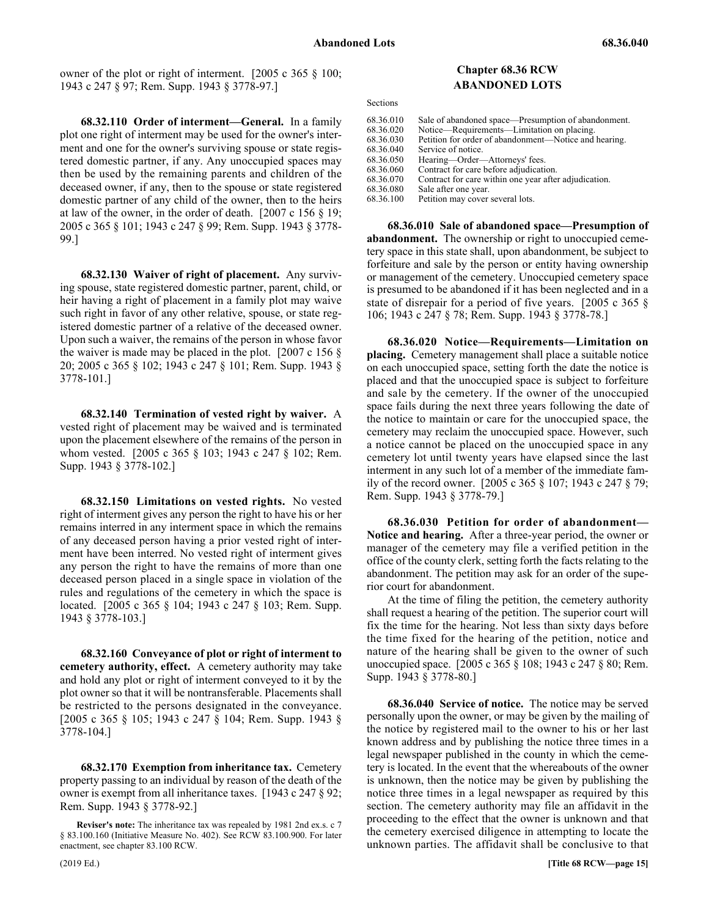owner of the plot or right of interment. [2005 c 365 § 100; 1943 c 247 § 97; Rem. Supp. 1943 § 3778-97.]

**68.32.110 Order of interment—General.** In a family plot one right of interment may be used for the owner's interment and one for the owner's surviving spouse or state registered domestic partner, if any. Any unoccupied spaces may then be used by the remaining parents and children of the deceased owner, if any, then to the spouse or state registered domestic partner of any child of the owner, then to the heirs at law of the owner, in the order of death. [2007 c 156 § 19; 2005 c 365 § 101; 1943 c 247 § 99; Rem. Supp. 1943 § 3778- 99.]

**68.32.130 Waiver of right of placement.** Any surviving spouse, state registered domestic partner, parent, child, or heir having a right of placement in a family plot may waive such right in favor of any other relative, spouse, or state registered domestic partner of a relative of the deceased owner. Upon such a waiver, the remains of the person in whose favor the waiver is made may be placed in the plot.  $[2007 \text{ c } 156 \text{ §}]$ 20; 2005 c 365 § 102; 1943 c 247 § 101; Rem. Supp. 1943 § 3778-101.]

**68.32.140 Termination of vested right by waiver.** A vested right of placement may be waived and is terminated upon the placement elsewhere of the remains of the person in whom vested. [2005 c 365 § 103; 1943 c 247 § 102; Rem. Supp. 1943 § 3778-102.]

**68.32.150 Limitations on vested rights.** No vested right of interment gives any person the right to have his or her remains interred in any interment space in which the remains of any deceased person having a prior vested right of interment have been interred. No vested right of interment gives any person the right to have the remains of more than one deceased person placed in a single space in violation of the rules and regulations of the cemetery in which the space is located. [2005 c 365 § 104; 1943 c 247 § 103; Rem. Supp. 1943 § 3778-103.]

**68.32.160 Conveyance of plot or right of interment to cemetery authority, effect.** A cemetery authority may take and hold any plot or right of interment conveyed to it by the plot owner so that it will be nontransferable. Placements shall be restricted to the persons designated in the conveyance. [2005 c 365 § 105; 1943 c 247 § 104; Rem. Supp. 1943 § 3778-104.]

**68.32.170 Exemption from inheritance tax.** Cemetery property passing to an individual by reason of the death of the owner is exempt from all inheritance taxes. [1943 c 247 § 92; Rem. Supp. 1943 § 3778-92.]

#### Chapter 68.36 **Chapter 68.36 RCW ABANDONED LOTS**

Sections

| 68.36.010 | Sale of abandoned space—Presumption of abandonment.   |
|-----------|-------------------------------------------------------|
| 68.36.020 | Notice—Requirements—Limitation on placing.            |
| 68.36.030 | Petition for order of abandonment—Notice and hearing. |
| 68.36.040 | Service of notice.                                    |
| 68.36.050 | Hearing—Order—Attorneys' fees.                        |
| 68.36.060 | Contract for care before adjudication.                |
| 68.36.070 | Contract for care within one year after adjudication. |
| 68.36.080 | Sale after one year.                                  |
| 68.36.100 | Petition may cover several lots.                      |
|           |                                                       |

68.36.010 68.36.010 Sale of abandoned space—Presumption of abandonment. **68.36.010 Sale of abandoned space—Presumption of abandonment.** The ownership or right to unoccupied cemetery space in this state shall, upon abandonment, be subject to forfeiture and sale by the person or entity having ownership or management of the cemetery. Unoccupied cemetery space is presumed to be abandoned if it has been neglected and in a state of disrepair for a period of five years. [2005 c 365 § 106; 1943 c 247 § 78; Rem. Supp. 1943 § 3778-78.]

68.36.020 68.36.020 Notice—Requirements—Limitation on placing. **68.36.020 Notice—Requirements—Limitation on placing.** Cemetery management shall place a suitable notice on each unoccupied space, setting forth the date the notice is placed and that the unoccupied space is subject to forfeiture and sale by the cemetery. If the owner of the unoccupied space fails during the next three years following the date of the notice to maintain or care for the unoccupied space, the cemetery may reclaim the unoccupied space. However, such a notice cannot be placed on the unoccupied space in any cemetery lot until twenty years have elapsed since the last interment in any such lot of a member of the immediate family of the record owner. [2005 c 365 § 107; 1943 c 247 § 79; Rem. Supp. 1943 § 3778-79.]

68.36.030 Petition for order of abandonment— **Notice and hearing.** After a three-year period, the owner or manager of the cemetery may file a verified petition in the office of the county clerk, setting forth the facts relating to the abandonment. The petition may ask for an order of the superior court for abandonment.

At the time of filing the petition, the cemetery authority shall request a hearing of the petition. The superior court will fix the time for the hearing. Not less than sixty days before the time fixed for the hearing of the petition, notice and nature of the hearing shall be given to the owner of such unoccupied space. [2005 c 365 § 108; 1943 c 247 § 80; Rem. Supp. 1943 § 3778-80.]

68.36.040 68.36.040 Service of notice. **68.36.040 Service of notice.** The notice may be served personally upon the owner, or may be given by the mailing of the notice by registered mail to the owner to his or her last known address and by publishing the notice three times in a legal newspaper published in the county in which the cemetery is located. In the event that the whereabouts of the owner is unknown, then the notice may be given by publishing the notice three times in a legal newspaper as required by this section. The cemetery authority may file an affidavit in the proceeding to the effect that the owner is unknown and that the cemetery exercised diligence in attempting to locate the unknown parties. The affidavit shall be conclusive to that

**Reviser's note:** The inheritance tax was repealed by 1981 2nd ex.s. c 7 § 83.100.160 (Initiative Measure No. 402). See RCW 83.100.900. For later enactment, see chapter 83.100 RCW.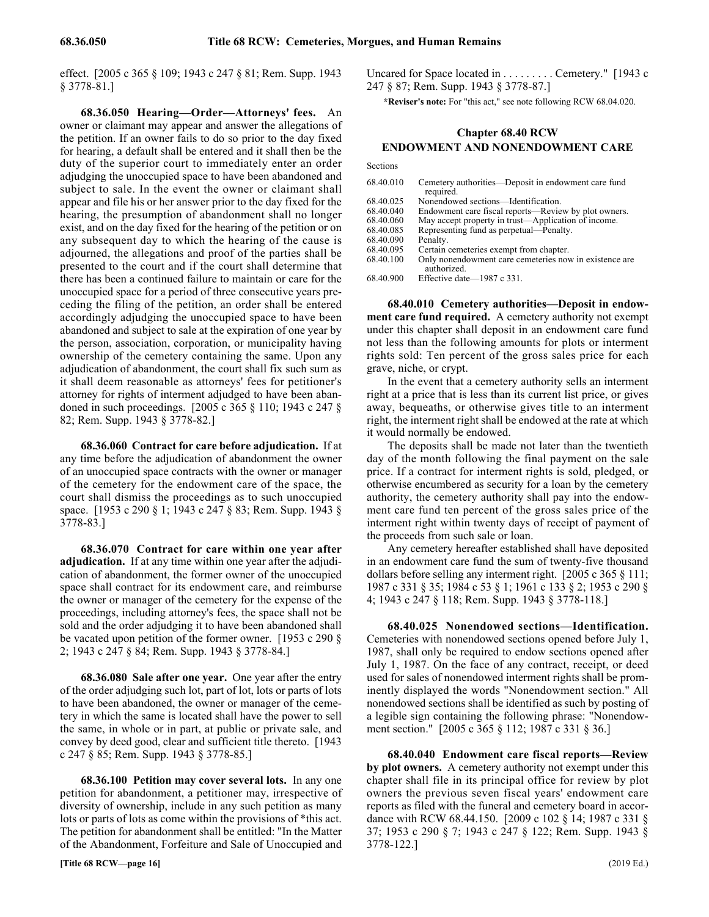effect. [2005 c 365 § 109; 1943 c 247 § 81; Rem. Supp. 1943 § 3778-81.]

68.36.050 68.36.050 Hearing—Order—Attorneys' fees. **68.36.050 Hearing—Order—Attorneys' fees.** An owner or claimant may appear and answer the allegations of the petition. If an owner fails to do so prior to the day fixed for hearing, a default shall be entered and it shall then be the duty of the superior court to immediately enter an order adjudging the unoccupied space to have been abandoned and subject to sale. In the event the owner or claimant shall appear and file his or her answer prior to the day fixed for the hearing, the presumption of abandonment shall no longer exist, and on the day fixed for the hearing of the petition or on any subsequent day to which the hearing of the cause is adjourned, the allegations and proof of the parties shall be presented to the court and if the court shall determine that there has been a continued failure to maintain or care for the unoccupied space for a period of three consecutive years preceding the filing of the petition, an order shall be entered accordingly adjudging the unoccupied space to have been abandoned and subject to sale at the expiration of one year by the person, association, corporation, or municipality having ownership of the cemetery containing the same. Upon any adjudication of abandonment, the court shall fix such sum as it shall deem reasonable as attorneys' fees for petitioner's attorney for rights of interment adjudged to have been abandoned in such proceedings. [2005 c 365 § 110; 1943 c 247 § 82; Rem. Supp. 1943 § 3778-82.]

68.36.060 68.36.060 Contract for care before adjudication. **68.36.060 Contract for care before adjudication.** If at any time before the adjudication of abandonment the owner of an unoccupied space contracts with the owner or manager of the cemetery for the endowment care of the space, the court shall dismiss the proceedings as to such unoccupied space. [1953 c 290 § 1; 1943 c 247 § 83; Rem. Supp. 1943 § 3778-83.]

68.36.070 Contract for care within one year after **adjudication.** If at any time within one year after the adjudication of abandonment, the former owner of the unoccupied space shall contract for its endowment care, and reimburse the owner or manager of the cemetery for the expense of the proceedings, including attorney's fees, the space shall not be sold and the order adjudging it to have been abandoned shall be vacated upon petition of the former owner. [1953 c 290 § 2; 1943 c 247 § 84; Rem. Supp. 1943 § 3778-84.]

68.36.080 68.36.080 Sale after one year. **68.36.080 Sale after one year.** One year after the entry of the order adjudging such lot, part of lot, lots or parts of lots to have been abandoned, the owner or manager of the cemetery in which the same is located shall have the power to sell the same, in whole or in part, at public or private sale, and convey by deed good, clear and sufficient title thereto. [1943 c 247 § 85; Rem. Supp. 1943 § 3778-85.]

68.36.100 68.36.100 Petition may cover several lots. **68.36.100 Petition may cover several lots.** In any one petition for abandonment, a petitioner may, irrespective of diversity of ownership, include in any such petition as many lots or parts of lots as come within the provisions of \*this act. The petition for abandonment shall be entitled: "In the Matter of the Abandonment, Forfeiture and Sale of Unoccupied and

Uncared for Space located in . . . . . . . . . Cemetery." [1943 c 247 § 87; Rem. Supp. 1943 § 3778-87.]

**\*Reviser's note:** For "this act," see note following RCW 68.04.020.

# Chapter 68.40 **Chapter 68.40 RCW ENDOWMENT AND NONENDOWMENT CARE**

Sections

| 68.40.010 | Cemetery authorities—Deposit in endowment care fund<br>required.      |
|-----------|-----------------------------------------------------------------------|
| 68.40.025 | Nonendowed sections—Identification.                                   |
| 68.40.040 | Endowment care fiscal reports—Review by plot owners.                  |
| 68.40.060 | May accept property in trust—Application of income.                   |
| 68.40.085 | Representing fund as perpetual—Penalty.                               |
| 68.40.090 | Penalty.                                                              |
| 68.40.095 | Certain cemeteries exempt from chapter.                               |
| 68.40.100 | Only nonendowment care cemeteries now in existence are<br>authorized. |
| 68.40.900 | Effective date— $1987$ c 331.                                         |

68.40.010 Cemetery authorities-Deposit in endow**ment care fund required.** A cemetery authority not exempt under this chapter shall deposit in an endowment care fund not less than the following amounts for plots or interment rights sold: Ten percent of the gross sales price for each grave, niche, or crypt.

In the event that a cemetery authority sells an interment right at a price that is less than its current list price, or gives away, bequeaths, or otherwise gives title to an interment right, the interment right shall be endowed at the rate at which it would normally be endowed.

The deposits shall be made not later than the twentieth day of the month following the final payment on the sale price. If a contract for interment rights is sold, pledged, or otherwise encumbered as security for a loan by the cemetery authority, the cemetery authority shall pay into the endowment care fund ten percent of the gross sales price of the interment right within twenty days of receipt of payment of the proceeds from such sale or loan.

Any cemetery hereafter established shall have deposited in an endowment care fund the sum of twenty-five thousand dollars before selling any interment right. [2005 c 365 § 111; 1987 c 331 § 35; 1984 c 53 § 1; 1961 c 133 § 2; 1953 c 290 § 4; 1943 c 247 § 118; Rem. Supp. 1943 § 3778-118.]

68.40.025 68.40.025 Nonendowed sections—Identification. **68.40.025 Nonendowed sections—Identification.** Cemeteries with nonendowed sections opened before July 1, 1987, shall only be required to endow sections opened after July 1, 1987. On the face of any contract, receipt, or deed used for sales of nonendowed interment rights shall be prominently displayed the words "Nonendowment section." All nonendowed sections shall be identified as such by posting of a legible sign containing the following phrase: "Nonendowment section." [2005 c 365 § 112; 1987 c 331 § 36.]

68.40.040 68.40.040 Endowment care fiscal reports—Review by plot owners. **68.40.040 Endowment care fiscal reports—Review by plot owners.** A cemetery authority not exempt under this chapter shall file in its principal office for review by plot owners the previous seven fiscal years' endowment care reports as filed with the funeral and cemetery board in accordance with RCW 68.44.150. [2009 c 102 § 14; 1987 c 331 § 37; 1953 c 290 § 7; 1943 c 247 § 122; Rem. Supp. 1943 § 3778-122.]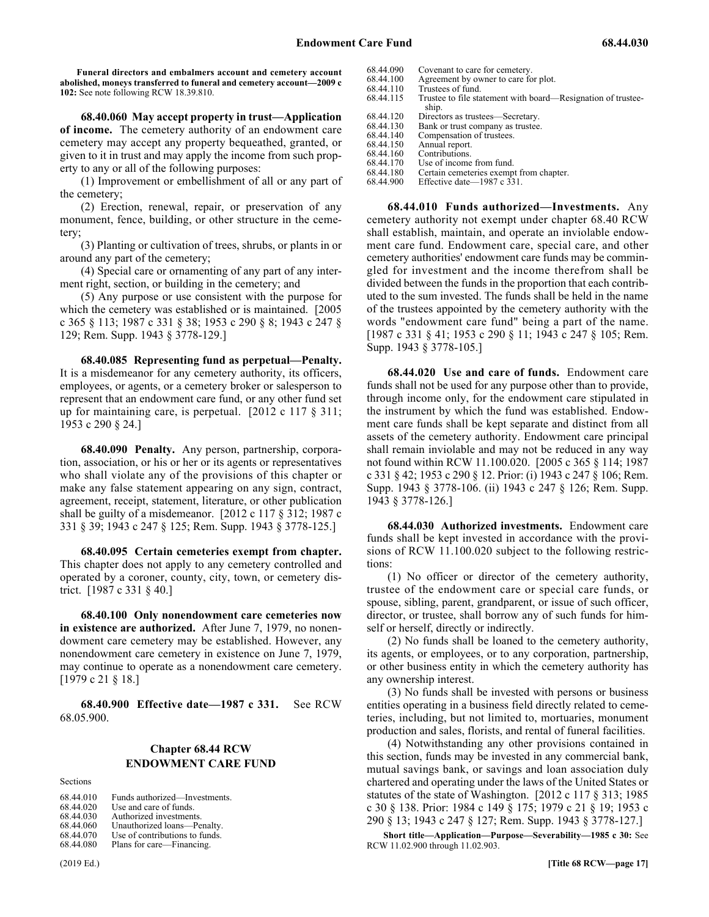**Funeral directors and embalmers account and cemetery account abolished, moneys transferred to funeral and cemetery account—2009 c 102:** See note following RCW 18.39.810.

68.40.060 May accept property in trust—Application **of income.** The cemetery authority of an endowment care cemetery may accept any property bequeathed, granted, or given to it in trust and may apply the income from such property to any or all of the following purposes:

(1) Improvement or embellishment of all or any part of the cemetery;

(2) Erection, renewal, repair, or preservation of any monument, fence, building, or other structure in the cemetery;

(3) Planting or cultivation of trees, shrubs, or plants in or around any part of the cemetery;

(4) Special care or ornamenting of any part of any interment right, section, or building in the cemetery; and

(5) Any purpose or use consistent with the purpose for which the cemetery was established or is maintained. [2005 c 365 § 113; 1987 c 331 § 38; 1953 c 290 § 8; 1943 c 247 § 129; Rem. Supp. 1943 § 3778-129.]

68.40.085 68.40.085 Representing fund as perpetual—Penalty. **68.40.085 Representing fund as perpetual—Penalty.** It is a misdemeanor for any cemetery authority, its officers, employees, or agents, or a cemetery broker or salesperson to represent that an endowment care fund, or any other fund set up for maintaining care, is perpetual. [2012 c 117 § 311; 1953 c 290 § 24.]

68.40.090 68.40.090 Penalty. **68.40.090 Penalty.** Any person, partnership, corporation, association, or his or her or its agents or representatives who shall violate any of the provisions of this chapter or make any false statement appearing on any sign, contract, agreement, receipt, statement, literature, or other publication shall be guilty of a misdemeanor. [2012 c 117 § 312; 1987 c 331 § 39; 1943 c 247 § 125; Rem. Supp. 1943 § 3778-125.]

68.40.095 68.40.095 Certain cemeteries exempt from chapter. **68.40.095 Certain cemeteries exempt from chapter.** This chapter does not apply to any cemetery controlled and operated by a coroner, county, city, town, or cemetery district. [1987 c 331 § 40.]

68.40.100 Only nonendowment care cemeteries now **in existence are authorized.** After June 7, 1979, no nonendowment care cemetery may be established. However, any nonendowment care cemetery in existence on June 7, 1979, may continue to operate as a nonendowment care cemetery. [1979 c 21 § 18.]

68.40.900 68.40.900 Effective date—1987 c 331. **68.40.900 Effective date—1987 c 331.** See RCW 68.05.900.

# Chapter 68.44 **Chapter 68.44 RCW ENDOWMENT CARE FUND**

Sections

| 68.44.010 | Funds authorized—Investments.  |
|-----------|--------------------------------|
| 68.44.020 | Use and care of funds.         |
| 68.44.030 | Authorized investments.        |
| 68.44.060 | Unauthorized loans-Penalty.    |
| 68.44.070 | Use of contributions to funds. |
| 68.44.080 | Plans for care—Financing.      |

68.44.090 Covenant to care for cemetery.<br>68.44.100 Agreement by owner to care fo 68.44.100 Agreement by owner to care for plot.<br>68.44.110 Trustees of fund. 68.44.110 Trustees of fund.<br>68.44.115 Trustee to file sta 68.44.115 Trustee to file statement with board—Resignation of trustee-<br>68.44.120 Directors as trustees—Secretary. 68.44.120 Directors as trustees—Secretary.<br>68.44.130 Bank or trust company as trustee 68.44.130 Bank or trust company as trustee.<br>68.44.140 Compensation of trustees. 68.44.140 Compensation of trustees.<br>68.44.150 Annual report. 68.44.150 Annual report.<br>68.44.160 Contributions. 68.44.160 Contributions.<br>68.44.170 Use of income 68.44.170 Use of income from fund.<br>68.44.180 Certain cemeteries exemp

68.44.180 Certain cemeteries exempt from chapter.<br>68.44.900 Effective date—1987 c 331. Effective date—1987 c  $331$ .

68.44.010 68.44.010 Funds authorized—Investments. **68.44.010 Funds authorized—Investments.** Any cemetery authority not exempt under chapter 68.40 RCW shall establish, maintain, and operate an inviolable endowment care fund. Endowment care, special care, and other cemetery authorities' endowment care funds may be commingled for investment and the income therefrom shall be divided between the funds in the proportion that each contributed to the sum invested. The funds shall be held in the name of the trustees appointed by the cemetery authority with the words "endowment care fund" being a part of the name. [1987 c 331 § 41; 1953 c 290 § 11; 1943 c 247 § 105; Rem. Supp. 1943 § 3778-105.]

68.44.020 68.44.020 Use and care of funds. **68.44.020 Use and care of funds.** Endowment care funds shall not be used for any purpose other than to provide, through income only, for the endowment care stipulated in the instrument by which the fund was established. Endowment care funds shall be kept separate and distinct from all assets of the cemetery authority. Endowment care principal shall remain inviolable and may not be reduced in any way not found within RCW 11.100.020. [2005 c 365 § 114; 1987 c 331 § 42; 1953 c 290 § 12. Prior: (i) 1943 c 247 § 106; Rem. Supp. 1943 § 3778-106. (ii) 1943 c 247 § 126; Rem. Supp. 1943 § 3778-126.]

68.44.030 68.44.030 Authorized investments. **68.44.030 Authorized investments.** Endowment care funds shall be kept invested in accordance with the provisions of RCW 11.100.020 subject to the following restrictions:

(1) No officer or director of the cemetery authority, trustee of the endowment care or special care funds, or spouse, sibling, parent, grandparent, or issue of such officer, director, or trustee, shall borrow any of such funds for himself or herself, directly or indirectly.

(2) No funds shall be loaned to the cemetery authority, its agents, or employees, or to any corporation, partnership, or other business entity in which the cemetery authority has any ownership interest.

(3) No funds shall be invested with persons or business entities operating in a business field directly related to cemeteries, including, but not limited to, mortuaries, monument production and sales, florists, and rental of funeral facilities.

(4) Notwithstanding any other provisions contained in this section, funds may be invested in any commercial bank, mutual savings bank, or savings and loan association duly chartered and operating under the laws of the United States or statutes of the state of Washington. [2012 c 117 § 313; 1985 c 30 § 138. Prior: 1984 c 149 § 175; 1979 c 21 § 19; 1953 c 290 § 13; 1943 c 247 § 127; Rem. Supp. 1943 § 3778-127.]

**Short title—Application—Purpose—Severability—1985 c 30:** See RCW 11.02.900 through 11.02.903.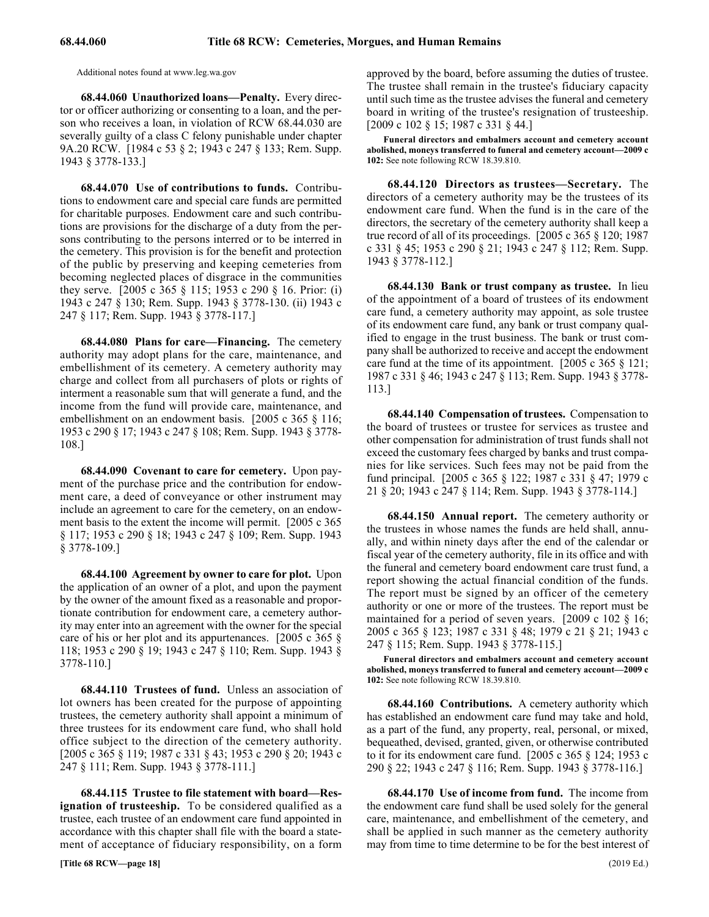Additional notes found at www.leg.wa.gov

68.44.060 68.44.060 Unauthorized loans—Penalty. **68.44.060 Unauthorized loans—Penalty.** Every director or officer authorizing or consenting to a loan, and the person who receives a loan, in violation of RCW 68.44.030 are severally guilty of a class C felony punishable under chapter 9A.20 RCW. [1984 c 53 § 2; 1943 c 247 § 133; Rem. Supp. 1943 § 3778-133.]

68.44.070 68.44.070 Use of contributions to funds. **68.44.070 Use of contributions to funds.** Contributions to endowment care and special care funds are permitted for charitable purposes. Endowment care and such contributions are provisions for the discharge of a duty from the persons contributing to the persons interred or to be interred in the cemetery. This provision is for the benefit and protection of the public by preserving and keeping cemeteries from becoming neglected places of disgrace in the communities they serve. [2005 c 365 § 115; 1953 c 290 § 16. Prior: (i) 1943 c 247 § 130; Rem. Supp. 1943 § 3778-130. (ii) 1943 c 247 § 117; Rem. Supp. 1943 § 3778-117.]

68.44.080 68.44.080 Plans for care—Financing. **68.44.080 Plans for care—Financing.** The cemetery authority may adopt plans for the care, maintenance, and embellishment of its cemetery. A cemetery authority may charge and collect from all purchasers of plots or rights of interment a reasonable sum that will generate a fund, and the income from the fund will provide care, maintenance, and embellishment on an endowment basis. [2005 c 365 § 116; 1953 c 290 § 17; 1943 c 247 § 108; Rem. Supp. 1943 § 3778- 108.]

68.44.090 68.44.090 Covenant to care for cemetery. **68.44.090 Covenant to care for cemetery.** Upon payment of the purchase price and the contribution for endowment care, a deed of conveyance or other instrument may include an agreement to care for the cemetery, on an endowment basis to the extent the income will permit. [2005 c 365 § 117; 1953 c 290 § 18; 1943 c 247 § 109; Rem. Supp. 1943 § 3778-109.]

68.44.100 68.44.100 Agreement by owner to care for plot. **68.44.100 Agreement by owner to care for plot.** Upon the application of an owner of a plot, and upon the payment by the owner of the amount fixed as a reasonable and proportionate contribution for endowment care, a cemetery authority may enter into an agreement with the owner for the special care of his or her plot and its appurtenances. [2005 c 365 § 118; 1953 c 290 § 19; 1943 c 247 § 110; Rem. Supp. 1943 § 3778-110.]

68.44.110 68.44.110 Trustees of fund. **68.44.110 Trustees of fund.** Unless an association of lot owners has been created for the purpose of appointing trustees, the cemetery authority shall appoint a minimum of three trustees for its endowment care fund, who shall hold office subject to the direction of the cemetery authority. [2005 c 365 § 119; 1987 c 331 § 43; 1953 c 290 § 20; 1943 c 247 § 111; Rem. Supp. 1943 § 3778-111.]

68.44.115 Trustee to file statement with board-Res**ignation of trusteeship.** To be considered qualified as a trustee, each trustee of an endowment care fund appointed in accordance with this chapter shall file with the board a statement of acceptance of fiduciary responsibility, on a form approved by the board, before assuming the duties of trustee. The trustee shall remain in the trustee's fiduciary capacity until such time as the trustee advises the funeral and cemetery board in writing of the trustee's resignation of trusteeship. [2009 c 102 § 15; 1987 c 331 § 44.]

**Funeral directors and embalmers account and cemetery account abolished, moneys transferred to funeral and cemetery account—2009 c 102:** See note following RCW 18.39.810.

68.44.120 68.44.120 Directors as trustees—Secretary. **68.44.120 Directors as trustees—Secretary.** The directors of a cemetery authority may be the trustees of its endowment care fund. When the fund is in the care of the directors, the secretary of the cemetery authority shall keep a true record of all of its proceedings. [2005 c 365 § 120; 1987 c 331 § 45; 1953 c 290 § 21; 1943 c 247 § 112; Rem. Supp. 1943 § 3778-112.]

68.44.130 68.44.130 Bank or trust company as trustee. **68.44.130 Bank or trust company as trustee.** In lieu of the appointment of a board of trustees of its endowment care fund, a cemetery authority may appoint, as sole trustee of its endowment care fund, any bank or trust company qualified to engage in the trust business. The bank or trust company shall be authorized to receive and accept the endowment care fund at the time of its appointment. [2005 c 365 § 121; 1987 c 331 § 46; 1943 c 247 § 113; Rem. Supp. 1943 § 3778- 113.]

68.44.140 68.44.140 Compensation of trustees. **68.44.140 Compensation of trustees.** Compensation to the board of trustees or trustee for services as trustee and other compensation for administration of trust funds shall not exceed the customary fees charged by banks and trust companies for like services. Such fees may not be paid from the fund principal. [2005 c 365 § 122; 1987 c 331 § 47; 1979 c 21 § 20; 1943 c 247 § 114; Rem. Supp. 1943 § 3778-114.]

68.44.150 68.44.150 Annual report. **68.44.150 Annual report.** The cemetery authority or the trustees in whose names the funds are held shall, annually, and within ninety days after the end of the calendar or fiscal year of the cemetery authority, file in its office and with the funeral and cemetery board endowment care trust fund, a report showing the actual financial condition of the funds. The report must be signed by an officer of the cemetery authority or one or more of the trustees. The report must be maintained for a period of seven years. [2009 c 102 § 16; 2005 c 365 § 123; 1987 c 331 § 48; 1979 c 21 § 21; 1943 c 247 § 115; Rem. Supp. 1943 § 3778-115.]

**Funeral directors and embalmers account and cemetery account abolished, moneys transferred to funeral and cemetery account—2009 c 102:** See note following RCW 18.39.810.

68.44.160 68.44.160 Contributions. **68.44.160 Contributions.** A cemetery authority which has established an endowment care fund may take and hold, as a part of the fund, any property, real, personal, or mixed, bequeathed, devised, granted, given, or otherwise contributed to it for its endowment care fund. [2005 c 365 § 124; 1953 c 290 § 22; 1943 c 247 § 116; Rem. Supp. 1943 § 3778-116.]

68.44.170 68.44.170 Use of income from fund. **68.44.170 Use of income from fund.** The income from the endowment care fund shall be used solely for the general care, maintenance, and embellishment of the cemetery, and shall be applied in such manner as the cemetery authority may from time to time determine to be for the best interest of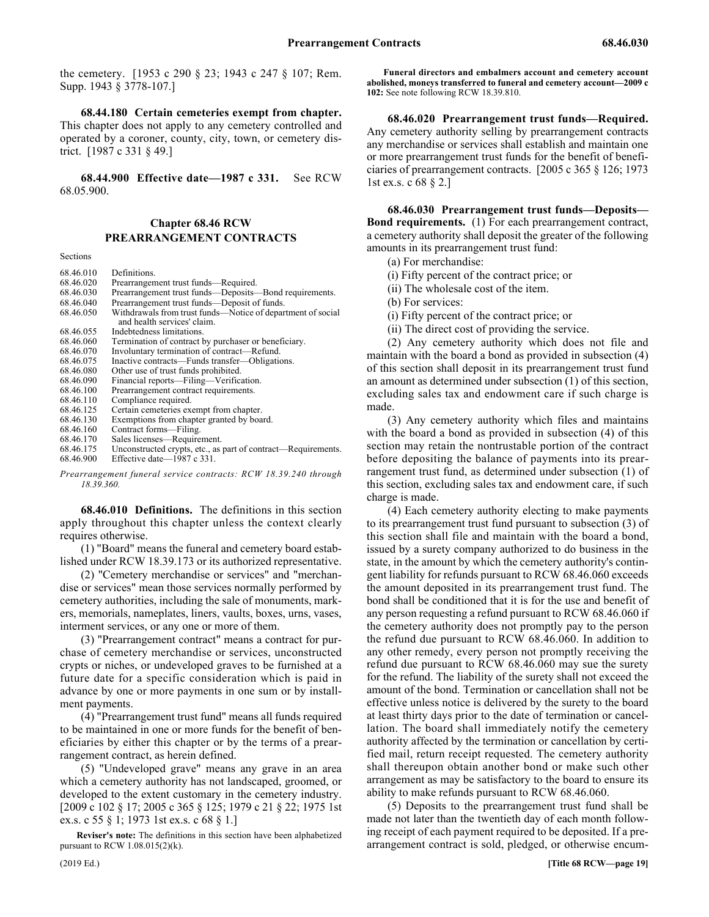the cemetery. [1953 c 290 § 23; 1943 c 247 § 107; Rem. Supp. 1943 § 3778-107.]

68.44.180 68.44.180 Certain cemeteries exempt from chapter. **68.44.180 Certain cemeteries exempt from chapter.** This chapter does not apply to any cemetery controlled and operated by a coroner, county, city, town, or cemetery district. [1987 c 331 § 49.]

68.44.900 68.44.900 Effective date—1987 c 331. **68.44.900 Effective date—1987 c 331.** See RCW 68.05.900.

# Chapter 68.46 **Chapter 68.46 RCW** 68.46 PREARRANGEMENT CONTRACTS **PREARRANGEMENT CONTRACTS**

Sections

| 68.46.010 | Definitions.                                                  |
|-----------|---------------------------------------------------------------|
| 68.46.020 | Prearrangement trust funds—Required.                          |
| 68.46.030 | Prearrangement trust funds—Deposits—Bond requirements.        |
| 68.46.040 | Prearrangement trust funds—Deposit of funds.                  |
| 68.46.050 | Withdrawals from trust funds—Notice of department of social   |
|           | and health services' claim.                                   |
| 68.46.055 | Indebtedness limitations.                                     |
| 68.46.060 | Termination of contract by purchaser or beneficiary.          |
| 68.46.070 | Involuntary termination of contract—Refund.                   |
| 68.46.075 | Inactive contracts—Funds transfer—Obligations.                |
| 68.46.080 | Other use of trust funds prohibited.                          |
| 68.46.090 | Financial reports—Filing—Verification.                        |
| 68.46.100 | Prearrangement contract requirements.                         |
| 68.46.110 | Compliance required.                                          |
| 68.46.125 | Certain cemeteries exempt from chapter.                       |
| 68.46.130 | Exemptions from chapter granted by board.                     |
| 68.46.160 | Contract forms—Filing.                                        |
| 68.46.170 | Sales licenses—Requirement.                                   |
| 68.46.175 | Unconstructed crypts, etc., as part of contract—Requirements. |
| 68.46.900 | Effective date—1987 c 331.                                    |

*Prearrangement funeral service contracts: RCW 18.39.240 through 18.39.360.*

68.46.010 68.46.010 Definitions. **68.46.010 Definitions.** The definitions in this section apply throughout this chapter unless the context clearly requires otherwise.

(1) "Board" means the funeral and cemetery board established under RCW 18.39.173 or its authorized representative.

(2) "Cemetery merchandise or services" and "merchandise or services" mean those services normally performed by cemetery authorities, including the sale of monuments, markers, memorials, nameplates, liners, vaults, boxes, urns, vases, interment services, or any one or more of them.

(3) "Prearrangement contract" means a contract for purchase of cemetery merchandise or services, unconstructed crypts or niches, or undeveloped graves to be furnished at a future date for a specific consideration which is paid in advance by one or more payments in one sum or by installment payments.

(4) "Prearrangement trust fund" means all funds required to be maintained in one or more funds for the benefit of beneficiaries by either this chapter or by the terms of a prearrangement contract, as herein defined.

(5) "Undeveloped grave" means any grave in an area which a cemetery authority has not landscaped, groomed, or developed to the extent customary in the cemetery industry. [2009 c 102 § 17; 2005 c 365 § 125; 1979 c 21 § 22; 1975 1st ex.s. c 55 § 1; 1973 1st ex.s. c 68 § 1.]

**Reviser's note:** The definitions in this section have been alphabetized pursuant to RCW 1.08.015(2)(k).

**Funeral directors and embalmers account and cemetery account abolished, moneys transferred to funeral and cemetery account—2009 c 102:** See note following RCW 18.39.810.

68.46.020 68.46.020 Prearrangement trust funds—Required. **68.46.020 Prearrangement trust funds—Required.** Any cemetery authority selling by prearrangement contracts any merchandise or services shall establish and maintain one or more prearrangement trust funds for the benefit of beneficiaries of prearrangement contracts. [2005 c 365 § 126; 1973 1st ex.s. c 68 § 2.]

68.46.030 Prearrangement trust funds—Deposits-**Bond requirements.** (1) For each prearrangement contract, a cemetery authority shall deposit the greater of the following amounts in its prearrangement trust fund:

(a) For merchandise:

(i) Fifty percent of the contract price; or

(ii) The wholesale cost of the item.

(b) For services:

(i) Fifty percent of the contract price; or

(ii) The direct cost of providing the service.

(2) Any cemetery authority which does not file and maintain with the board a bond as provided in subsection (4) of this section shall deposit in its prearrangement trust fund an amount as determined under subsection (1) of this section, excluding sales tax and endowment care if such charge is made.

(3) Any cemetery authority which files and maintains with the board a bond as provided in subsection (4) of this section may retain the nontrustable portion of the contract before depositing the balance of payments into its prearrangement trust fund, as determined under subsection (1) of this section, excluding sales tax and endowment care, if such charge is made.

(4) Each cemetery authority electing to make payments to its prearrangement trust fund pursuant to subsection (3) of this section shall file and maintain with the board a bond, issued by a surety company authorized to do business in the state, in the amount by which the cemetery authority's contingent liability for refunds pursuant to RCW 68.46.060 exceeds the amount deposited in its prearrangement trust fund. The bond shall be conditioned that it is for the use and benefit of any person requesting a refund pursuant to RCW 68.46.060 if the cemetery authority does not promptly pay to the person the refund due pursuant to RCW 68.46.060. In addition to any other remedy, every person not promptly receiving the refund due pursuant to RCW 68.46.060 may sue the surety for the refund. The liability of the surety shall not exceed the amount of the bond. Termination or cancellation shall not be effective unless notice is delivered by the surety to the board at least thirty days prior to the date of termination or cancellation. The board shall immediately notify the cemetery authority affected by the termination or cancellation by certified mail, return receipt requested. The cemetery authority shall thereupon obtain another bond or make such other arrangement as may be satisfactory to the board to ensure its ability to make refunds pursuant to RCW 68.46.060.

(5) Deposits to the prearrangement trust fund shall be made not later than the twentieth day of each month following receipt of each payment required to be deposited. If a prearrangement contract is sold, pledged, or otherwise encum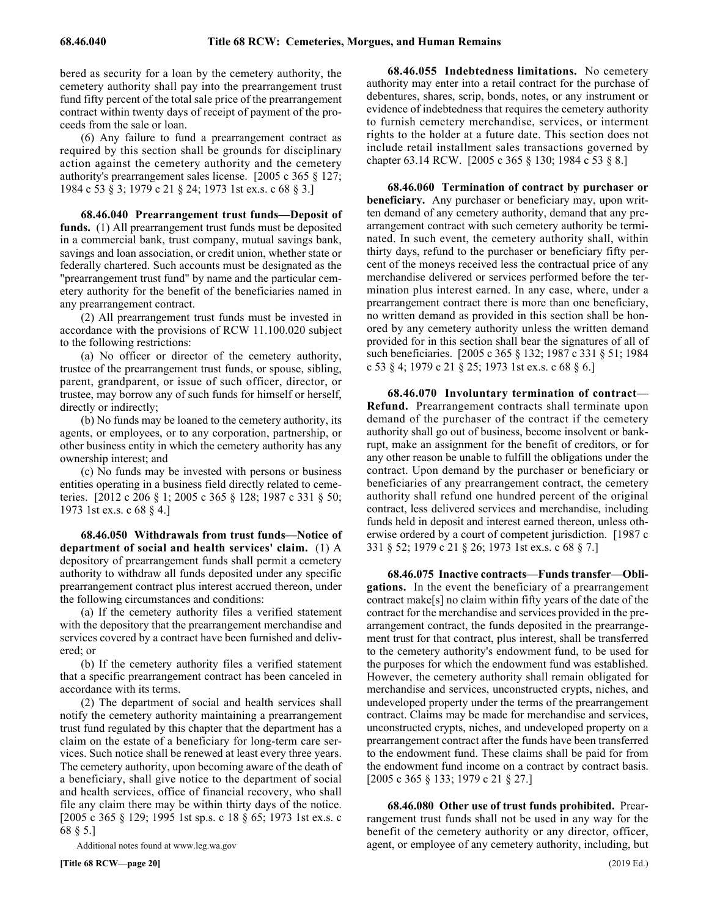bered as security for a loan by the cemetery authority, the cemetery authority shall pay into the prearrangement trust fund fifty percent of the total sale price of the prearrangement contract within twenty days of receipt of payment of the proceeds from the sale or loan.

(6) Any failure to fund a prearrangement contract as required by this section shall be grounds for disciplinary action against the cemetery authority and the cemetery authority's prearrangement sales license. [2005 c 365 § 127; 1984 c 53 § 3; 1979 c 21 § 24; 1973 1st ex.s. c 68 § 3.]

68.46.040 Prearrangement trust funds—Deposit of **funds.** (1) All prearrangement trust funds must be deposited in a commercial bank, trust company, mutual savings bank, savings and loan association, or credit union, whether state or federally chartered. Such accounts must be designated as the "prearrangement trust fund" by name and the particular cemetery authority for the benefit of the beneficiaries named in any prearrangement contract.

(2) All prearrangement trust funds must be invested in accordance with the provisions of RCW 11.100.020 subject to the following restrictions:

(a) No officer or director of the cemetery authority, trustee of the prearrangement trust funds, or spouse, sibling, parent, grandparent, or issue of such officer, director, or trustee, may borrow any of such funds for himself or herself, directly or indirectly;

(b) No funds may be loaned to the cemetery authority, its agents, or employees, or to any corporation, partnership, or other business entity in which the cemetery authority has any ownership interest; and

(c) No funds may be invested with persons or business entities operating in a business field directly related to cemeteries. [2012 c 206 § 1; 2005 c 365 § 128; 1987 c 331 § 50; 1973 1st ex.s. c 68 § 4.]

68.46.050 Withdrawals from trust funds—Notice of **department of social and health services' claim.** (1) A depository of prearrangement funds shall permit a cemetery authority to withdraw all funds deposited under any specific prearrangement contract plus interest accrued thereon, under the following circumstances and conditions:

(a) If the cemetery authority files a verified statement with the depository that the prearrangement merchandise and services covered by a contract have been furnished and delivered; or

(b) If the cemetery authority files a verified statement that a specific prearrangement contract has been canceled in accordance with its terms.

(2) The department of social and health services shall notify the cemetery authority maintaining a prearrangement trust fund regulated by this chapter that the department has a claim on the estate of a beneficiary for long-term care services. Such notice shall be renewed at least every three years. The cemetery authority, upon becoming aware of the death of a beneficiary, shall give notice to the department of social and health services, office of financial recovery, who shall file any claim there may be within thirty days of the notice. [2005 c 365 § 129; 1995 1st sp.s. c 18 § 65; 1973 1st ex.s. c 68 § 5.]

Additional notes found at www.leg.wa.gov

68.46.055 68.46.055 Indebtedness limitations. **68.46.055 Indebtedness limitations.** No cemetery authority may enter into a retail contract for the purchase of debentures, shares, scrip, bonds, notes, or any instrument or evidence of indebtedness that requires the cemetery authority to furnish cemetery merchandise, services, or interment rights to the holder at a future date. This section does not include retail installment sales transactions governed by chapter 63.14 RCW. [2005 c 365 § 130; 1984 c 53 § 8.]

68.46.060 68.46.060 Termination of contract by purchaser or beneficiary. **68.46.060 Termination of contract by purchaser or beneficiary.** Any purchaser or beneficiary may, upon written demand of any cemetery authority, demand that any prearrangement contract with such cemetery authority be terminated. In such event, the cemetery authority shall, within thirty days, refund to the purchaser or beneficiary fifty percent of the moneys received less the contractual price of any merchandise delivered or services performed before the termination plus interest earned. In any case, where, under a prearrangement contract there is more than one beneficiary, no written demand as provided in this section shall be honored by any cemetery authority unless the written demand provided for in this section shall bear the signatures of all of such beneficiaries. [2005 c 365 § 132; 1987 c 331 § 51; 1984 c 53 § 4; 1979 c 21 § 25; 1973 1st ex.s. c 68 § 6.]

68.46.070 Involuntary termination of contract— **Refund.** Prearrangement contracts shall terminate upon demand of the purchaser of the contract if the cemetery authority shall go out of business, become insolvent or bankrupt, make an assignment for the benefit of creditors, or for any other reason be unable to fulfill the obligations under the contract. Upon demand by the purchaser or beneficiary or beneficiaries of any prearrangement contract, the cemetery authority shall refund one hundred percent of the original contract, less delivered services and merchandise, including funds held in deposit and interest earned thereon, unless otherwise ordered by a court of competent jurisdiction. [1987 c 331 § 52; 1979 c 21 § 26; 1973 1st ex.s. c 68 § 7.]

68.46.075 68.46.075 Inactive contracts—Funds transfer—Obligations. **68.46.075 Inactive contracts—Funds transfer—Obligations.** In the event the beneficiary of a prearrangement contract make[s] no claim within fifty years of the date of the contract for the merchandise and services provided in the prearrangement contract, the funds deposited in the prearrangement trust for that contract, plus interest, shall be transferred to the cemetery authority's endowment fund, to be used for the purposes for which the endowment fund was established. However, the cemetery authority shall remain obligated for merchandise and services, unconstructed crypts, niches, and undeveloped property under the terms of the prearrangement contract. Claims may be made for merchandise and services, unconstructed crypts, niches, and undeveloped property on a prearrangement contract after the funds have been transferred to the endowment fund. These claims shall be paid for from the endowment fund income on a contract by contract basis. [2005 c 365 § 133; 1979 c 21 § 27.]

68.46.080 68.46.080 Other use of trust funds prohibited. **68.46.080 Other use of trust funds prohibited.** Prearrangement trust funds shall not be used in any way for the benefit of the cemetery authority or any director, officer, agent, or employee of any cemetery authority, including, but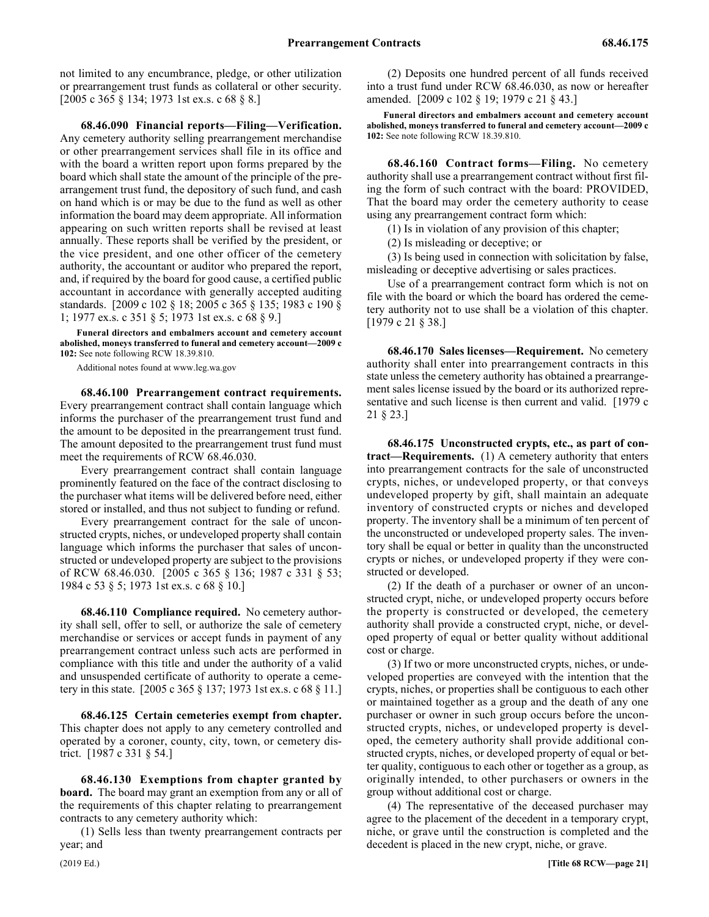not limited to any encumbrance, pledge, or other utilization or prearrangement trust funds as collateral or other security. [2005 c 365 § 134; 1973 1st ex.s. c 68 § 8.]

68.46.090 68.46.090 Financial reports—Filing—Verification. **68.46.090 Financial reports—Filing—Verification.** Any cemetery authority selling prearrangement merchandise or other prearrangement services shall file in its office and with the board a written report upon forms prepared by the board which shall state the amount of the principle of the prearrangement trust fund, the depository of such fund, and cash on hand which is or may be due to the fund as well as other information the board may deem appropriate. All information appearing on such written reports shall be revised at least annually. These reports shall be verified by the president, or the vice president, and one other officer of the cemetery authority, the accountant or auditor who prepared the report, and, if required by the board for good cause, a certified public accountant in accordance with generally accepted auditing standards. [2009 c 102 § 18; 2005 c 365 § 135; 1983 c 190 § 1; 1977 ex.s. c 351 § 5; 1973 1st ex.s. c 68 § 9.]

**Funeral directors and embalmers account and cemetery account abolished, moneys transferred to funeral and cemetery account—2009 c 102:** See note following RCW 18.39.810.

Additional notes found at www.leg.wa.gov

68.46.100 68.46.100 Prearrangement contract requirements. **68.46.100 Prearrangement contract requirements.** Every prearrangement contract shall contain language which informs the purchaser of the prearrangement trust fund and the amount to be deposited in the prearrangement trust fund. The amount deposited to the prearrangement trust fund must meet the requirements of RCW 68.46.030.

Every prearrangement contract shall contain language prominently featured on the face of the contract disclosing to the purchaser what items will be delivered before need, either stored or installed, and thus not subject to funding or refund.

Every prearrangement contract for the sale of unconstructed crypts, niches, or undeveloped property shall contain language which informs the purchaser that sales of unconstructed or undeveloped property are subject to the provisions of RCW 68.46.030. [2005 c 365 § 136; 1987 c 331 § 53; 1984 c 53 § 5; 1973 1st ex.s. c 68 § 10.]

68.46.110 68.46.110 Compliance required. **68.46.110 Compliance required.** No cemetery authority shall sell, offer to sell, or authorize the sale of cemetery merchandise or services or accept funds in payment of any prearrangement contract unless such acts are performed in compliance with this title and under the authority of a valid and unsuspended certificate of authority to operate a cemetery in this state. [2005 c 365 § 137; 1973 1st ex.s. c 68 § 11.]

68.46.125 68.46.125 Certain cemeteries exempt from chapter. **68.46.125 Certain cemeteries exempt from chapter.** This chapter does not apply to any cemetery controlled and operated by a coroner, county, city, town, or cemetery district. [1987 c 331 § 54.]

68.46.130 Exemptions from chapter granted by **board.** The board may grant an exemption from any or all of the requirements of this chapter relating to prearrangement contracts to any cemetery authority which:

(1) Sells less than twenty prearrangement contracts per year; and

(2) Deposits one hundred percent of all funds received into a trust fund under RCW 68.46.030, as now or hereafter amended. [2009 c 102 § 19; 1979 c 21 § 43.]

**Funeral directors and embalmers account and cemetery account abolished, moneys transferred to funeral and cemetery account—2009 c 102:** See note following RCW 18.39.810.

68.46.160 68.46.160 Contract forms—Filing. **68.46.160 Contract forms—Filing.** No cemetery authority shall use a prearrangement contract without first filing the form of such contract with the board: PROVIDED, That the board may order the cemetery authority to cease using any prearrangement contract form which:

(1) Is in violation of any provision of this chapter;

(2) Is misleading or deceptive; or

(3) Is being used in connection with solicitation by false, misleading or deceptive advertising or sales practices.

Use of a prearrangement contract form which is not on file with the board or which the board has ordered the cemetery authority not to use shall be a violation of this chapter. [1979 c 21 § 38.]

68.46.170 68.46.170 Sales licenses—Requirement. **68.46.170 Sales licenses—Requirement.** No cemetery authority shall enter into prearrangement contracts in this state unless the cemetery authority has obtained a prearrangement sales license issued by the board or its authorized representative and such license is then current and valid. [1979 c 21 § 23.]

68.46.175 Unconstructed crypts, etc., as part of con**tract—Requirements.** (1) A cemetery authority that enters into prearrangement contracts for the sale of unconstructed crypts, niches, or undeveloped property, or that conveys undeveloped property by gift, shall maintain an adequate inventory of constructed crypts or niches and developed property. The inventory shall be a minimum of ten percent of the unconstructed or undeveloped property sales. The inventory shall be equal or better in quality than the unconstructed crypts or niches, or undeveloped property if they were constructed or developed.

(2) If the death of a purchaser or owner of an unconstructed crypt, niche, or undeveloped property occurs before the property is constructed or developed, the cemetery authority shall provide a constructed crypt, niche, or developed property of equal or better quality without additional cost or charge.

(3) If two or more unconstructed crypts, niches, or undeveloped properties are conveyed with the intention that the crypts, niches, or properties shall be contiguous to each other or maintained together as a group and the death of any one purchaser or owner in such group occurs before the unconstructed crypts, niches, or undeveloped property is developed, the cemetery authority shall provide additional constructed crypts, niches, or developed property of equal or better quality, contiguous to each other or together as a group, as originally intended, to other purchasers or owners in the group without additional cost or charge.

(4) The representative of the deceased purchaser may agree to the placement of the decedent in a temporary crypt, niche, or grave until the construction is completed and the decedent is placed in the new crypt, niche, or grave.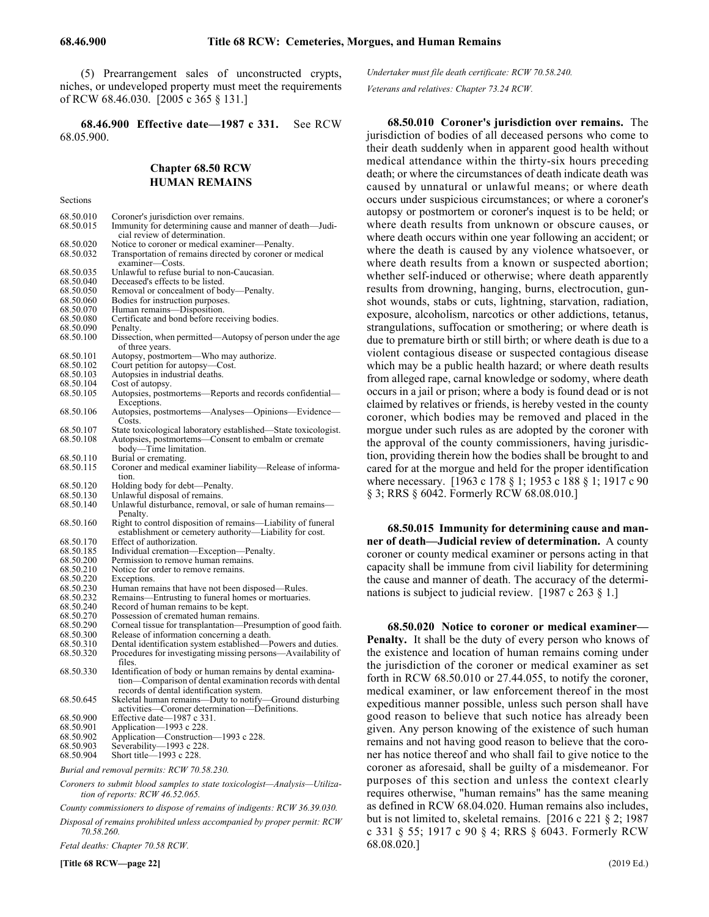(5) Prearrangement sales of unconstructed crypts, niches, or undeveloped property must meet the requirements of RCW 68.46.030. [2005 c 365 § 131.]

68.46.900 68.46.900 Effective date—1987 c 331. **68.46.900 Effective date—1987 c 331.** See RCW 68.05.900.

# **Chapter 68.50 RCW HUMAN REMAINS**

Sections

| 68.50.010<br>68.50.015 | Coroner's jurisdiction over remains.<br>Immunity for determining cause and manner of death—Judi-<br>cial review of determination. |
|------------------------|-----------------------------------------------------------------------------------------------------------------------------------|
| 68.50.020              | Notice to coroner or medical examiner—Penalty.                                                                                    |
| 68.50.032              | Transportation of remains directed by coroner or medical<br>examiner—Costs.                                                       |
| 68.50.035              | Unlawful to refuse burial to non-Caucasian.                                                                                       |
| 68.50.040              | Deceased's effects to be listed.                                                                                                  |
|                        |                                                                                                                                   |
| 68.50.050              | Removal or concealment of body—Penalty.                                                                                           |
| 68.50.060              | Bodies for instruction purposes.                                                                                                  |
| 68.50.070              | Human remains-Disposition.                                                                                                        |
| 68.50.080              | Certificate and bond before receiving bodies.                                                                                     |
| 68.50.090              | Penalty.                                                                                                                          |
| 68.50.100              | Dissection, when permitted—Autopsy of person under the age<br>of three years.                                                     |
| 68.50.101              | Autopsy, postmortem—Who may authorize.                                                                                            |
| 68.50.102              | Court petition for autopsy—Cost.                                                                                                  |
| 68.50.103              | Autopsies in industrial deaths.                                                                                                   |
| 68.50.104              | Cost of autopsy.                                                                                                                  |
| 68.50.105              | Autopsies, postmortems—Reports and records confidential—<br>Exceptions.                                                           |
| 68.50.106              | Autopsies, postmortems—Analyses—Opinions—Evidence—<br>Costs.                                                                      |
| 68.50.107              | State toxicological laboratory established—State toxicologist.                                                                    |
| 68.50.108              | Autopsies, postmortems—Consent to embalm or cremate<br>body—Time limitation.                                                      |
| 68.50.110              | Burial or cremating.                                                                                                              |
| 68.50.115              | Coroner and medical examiner liability-Release of informa-                                                                        |
|                        | tion.                                                                                                                             |
|                        |                                                                                                                                   |
|                        |                                                                                                                                   |
| 68.50.120              | Holding body for debt—Penalty.                                                                                                    |
| 68.50.130              | Unlawful disposal of remains.                                                                                                     |
| 68.50.140              | Unlawful disturbance, removal, or sale of human remains—<br>Penalty.                                                              |
| 68.50.160              | Right to control disposition of remains—Liability of funeral<br>establishment or cemetery authority—Liability for cost.           |
| 68.50.170              | Effect of authorization.                                                                                                          |
| 68.50.185              | Individual cremation—Exception—Penalty.                                                                                           |
| 68.50.200              | Permission to remove human remains.                                                                                               |
| 68.50.210              | Notice for order to remove remains.                                                                                               |
| 68.50.220              | Exceptions.                                                                                                                       |
| 68.50.230              | Human remains that have not been disposed—Rules.                                                                                  |
| 68.50.232              | Remains—Entrusting to funeral homes or mortuaries.                                                                                |
| 68.50.240              | Record of human remains to be kept.                                                                                               |
|                        |                                                                                                                                   |
| 68.50.270              | Possession of cremated human remains.                                                                                             |
| 68.50.290              | Corneal tissue for transplantation-Presumption of good faith.                                                                     |
| 68.50.300              | Release of information concerning a death.                                                                                        |
| 68.50.310              | Dental identification system established-Powers and duties.                                                                       |
| 68.50.320              | Procedures for investigating missing persons—Availability of                                                                      |
| 68.50.330              | files.<br>Identification of body or human remains by dental examina-<br>tion—Comparison of dental examination records with dental |
|                        | records of dental identification system.                                                                                          |
| 68.50.645              | Skeletal human remains—Duty to notify—Ground disturbing                                                                           |
|                        | activities—Coroner determination—Definitions.                                                                                     |
| 68.50.900              | Effective date-1987 c 331.                                                                                                        |
| 68.50.901<br>68.50.902 | Application—1993 c 228.<br>Application—Construction—1993 c 228.                                                                   |

- 68.50.903 Severability—1993 c 228.
- 
- 68.50.904 Short title—1993 c 228.
- *Burial and removal permits: RCW 70.58.230.*
- *Coroners to submit blood samples to state toxicologist—Analysis—Utilization of reports: RCW 46.52.065.*
- *County commissioners to dispose of remains of indigents: RCW 36.39.030.*
- *Disposal of remains prohibited unless accompanied by proper permit: RCW 70.58.260.*

*Fetal deaths: Chapter 70.58 RCW.*

*Undertaker must file death certificate: RCW 70.58.240. Veterans and relatives: Chapter 73.24 RCW.*

**68.50.010 Coroner's jurisdiction over remains.** The jurisdiction of bodies of all deceased persons who come to their death suddenly when in apparent good health without medical attendance within the thirty-six hours preceding death; or where the circumstances of death indicate death was caused by unnatural or unlawful means; or where death occurs under suspicious circumstances; or where a coroner's autopsy or postmortem or coroner's inquest is to be held; or where death results from unknown or obscure causes, or where death occurs within one year following an accident; or where the death is caused by any violence whatsoever, or where death results from a known or suspected abortion; whether self-induced or otherwise; where death apparently results from drowning, hanging, burns, electrocution, gunshot wounds, stabs or cuts, lightning, starvation, radiation, exposure, alcoholism, narcotics or other addictions, tetanus, strangulations, suffocation or smothering; or where death is due to premature birth or still birth; or where death is due to a violent contagious disease or suspected contagious disease which may be a public health hazard; or where death results from alleged rape, carnal knowledge or sodomy, where death occurs in a jail or prison; where a body is found dead or is not claimed by relatives or friends, is hereby vested in the county coroner, which bodies may be removed and placed in the morgue under such rules as are adopted by the coroner with the approval of the county commissioners, having jurisdiction, providing therein how the bodies shall be brought to and cared for at the morgue and held for the proper identification where necessary. [1963 c 178 § 1; 1953 c 188 § 1; 1917 c 90 § 3; RRS § 6042. Formerly RCW 68.08.010.]

**68.50.015 Immunity for determining cause and manner of death—Judicial review of determination.** A county coroner or county medical examiner or persons acting in that capacity shall be immune from civil liability for determining the cause and manner of death. The accuracy of the determinations is subject to judicial review. [1987 c 263 § 1.]

**68.50.020 Notice to coroner or medical examiner— Penalty.** It shall be the duty of every person who knows of the existence and location of human remains coming under the jurisdiction of the coroner or medical examiner as set forth in RCW 68.50.010 or 27.44.055, to notify the coroner, medical examiner, or law enforcement thereof in the most expeditious manner possible, unless such person shall have good reason to believe that such notice has already been given. Any person knowing of the existence of such human remains and not having good reason to believe that the coroner has notice thereof and who shall fail to give notice to the coroner as aforesaid, shall be guilty of a misdemeanor. For purposes of this section and unless the context clearly requires otherwise, "human remains" has the same meaning as defined in RCW 68.04.020. Human remains also includes, but is not limited to, skeletal remains. [2016 c 221 § 2; 1987 c 331 § 55; 1917 c 90 § 4; RRS § 6043. Formerly RCW 68.08.020.]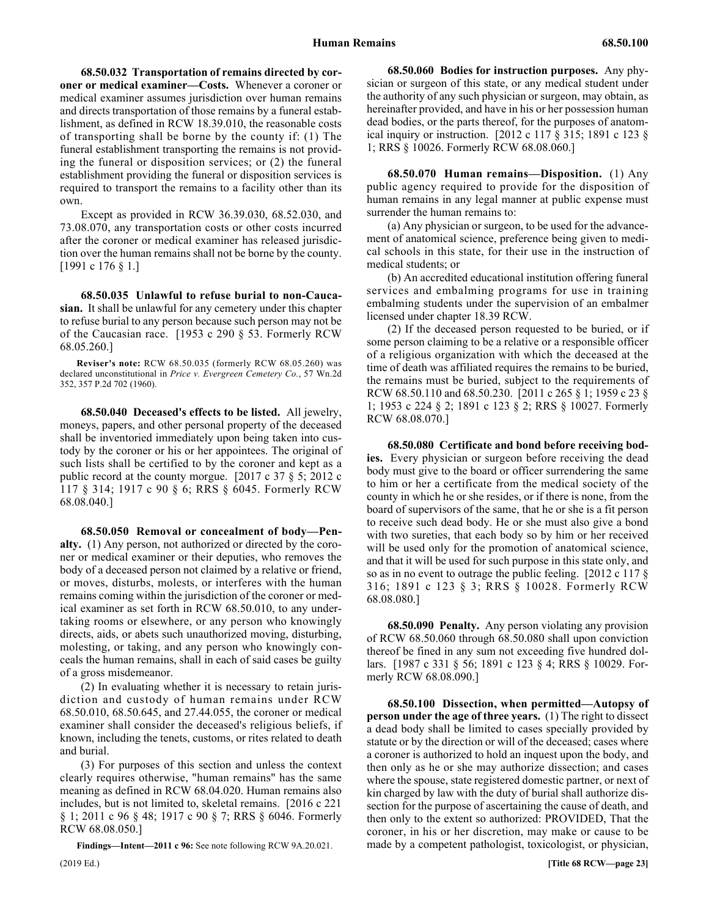68.50.032 Transportation of remains directed by cor**oner or medical examiner—Costs.** Whenever a coroner or medical examiner assumes jurisdiction over human remains and directs transportation of those remains by a funeral establishment, as defined in RCW 18.39.010, the reasonable costs of transporting shall be borne by the county if: (1) The funeral establishment transporting the remains is not providing the funeral or disposition services; or (2) the funeral establishment providing the funeral or disposition services is required to transport the remains to a facility other than its own.

Except as provided in RCW 36.39.030, 68.52.030, and 73.08.070, any transportation costs or other costs incurred after the coroner or medical examiner has released jurisdiction over the human remains shall not be borne by the county. [1991 c 176 § 1.]

68.50.035 68.50.035 Unlawful to refuse burial to non-Caucasian. **68.50.035 Unlawful to refuse burial to non-Caucasian.** It shall be unlawful for any cemetery under this chapter to refuse burial to any person because such person may not be of the Caucasian race. [1953 c 290 § 53. Formerly RCW 68.05.260.]

**Reviser's note:** RCW 68.50.035 (formerly RCW 68.05.260) was declared unconstitutional in *Price v. Evergreen Cemetery Co.*, 57 Wn.2d 352, 357 P.2d 702 (1960).

68.50.040 68.50.040 Deceased's effects to be listed. **68.50.040 Deceased's effects to be listed.** All jewelry, moneys, papers, and other personal property of the deceased shall be inventoried immediately upon being taken into custody by the coroner or his or her appointees. The original of such lists shall be certified to by the coroner and kept as a public record at the county morgue. [2017 c 37 § 5; 2012 c 117 § 314; 1917 c 90 § 6; RRS § 6045. Formerly RCW 68.08.040.]

68.50.050 68.50.050 Removal or concealment of body—Penalty. **68.50.050 Removal or concealment of body—Penalty.** (1) Any person, not authorized or directed by the coroner or medical examiner or their deputies, who removes the body of a deceased person not claimed by a relative or friend, or moves, disturbs, molests, or interferes with the human remains coming within the jurisdiction of the coroner or medical examiner as set forth in RCW 68.50.010, to any undertaking rooms or elsewhere, or any person who knowingly directs, aids, or abets such unauthorized moving, disturbing, molesting, or taking, and any person who knowingly conceals the human remains, shall in each of said cases be guilty of a gross misdemeanor.

(2) In evaluating whether it is necessary to retain jurisdiction and custody of human remains under RCW 68.50.010, 68.50.645, and 27.44.055, the coroner or medical examiner shall consider the deceased's religious beliefs, if known, including the tenets, customs, or rites related to death and burial.

(3) For purposes of this section and unless the context clearly requires otherwise, "human remains" has the same meaning as defined in RCW 68.04.020. Human remains also includes, but is not limited to, skeletal remains. [2016 c 221 § 1; 2011 c 96 § 48; 1917 c 90 § 7; RRS § 6046. Formerly RCW 68.08.050.]

**Findings—Intent—2011 c 96:** See note following RCW 9A.20.021.

68.50.060 68.50.060 Bodies for instruction purposes. **68.50.060 Bodies for instruction purposes.** Any physician or surgeon of this state, or any medical student under the authority of any such physician or surgeon, may obtain, as hereinafter provided, and have in his or her possession human dead bodies, or the parts thereof, for the purposes of anatomical inquiry or instruction. [2012 c 117 § 315; 1891 c 123 § 1; RRS § 10026. Formerly RCW 68.08.060.]

68.50.070 68.50.070 Human remains—Disposition. **68.50.070 Human remains—Disposition.** (1) Any public agency required to provide for the disposition of human remains in any legal manner at public expense must surrender the human remains to:

(a) Any physician or surgeon, to be used for the advancement of anatomical science, preference being given to medical schools in this state, for their use in the instruction of medical students; or

(b) An accredited educational institution offering funeral services and embalming programs for use in training embalming students under the supervision of an embalmer licensed under chapter 18.39 RCW.

(2) If the deceased person requested to be buried, or if some person claiming to be a relative or a responsible officer of a religious organization with which the deceased at the time of death was affiliated requires the remains to be buried, the remains must be buried, subject to the requirements of RCW 68.50.110 and 68.50.230. [2011 c 265 § 1; 1959 c 23 § 1; 1953 c 224 § 2; 1891 c 123 § 2; RRS § 10027. Formerly RCW 68.08.070.]

68.50.080 68.50.080 Certificate and bond before receiving bodies. **68.50.080 Certificate and bond before receiving bodies.** Every physician or surgeon before receiving the dead body must give to the board or officer surrendering the same to him or her a certificate from the medical society of the county in which he or she resides, or if there is none, from the board of supervisors of the same, that he or she is a fit person to receive such dead body. He or she must also give a bond with two sureties, that each body so by him or her received will be used only for the promotion of anatomical science, and that it will be used for such purpose in this state only, and so as in no event to outrage the public feeling. [2012 c 117 § 316; 1891 c 123 § 3; RRS § 10028. Formerly RCW 68.08.080.]

68.50.090 68.50.090 Penalty. **68.50.090 Penalty.** Any person violating any provision of RCW 68.50.060 through 68.50.080 shall upon conviction thereof be fined in any sum not exceeding five hundred dollars. [1987 c 331 § 56; 1891 c 123 § 4; RRS § 10029. Formerly RCW 68.08.090.]

68.50.100 Dissection, when permitted—Autopsy of **person under the age of three years.** (1) The right to dissect a dead body shall be limited to cases specially provided by statute or by the direction or will of the deceased; cases where a coroner is authorized to hold an inquest upon the body, and then only as he or she may authorize dissection; and cases where the spouse, state registered domestic partner, or next of kin charged by law with the duty of burial shall authorize dissection for the purpose of ascertaining the cause of death, and then only to the extent so authorized: PROVIDED, That the coroner, in his or her discretion, may make or cause to be made by a competent pathologist, toxicologist, or physician,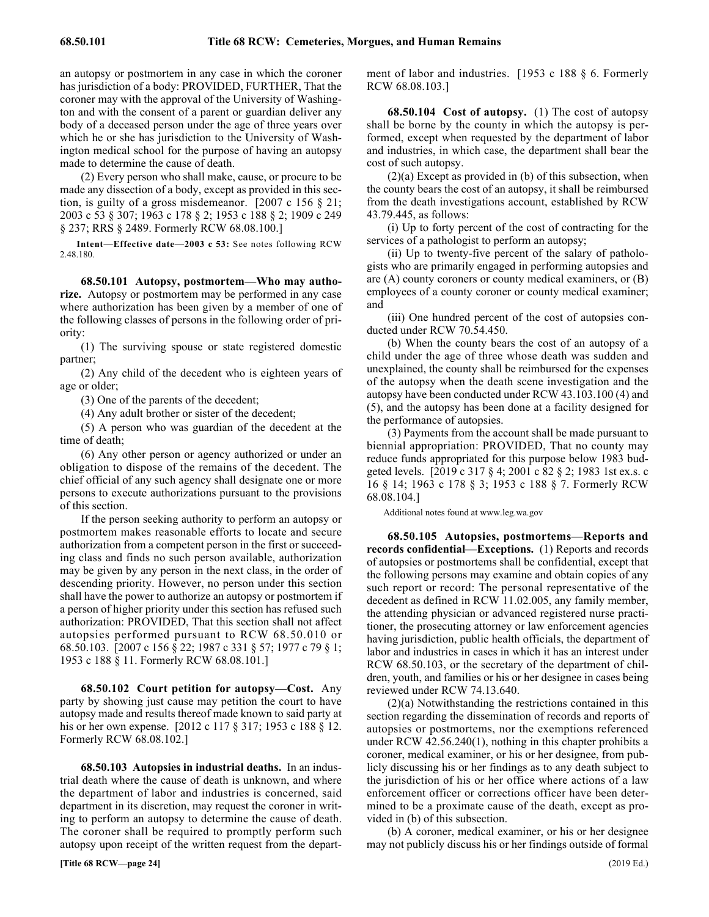RCW 68.08.103.]

cost of such autopsy.

43.79.445, as follows:

an autopsy or postmortem in any case in which the coroner has jurisdiction of a body: PROVIDED, FURTHER, That the coroner may with the approval of the University of Washington and with the consent of a parent or guardian deliver any body of a deceased person under the age of three years over which he or she has jurisdiction to the University of Washington medical school for the purpose of having an autopsy made to determine the cause of death.

(2) Every person who shall make, cause, or procure to be made any dissection of a body, except as provided in this section, is guilty of a gross misdemeanor. [2007 c 156 § 21; 2003 c 53 § 307; 1963 c 178 § 2; 1953 c 188 § 2; 1909 c 249 § 237; RRS § 2489. Formerly RCW 68.08.100.]

**Intent—Effective date—2003 c 53:** See notes following RCW 2.48.180.

68.50.101 68.50.101 Autopsy, postmortem—Who may authorize. **68.50.101 Autopsy, postmortem—Who may authorize.** Autopsy or postmortem may be performed in any case where authorization has been given by a member of one of the following classes of persons in the following order of priority:

(1) The surviving spouse or state registered domestic partner;

(2) Any child of the decedent who is eighteen years of age or older;

(3) One of the parents of the decedent;

(4) Any adult brother or sister of the decedent;

(5) A person who was guardian of the decedent at the time of death;

(6) Any other person or agency authorized or under an obligation to dispose of the remains of the decedent. The chief official of any such agency shall designate one or more persons to execute authorizations pursuant to the provisions of this section.

If the person seeking authority to perform an autopsy or postmortem makes reasonable efforts to locate and secure authorization from a competent person in the first or succeeding class and finds no such person available, authorization may be given by any person in the next class, in the order of descending priority. However, no person under this section shall have the power to authorize an autopsy or postmortem if a person of higher priority under this section has refused such authorization: PROVIDED, That this section shall not affect autopsies performed pursuant to RCW 68.50.010 or 68.50.103. [2007 c 156 § 22; 1987 c 331 § 57; 1977 c 79 § 1; 1953 c 188 § 11. Formerly RCW 68.08.101.]

68.50.102 68.50.102 Court petition for autopsy—Cost. **68.50.102 Court petition for autopsy—Cost.** Any party by showing just cause may petition the court to have autopsy made and results thereof made known to said party at his or her own expense. [2012 c 117 § 317; 1953 c 188 § 12. Formerly RCW 68.08.102.]

68.50.103 68.50.103 Autopsies in industrial deaths. **68.50.103 Autopsies in industrial deaths.** In an industrial death where the cause of death is unknown, and where the department of labor and industries is concerned, said department in its discretion, may request the coroner in writing to perform an autopsy to determine the cause of death. The coroner shall be required to promptly perform such autopsy upon receipt of the written request from the depart-

(ii) Up to twenty-five percent of the salary of pathologists who are primarily engaged in performing autopsies and are (A) county coroners or county medical examiners, or (B) employees of a county coroner or county medical examiner; and

services of a pathologist to perform an autopsy;

ment of labor and industries. [1953 c 188 § 6. Formerly

68.50.104 68.50.104 Cost of autopsy. **68.50.104 Cost of autopsy.** (1) The cost of autopsy shall be borne by the county in which the autopsy is performed, except when requested by the department of labor and industries, in which case, the department shall bear the

(2)(a) Except as provided in (b) of this subsection, when the county bears the cost of an autopsy, it shall be reimbursed from the death investigations account, established by RCW

(i) Up to forty percent of the cost of contracting for the

(iii) One hundred percent of the cost of autopsies conducted under RCW 70.54.450.

(b) When the county bears the cost of an autopsy of a child under the age of three whose death was sudden and unexplained, the county shall be reimbursed for the expenses of the autopsy when the death scene investigation and the autopsy have been conducted under RCW 43.103.100 (4) and (5), and the autopsy has been done at a facility designed for the performance of autopsies.

(3) Payments from the account shall be made pursuant to biennial appropriation: PROVIDED, That no county may reduce funds appropriated for this purpose below 1983 budgeted levels. [2019 c 317 § 4; 2001 c 82 § 2; 1983 1st ex.s. c 16 § 14; 1963 c 178 § 3; 1953 c 188 § 7. Formerly RCW 68.08.104.]

Additional notes found at www.leg.wa.gov

68.50.105 68.50.105 Autopsies, postmortems—Reports and records confidential—Exceptions. **68.50.105 Autopsies, postmortems—Reports and records confidential—Exceptions.** (1) Reports and records of autopsies or postmortems shall be confidential, except that the following persons may examine and obtain copies of any such report or record: The personal representative of the decedent as defined in RCW 11.02.005, any family member, the attending physician or advanced registered nurse practitioner, the prosecuting attorney or law enforcement agencies having jurisdiction, public health officials, the department of labor and industries in cases in which it has an interest under RCW 68.50.103, or the secretary of the department of children, youth, and families or his or her designee in cases being reviewed under RCW 74.13.640.

(2)(a) Notwithstanding the restrictions contained in this section regarding the dissemination of records and reports of autopsies or postmortems, nor the exemptions referenced under RCW 42.56.240(1), nothing in this chapter prohibits a coroner, medical examiner, or his or her designee, from publicly discussing his or her findings as to any death subject to the jurisdiction of his or her office where actions of a law enforcement officer or corrections officer have been determined to be a proximate cause of the death, except as provided in (b) of this subsection.

(b) A coroner, medical examiner, or his or her designee may not publicly discuss his or her findings outside of formal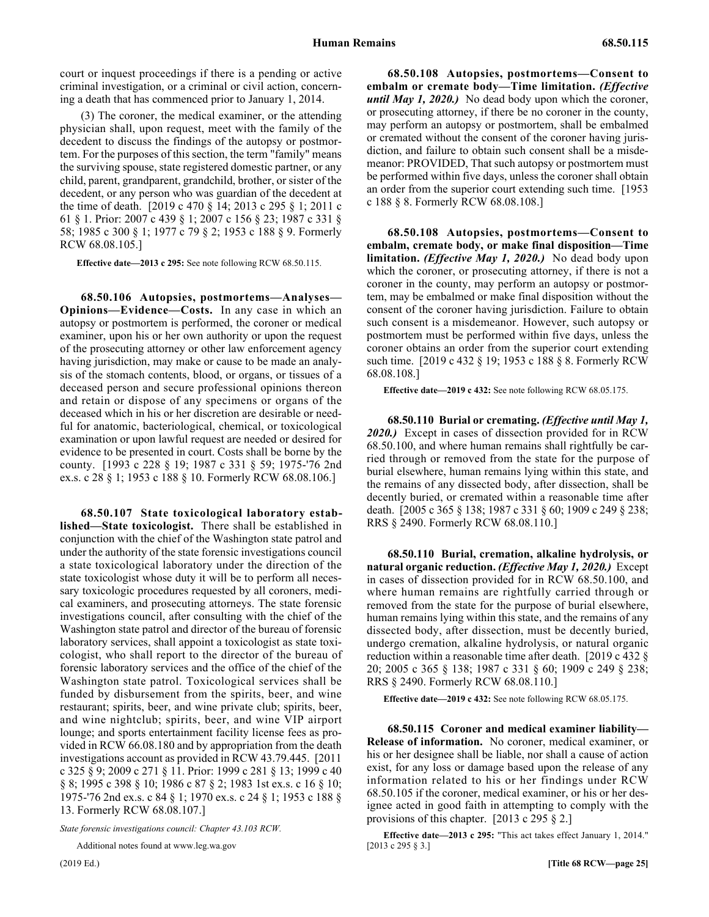court or inquest proceedings if there is a pending or active criminal investigation, or a criminal or civil action, concerning a death that has commenced prior to January 1, 2014.

(3) The coroner, the medical examiner, or the attending physician shall, upon request, meet with the family of the decedent to discuss the findings of the autopsy or postmortem. For the purposes of this section, the term "family" means the surviving spouse, state registered domestic partner, or any child, parent, grandparent, grandchild, brother, or sister of the decedent, or any person who was guardian of the decedent at the time of death. [2019 c 470 § 14; 2013 c 295 § 1; 2011 c 61 § 1. Prior: 2007 c 439 § 1; 2007 c 156 § 23; 1987 c 331 § 58; 1985 c 300 § 1; 1977 c 79 § 2; 1953 c 188 § 9. Formerly RCW 68.08.105.]

**Effective date—2013 c 295:** See note following RCW 68.50.115.

**68.50.106 Autopsies, postmortems—Analyses— Opinions—Evidence—Costs.** In any case in which an autopsy or postmortem is performed, the coroner or medical examiner, upon his or her own authority or upon the request of the prosecuting attorney or other law enforcement agency having jurisdiction, may make or cause to be made an analysis of the stomach contents, blood, or organs, or tissues of a deceased person and secure professional opinions thereon and retain or dispose of any specimens or organs of the deceased which in his or her discretion are desirable or needful for anatomic, bacteriological, chemical, or toxicological examination or upon lawful request are needed or desired for evidence to be presented in court. Costs shall be borne by the county. [1993 c 228 § 19; 1987 c 331 § 59; 1975-'76 2nd ex.s. c 28 § 1; 1953 c 188 § 10. Formerly RCW 68.08.106.]

**68.50.107 State toxicological laboratory established—State toxicologist.** There shall be established in conjunction with the chief of the Washington state patrol and under the authority of the state forensic investigations council a state toxicological laboratory under the direction of the state toxicologist whose duty it will be to perform all necessary toxicologic procedures requested by all coroners, medical examiners, and prosecuting attorneys. The state forensic investigations council, after consulting with the chief of the Washington state patrol and director of the bureau of forensic laboratory services, shall appoint a toxicologist as state toxicologist, who shall report to the director of the bureau of forensic laboratory services and the office of the chief of the Washington state patrol. Toxicological services shall be funded by disbursement from the spirits, beer, and wine restaurant; spirits, beer, and wine private club; spirits, beer, and wine nightclub; spirits, beer, and wine VIP airport lounge; and sports entertainment facility license fees as provided in RCW 66.08.180 and by appropriation from the death investigations account as provided in RCW 43.79.445. [2011 c 325 § 9; 2009 c 271 § 11. Prior: 1999 c 281 § 13; 1999 c 40 § 8; 1995 c 398 § 10; 1986 c 87 § 2; 1983 1st ex.s. c 16 § 10; 1975-'76 2nd ex.s. c 84 § 1; 1970 ex.s. c 24 § 1; 1953 c 188 § 13. Formerly RCW 68.08.107.]

*State forensic investigations council: Chapter 43.103 RCW.*

Additional notes found at www.leg.wa.gov

68.50.108 Autopsies, postmortems—Consent to **embalm or cremate body—Time limitation.** *(Effective until May 1, 2020.)* No dead body upon which the coroner, or prosecuting attorney, if there be no coroner in the county, may perform an autopsy or postmortem, shall be embalmed or cremated without the consent of the coroner having jurisdiction, and failure to obtain such consent shall be a misdemeanor: PROVIDED, That such autopsy or postmortem must be performed within five days, unless the coroner shall obtain an order from the superior court extending such time. [1953 c 188 § 8. Formerly RCW 68.08.108.]

68.50.108 Autopsies, postmortems—Consent to **embalm, cremate body, or make final disposition—Time limitation.** *(Effective May 1, 2020.)* No dead body upon which the coroner, or prosecuting attorney, if there is not a coroner in the county, may perform an autopsy or postmortem, may be embalmed or make final disposition without the consent of the coroner having jurisdiction. Failure to obtain such consent is a misdemeanor. However, such autopsy or postmortem must be performed within five days, unless the coroner obtains an order from the superior court extending such time. [2019 c 432 § 19; 1953 c 188 § 8. Formerly RCW 68.08.108.]

**Effective date—2019 c 432:** See note following RCW 68.05.175.

68.50.110 Burial or cremating. (Effective until May 1, *2020.)* Except in cases of dissection provided for in RCW 68.50.100, and where human remains shall rightfully be carried through or removed from the state for the purpose of burial elsewhere, human remains lying within this state, and the remains of any dissected body, after dissection, shall be decently buried, or cremated within a reasonable time after death. [2005 c 365 § 138; 1987 c 331 § 60; 1909 c 249 § 238; RRS § 2490. Formerly RCW 68.08.110.]

68.50.110 Burial, cremation, alkaline hydrolysis, or **natural organic reduction.** *(Effective May 1, 2020.)* Except in cases of dissection provided for in RCW 68.50.100, and where human remains are rightfully carried through or removed from the state for the purpose of burial elsewhere, human remains lying within this state, and the remains of any dissected body, after dissection, must be decently buried, undergo cremation, alkaline hydrolysis, or natural organic reduction within a reasonable time after death. [2019 c 432 § 20; 2005 c 365 § 138; 1987 c 331 § 60; 1909 c 249 § 238; RRS § 2490. Formerly RCW 68.08.110.]

**Effective date—2019 c 432:** See note following RCW 68.05.175.

68.50.115 Coroner and medical examiner liability-**Release of information.** No coroner, medical examiner, or his or her designee shall be liable, nor shall a cause of action exist, for any loss or damage based upon the release of any information related to his or her findings under RCW 68.50.105 if the coroner, medical examiner, or his or her designee acted in good faith in attempting to comply with the provisions of this chapter. [2013 c 295 § 2.]

**Effective date—2013 c 295:** "This act takes effect January 1, 2014." [2013 c 295 § 3.]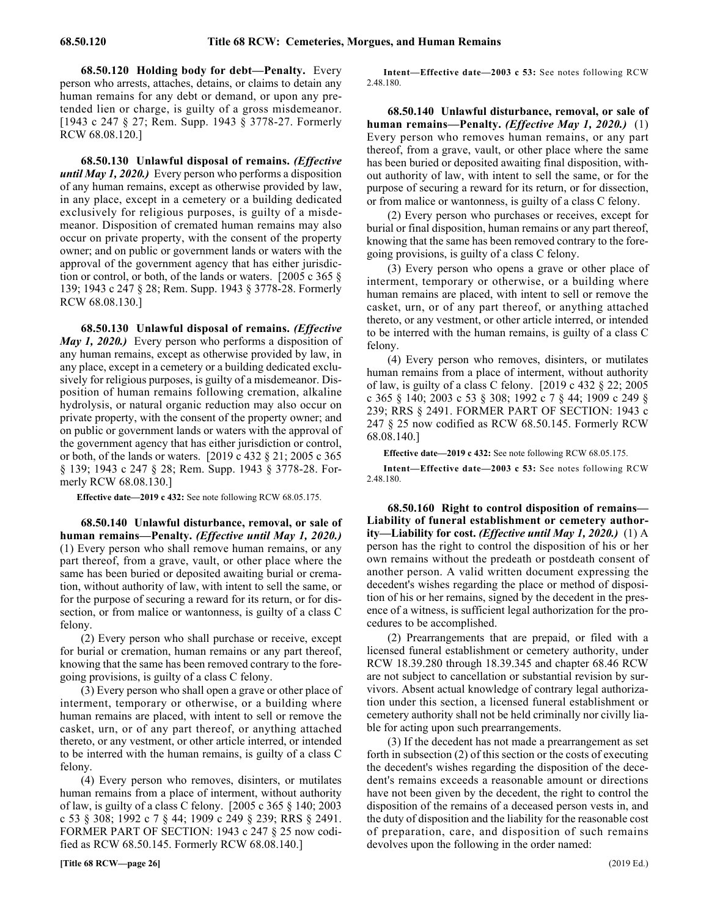68.50.120 Holding body for debt—Penalty. Every person who arrests, attaches, detains, or claims to detain any human remains for any debt or demand, or upon any pretended lien or charge, is guilty of a gross misdemeanor. [1943 c 247 § 27; Rem. Supp. 1943 § 3778-27. Formerly RCW 68.08.120.]

68.50.130 Unlawful disposal of remains. *(Effective until May 1, 2020.)* Every person who performs a disposition of any human remains, except as otherwise provided by law, in any place, except in a cemetery or a building dedicated exclusively for religious purposes, is guilty of a misdemeanor. Disposition of cremated human remains may also occur on private property, with the consent of the property owner; and on public or government lands or waters with the approval of the government agency that has either jurisdiction or control, or both, of the lands or waters. [2005 c 365 § 139; 1943 c 247 § 28; Rem. Supp. 1943 § 3778-28. Formerly RCW 68.08.130.]

68.50.130 Unlawful disposal of remains. *(Effective May 1, 2020.)* Every person who performs a disposition of any human remains, except as otherwise provided by law, in any place, except in a cemetery or a building dedicated exclusively for religious purposes, is guilty of a misdemeanor. Disposition of human remains following cremation, alkaline hydrolysis, or natural organic reduction may also occur on private property, with the consent of the property owner; and on public or government lands or waters with the approval of the government agency that has either jurisdiction or control, or both, of the lands or waters. [2019 c 432 § 21; 2005 c 365 § 139; 1943 c 247 § 28; Rem. Supp. 1943 § 3778-28. Formerly RCW 68.08.130.]

**Effective date—2019 c 432:** See note following RCW 68.05.175.

68.50.140 Unlawful disturbance, removal, or sale of **human remains—Penalty.** *(Effective until May 1, 2020.)* (1) Every person who shall remove human remains, or any part thereof, from a grave, vault, or other place where the same has been buried or deposited awaiting burial or cremation, without authority of law, with intent to sell the same, or for the purpose of securing a reward for its return, or for dissection, or from malice or wantonness, is guilty of a class C felony.

(2) Every person who shall purchase or receive, except for burial or cremation, human remains or any part thereof, knowing that the same has been removed contrary to the foregoing provisions, is guilty of a class C felony.

(3) Every person who shall open a grave or other place of interment, temporary or otherwise, or a building where human remains are placed, with intent to sell or remove the casket, urn, or of any part thereof, or anything attached thereto, or any vestment, or other article interred, or intended to be interred with the human remains, is guilty of a class C felony.

(4) Every person who removes, disinters, or mutilates human remains from a place of interment, without authority of law, is guilty of a class C felony. [2005 c 365 § 140; 2003 c 53 § 308; 1992 c 7 § 44; 1909 c 249 § 239; RRS § 2491. FORMER PART OF SECTION: 1943 c 247 § 25 now codified as RCW 68.50.145. Formerly RCW 68.08.140.]

**Intent—Effective date—2003 c 53:** See notes following RCW 2.48.180.

68.50.140 68.50.140 Unlawful disturbance, removal, or sale of human remains—Penalty. (Effective May 1, 2020.) **68.50.140 Unlawful disturbance, removal, or sale of human remains—Penalty.** *(Effective May 1, 2020.)* (1) Every person who removes human remains, or any part thereof, from a grave, vault, or other place where the same has been buried or deposited awaiting final disposition, without authority of law, with intent to sell the same, or for the purpose of securing a reward for its return, or for dissection, or from malice or wantonness, is guilty of a class C felony.

(2) Every person who purchases or receives, except for burial or final disposition, human remains or any part thereof, knowing that the same has been removed contrary to the foregoing provisions, is guilty of a class C felony.

(3) Every person who opens a grave or other place of interment, temporary or otherwise, or a building where human remains are placed, with intent to sell or remove the casket, urn, or of any part thereof, or anything attached thereto, or any vestment, or other article interred, or intended to be interred with the human remains, is guilty of a class C felony.

(4) Every person who removes, disinters, or mutilates human remains from a place of interment, without authority of law, is guilty of a class C felony. [2019 c 432 § 22; 2005 c 365 § 140; 2003 c 53 § 308; 1992 c 7 § 44; 1909 c 249 § 239; RRS § 2491. FORMER PART OF SECTION: 1943 c 247 § 25 now codified as RCW 68.50.145. Formerly RCW 68.08.140.]

**Effective date—2019 c 432:** See note following RCW 68.05.175.

**Intent—Effective date—2003 c 53:** See notes following RCW 2.48.180.

68.50.160 Right to control disposition of remains-**Liability of funeral establishment or cemetery authority—Liability for cost.** *(Effective until May 1, 2020.)* (1) A person has the right to control the disposition of his or her own remains without the predeath or postdeath consent of another person. A valid written document expressing the decedent's wishes regarding the place or method of disposition of his or her remains, signed by the decedent in the presence of a witness, is sufficient legal authorization for the procedures to be accomplished.

(2) Prearrangements that are prepaid, or filed with a licensed funeral establishment or cemetery authority, under RCW 18.39.280 through 18.39.345 and chapter 68.46 RCW are not subject to cancellation or substantial revision by survivors. Absent actual knowledge of contrary legal authorization under this section, a licensed funeral establishment or cemetery authority shall not be held criminally nor civilly liable for acting upon such prearrangements.

(3) If the decedent has not made a prearrangement as set forth in subsection (2) of this section or the costs of executing the decedent's wishes regarding the disposition of the decedent's remains exceeds a reasonable amount or directions have not been given by the decedent, the right to control the disposition of the remains of a deceased person vests in, and the duty of disposition and the liability for the reasonable cost of preparation, care, and disposition of such remains devolves upon the following in the order named: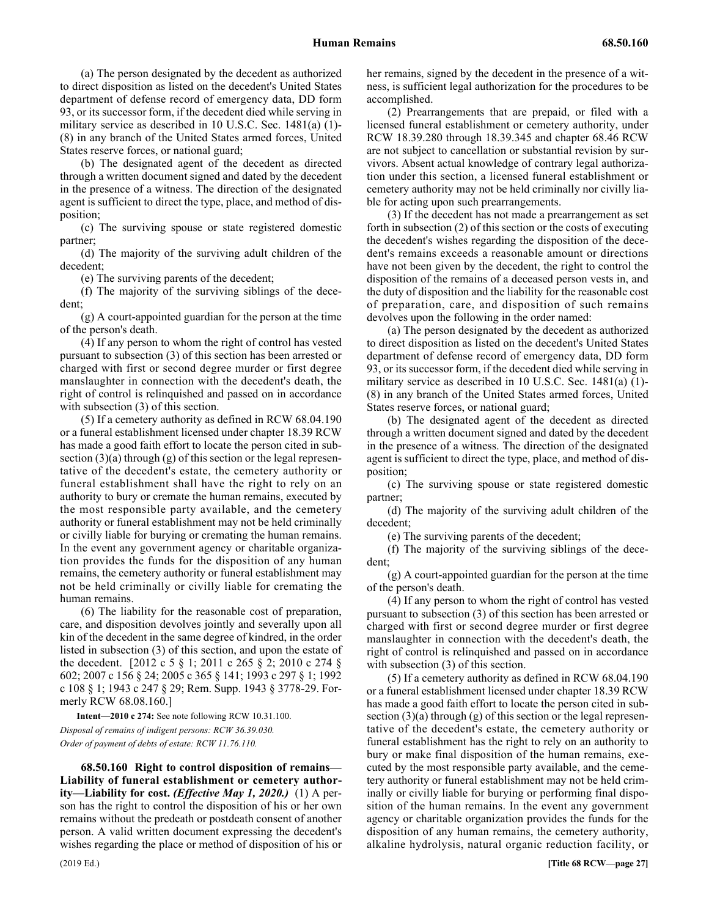(a) The person designated by the decedent as authorized to direct disposition as listed on the decedent's United States department of defense record of emergency data, DD form 93, or its successor form, if the decedent died while serving in military service as described in 10 U.S.C. Sec. 1481(a) (1)- (8) in any branch of the United States armed forces, United States reserve forces, or national guard;

(b) The designated agent of the decedent as directed through a written document signed and dated by the decedent in the presence of a witness. The direction of the designated agent is sufficient to direct the type, place, and method of disposition;

(c) The surviving spouse or state registered domestic partner;

(d) The majority of the surviving adult children of the decedent;

(e) The surviving parents of the decedent;

(f) The majority of the surviving siblings of the decedent;

(g) A court-appointed guardian for the person at the time of the person's death.

(4) If any person to whom the right of control has vested pursuant to subsection (3) of this section has been arrested or charged with first or second degree murder or first degree manslaughter in connection with the decedent's death, the right of control is relinquished and passed on in accordance with subsection (3) of this section.

(5) If a cemetery authority as defined in RCW 68.04.190 or a funeral establishment licensed under chapter 18.39 RCW has made a good faith effort to locate the person cited in subsection  $(3)(a)$  through  $(g)$  of this section or the legal representative of the decedent's estate, the cemetery authority or funeral establishment shall have the right to rely on an authority to bury or cremate the human remains, executed by the most responsible party available, and the cemetery authority or funeral establishment may not be held criminally or civilly liable for burying or cremating the human remains. In the event any government agency or charitable organization provides the funds for the disposition of any human remains, the cemetery authority or funeral establishment may not be held criminally or civilly liable for cremating the human remains.

(6) The liability for the reasonable cost of preparation, care, and disposition devolves jointly and severally upon all kin of the decedent in the same degree of kindred, in the order listed in subsection (3) of this section, and upon the estate of the decedent. [2012 c 5 § 1; 2011 c 265 § 2; 2010 c 274 § 602; 2007 c 156 § 24; 2005 c 365 § 141; 1993 c 297 § 1; 1992 c 108 § 1; 1943 c 247 § 29; Rem. Supp. 1943 § 3778-29. Formerly RCW 68.08.160.]

**Intent—2010 c 274:** See note following RCW 10.31.100. *Disposal of remains of indigent persons: RCW 36.39.030. Order of payment of debts of estate: RCW 11.76.110.*

68.50.160 68.50.160 Right to control disposition of remains—Liability of funeral establishment or cemetery authority—Liability for cost. (Effective May 1, 2020.) **68.50.160 Right to control disposition of remains— Liability of funeral establishment or cemetery authority—Liability for cost.** *(Effective May 1, 2020.)* (1) A person has the right to control the disposition of his or her own remains without the predeath or postdeath consent of another person. A valid written document expressing the decedent's wishes regarding the place or method of disposition of his or her remains, signed by the decedent in the presence of a witness, is sufficient legal authorization for the procedures to be accomplished.

(2) Prearrangements that are prepaid, or filed with a licensed funeral establishment or cemetery authority, under RCW 18.39.280 through 18.39.345 and chapter 68.46 RCW are not subject to cancellation or substantial revision by survivors. Absent actual knowledge of contrary legal authorization under this section, a licensed funeral establishment or cemetery authority may not be held criminally nor civilly liable for acting upon such prearrangements.

(3) If the decedent has not made a prearrangement as set forth in subsection (2) of this section or the costs of executing the decedent's wishes regarding the disposition of the decedent's remains exceeds a reasonable amount or directions have not been given by the decedent, the right to control the disposition of the remains of a deceased person vests in, and the duty of disposition and the liability for the reasonable cost of preparation, care, and disposition of such remains devolves upon the following in the order named:

(a) The person designated by the decedent as authorized to direct disposition as listed on the decedent's United States department of defense record of emergency data, DD form 93, or its successor form, if the decedent died while serving in military service as described in 10 U.S.C. Sec. 1481(a) (1)- (8) in any branch of the United States armed forces, United States reserve forces, or national guard;

(b) The designated agent of the decedent as directed through a written document signed and dated by the decedent in the presence of a witness. The direction of the designated agent is sufficient to direct the type, place, and method of disposition;

(c) The surviving spouse or state registered domestic partner;

(d) The majority of the surviving adult children of the decedent;

(e) The surviving parents of the decedent;

(f) The majority of the surviving siblings of the decedent;

(g) A court-appointed guardian for the person at the time of the person's death.

(4) If any person to whom the right of control has vested pursuant to subsection (3) of this section has been arrested or charged with first or second degree murder or first degree manslaughter in connection with the decedent's death, the right of control is relinquished and passed on in accordance with subsection (3) of this section.

(5) If a cemetery authority as defined in RCW 68.04.190 or a funeral establishment licensed under chapter 18.39 RCW has made a good faith effort to locate the person cited in subsection  $(3)(a)$  through  $(g)$  of this section or the legal representative of the decedent's estate, the cemetery authority or funeral establishment has the right to rely on an authority to bury or make final disposition of the human remains, executed by the most responsible party available, and the cemetery authority or funeral establishment may not be held criminally or civilly liable for burying or performing final disposition of the human remains. In the event any government agency or charitable organization provides the funds for the disposition of any human remains, the cemetery authority, alkaline hydrolysis, natural organic reduction facility, or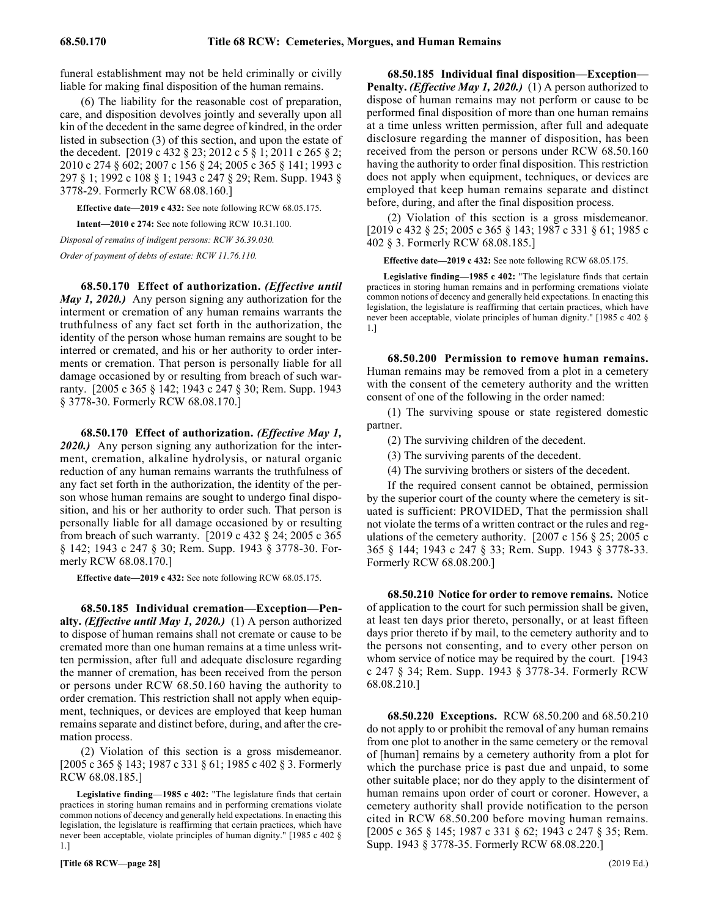funeral establishment may not be held criminally or civilly liable for making final disposition of the human remains.

(6) The liability for the reasonable cost of preparation, care, and disposition devolves jointly and severally upon all kin of the decedent in the same degree of kindred, in the order listed in subsection (3) of this section, and upon the estate of the decedent. [2019 c 432 § 23; 2012 c 5 § 1; 2011 c 265 § 2; 2010 c 274 § 602; 2007 c 156 § 24; 2005 c 365 § 141; 1993 c 297 § 1; 1992 c 108 § 1; 1943 c 247 § 29; Rem. Supp. 1943 § 3778-29. Formerly RCW 68.08.160.]

**Effective date—2019 c 432:** See note following RCW 68.05.175.

**Intent—2010 c 274:** See note following RCW 10.31.100.

*Disposal of remains of indigent persons: RCW 36.39.030. Order of payment of debts of estate: RCW 11.76.110.*

68.50.170 Effect of authorization. *(Effective until May 1, 2020.)* Any person signing any authorization for the interment or cremation of any human remains warrants the truthfulness of any fact set forth in the authorization, the identity of the person whose human remains are sought to be interred or cremated, and his or her authority to order interments or cremation. That person is personally liable for all damage occasioned by or resulting from breach of such warranty. [2005 c 365 § 142; 1943 c 247 § 30; Rem. Supp. 1943 § 3778-30. Formerly RCW 68.08.170.]

68.50.170 Effect of authorization. *(Effective May 1, 2020.)* Any person signing any authorization for the interment, cremation, alkaline hydrolysis, or natural organic reduction of any human remains warrants the truthfulness of any fact set forth in the authorization, the identity of the person whose human remains are sought to undergo final disposition, and his or her authority to order such. That person is personally liable for all damage occasioned by or resulting from breach of such warranty. [2019 c 432 § 24; 2005 c 365 § 142; 1943 c 247 § 30; Rem. Supp. 1943 § 3778-30. Formerly RCW 68.08.170.]

**Effective date—2019 c 432:** See note following RCW 68.05.175.

68.50.185 Individual cremation—Exception—Pen**alty.** *(Effective until May 1, 2020.)* (1) A person authorized to dispose of human remains shall not cremate or cause to be cremated more than one human remains at a time unless written permission, after full and adequate disclosure regarding the manner of cremation, has been received from the person or persons under RCW 68.50.160 having the authority to order cremation. This restriction shall not apply when equipment, techniques, or devices are employed that keep human remains separate and distinct before, during, and after the cremation process.

(2) Violation of this section is a gross misdemeanor. [2005 c 365 § 143; 1987 c 331 § 61; 1985 c 402 § 3. Formerly RCW 68.08.185.]

**Legislative finding—1985 c 402:** "The legislature finds that certain practices in storing human remains and in performing cremations violate common notions of decency and generally held expectations. In enacting this legislation, the legislature is reaffirming that certain practices, which have never been acceptable, violate principles of human dignity." [1985 c 402 § 1.]

68.50.185 Individual final disposition—Exception— **Penalty.** *(Effective May 1, 2020.)* (1) A person authorized to dispose of human remains may not perform or cause to be performed final disposition of more than one human remains at a time unless written permission, after full and adequate disclosure regarding the manner of disposition, has been received from the person or persons under RCW 68.50.160 having the authority to order final disposition. This restriction does not apply when equipment, techniques, or devices are employed that keep human remains separate and distinct before, during, and after the final disposition process.

(2) Violation of this section is a gross misdemeanor. [2019 c 432 § 25; 2005 c 365 § 143; 1987 c 331 § 61; 1985 c 402 § 3. Formerly RCW 68.08.185.]

**Effective date—2019 c 432:** See note following RCW 68.05.175.

**Legislative finding—1985 c 402:** "The legislature finds that certain practices in storing human remains and in performing cremations violate common notions of decency and generally held expectations. In enacting this legislation, the legislature is reaffirming that certain practices, which have never been acceptable, violate principles of human dignity." [1985 c 402 § 1.]

68.50.200 Permission to remove human remains. Human remains may be removed from a plot in a cemetery with the consent of the cemetery authority and the written consent of one of the following in the order named:

(1) The surviving spouse or state registered domestic partner.

(2) The surviving children of the decedent.

(3) The surviving parents of the decedent.

(4) The surviving brothers or sisters of the decedent.

If the required consent cannot be obtained, permission by the superior court of the county where the cemetery is situated is sufficient: PROVIDED, That the permission shall not violate the terms of a written contract or the rules and regulations of the cemetery authority. [2007 c 156 § 25; 2005 c 365 § 144; 1943 c 247 § 33; Rem. Supp. 1943 § 3778-33. Formerly RCW 68.08.200.]

68.50.210 Notice for order to remove remains. Notice of application to the court for such permission shall be given, at least ten days prior thereto, personally, or at least fifteen days prior thereto if by mail, to the cemetery authority and to the persons not consenting, and to every other person on whom service of notice may be required by the court. [1943] c 247 § 34; Rem. Supp. 1943 § 3778-34. Formerly RCW 68.08.210.]

68.50.220 68.50.220 Exceptions. **68.50.220 Exceptions.** RCW 68.50.200 and 68.50.210 do not apply to or prohibit the removal of any human remains from one plot to another in the same cemetery or the removal of [human] remains by a cemetery authority from a plot for which the purchase price is past due and unpaid, to some other suitable place; nor do they apply to the disinterment of human remains upon order of court or coroner. However, a cemetery authority shall provide notification to the person cited in RCW 68.50.200 before moving human remains. [2005 c 365 § 145; 1987 c 331 § 62; 1943 c 247 § 35; Rem. Supp. 1943 § 3778-35. Formerly RCW 68.08.220.]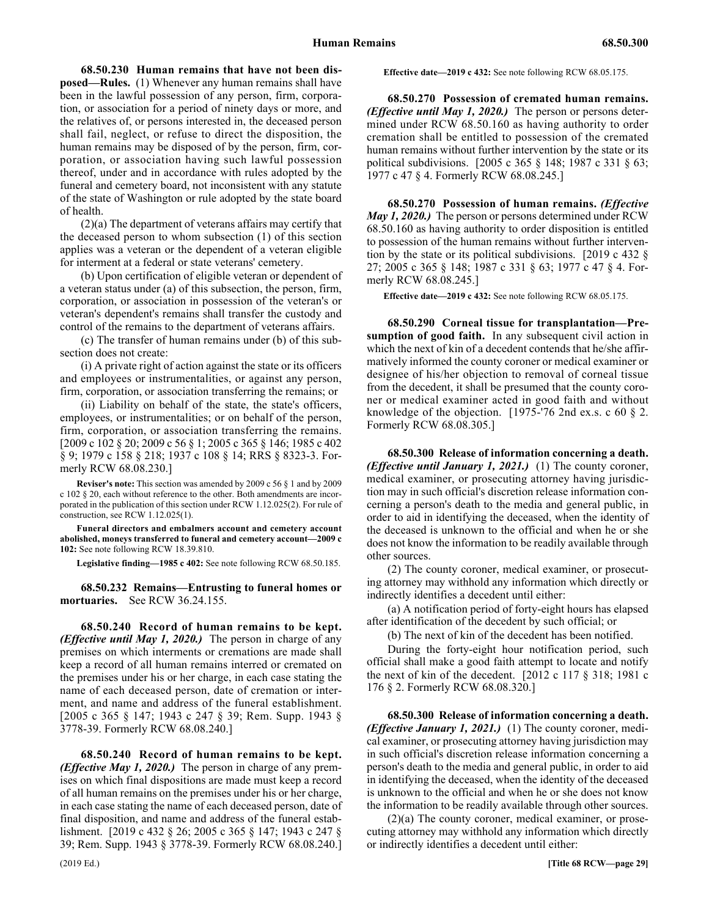68.50.230 Human remains that have not been dis**posed—Rules.** (1) Whenever any human remains shall have been in the lawful possession of any person, firm, corporation, or association for a period of ninety days or more, and the relatives of, or persons interested in, the deceased person shall fail, neglect, or refuse to direct the disposition, the human remains may be disposed of by the person, firm, corporation, or association having such lawful possession thereof, under and in accordance with rules adopted by the funeral and cemetery board, not inconsistent with any statute of the state of Washington or rule adopted by the state board of health.

(2)(a) The department of veterans affairs may certify that the deceased person to whom subsection (1) of this section applies was a veteran or the dependent of a veteran eligible for interment at a federal or state veterans' cemetery.

(b) Upon certification of eligible veteran or dependent of a veteran status under (a) of this subsection, the person, firm, corporation, or association in possession of the veteran's or veteran's dependent's remains shall transfer the custody and control of the remains to the department of veterans affairs.

(c) The transfer of human remains under (b) of this subsection does not create:

(i) A private right of action against the state or its officers and employees or instrumentalities, or against any person, firm, corporation, or association transferring the remains; or

(ii) Liability on behalf of the state, the state's officers, employees, or instrumentalities; or on behalf of the person, firm, corporation, or association transferring the remains. [2009 c 102 § 20; 2009 c 56 § 1; 2005 c 365 § 146; 1985 c 402 § 9; 1979 c 158 § 218; 1937 c 108 § 14; RRS § 8323-3. Formerly RCW 68.08.230.]

**Reviser's note:** This section was amended by 2009 c 56 § 1 and by 2009 c 102 § 20, each without reference to the other. Both amendments are incorporated in the publication of this section under RCW 1.12.025(2). For rule of construction, see RCW 1.12.025(1).

**Funeral directors and embalmers account and cemetery account abolished, moneys transferred to funeral and cemetery account—2009 c 102:** See note following RCW 18.39.810.

**Legislative finding—1985 c 402:** See note following RCW 68.50.185.

68.50.232 Remains—Entrusting to funeral homes or **mortuaries.** See RCW 36.24.155.

68.50.240 Record of human remains to be kept. *(Effective until May 1, 2020.)* The person in charge of any premises on which interments or cremations are made shall keep a record of all human remains interred or cremated on the premises under his or her charge, in each case stating the name of each deceased person, date of cremation or interment, and name and address of the funeral establishment. [2005 c 365 § 147; 1943 c 247 § 39; Rem. Supp. 1943 § 3778-39. Formerly RCW 68.08.240.]

68.50.240 Record of human remains to be kept. *(Effective May 1, 2020.)* The person in charge of any premises on which final dispositions are made must keep a record of all human remains on the premises under his or her charge, in each case stating the name of each deceased person, date of final disposition, and name and address of the funeral establishment. [2019 c 432 § 26; 2005 c 365 § 147; 1943 c 247 § 39; Rem. Supp. 1943 § 3778-39. Formerly RCW 68.08.240.]

**Effective date—2019 c 432:** See note following RCW 68.05.175.

68.50.270 68.50.270 Possession of cremated human remains. (Effective until May 1, 2020.) **68.50.270 Possession of cremated human remains.**  *(Effective until May 1, 2020.)* The person or persons determined under RCW 68.50.160 as having authority to order cremation shall be entitled to possession of the cremated human remains without further intervention by the state or its political subdivisions. [2005 c 365 § 148; 1987 c 331 § 63; 1977 c 47 § 4. Formerly RCW 68.08.245.]

68.50.270 Possession of human remains. *(Effective May 1, 2020.)* The person or persons determined under RCW 68.50.160 as having authority to order disposition is entitled to possession of the human remains without further intervention by the state or its political subdivisions. [2019 c 432 § 27; 2005 c 365 § 148; 1987 c 331 § 63; 1977 c 47 § 4. Formerly RCW 68.08.245.]

**Effective date—2019 c 432:** See note following RCW 68.05.175.

68.50.290 68.50.290 Corneal tissue for transplantation—Presumption of good faith. **68.50.290 Corneal tissue for transplantation—Presumption of good faith.** In any subsequent civil action in which the next of kin of a decedent contends that he/she affirmatively informed the county coroner or medical examiner or designee of his/her objection to removal of corneal tissue from the decedent, it shall be presumed that the county coroner or medical examiner acted in good faith and without knowledge of the objection. [1975-'76 2nd ex.s. c 60  $\S$  2. Formerly RCW 68.08.305.]

68.50.300 68.50.300 Release of information concerning a death. (Effective until January 1, 2021.) **68.50.300 Release of information concerning a death.**  *(Effective until January 1, 2021.)* (1) The county coroner, medical examiner, or prosecuting attorney having jurisdiction may in such official's discretion release information concerning a person's death to the media and general public, in order to aid in identifying the deceased, when the identity of the deceased is unknown to the official and when he or she does not know the information to be readily available through other sources.

(2) The county coroner, medical examiner, or prosecuting attorney may withhold any information which directly or indirectly identifies a decedent until either:

(a) A notification period of forty-eight hours has elapsed after identification of the decedent by such official; or

(b) The next of kin of the decedent has been notified.

During the forty-eight hour notification period, such official shall make a good faith attempt to locate and notify the next of kin of the decedent. [2012 c 117 § 318; 1981 c 176 § 2. Formerly RCW 68.08.320.]

68.50.300 68.50.300 Release of information concerning a death. (Effective January 1, 2021.) **68.50.300 Release of information concerning a death.**  *(Effective January 1, 2021.)* (1) The county coroner, medical examiner, or prosecuting attorney having jurisdiction may in such official's discretion release information concerning a person's death to the media and general public, in order to aid in identifying the deceased, when the identity of the deceased is unknown to the official and when he or she does not know the information to be readily available through other sources.

(2)(a) The county coroner, medical examiner, or prosecuting attorney may withhold any information which directly or indirectly identifies a decedent until either: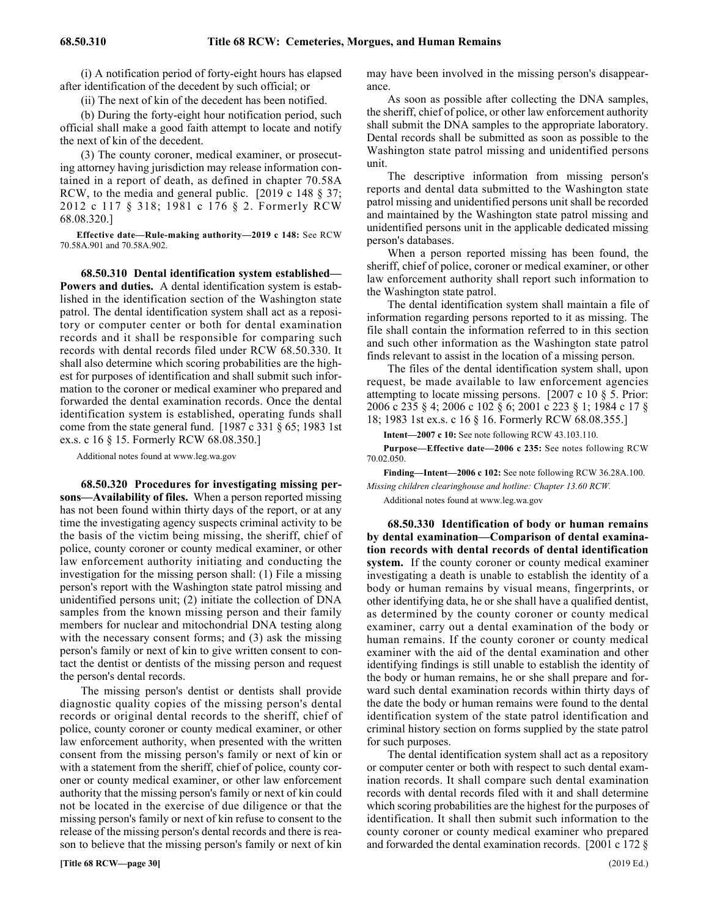(i) A notification period of forty-eight hours has elapsed after identification of the decedent by such official; or

(ii) The next of kin of the decedent has been notified.

(b) During the forty-eight hour notification period, such official shall make a good faith attempt to locate and notify the next of kin of the decedent.

(3) The county coroner, medical examiner, or prosecuting attorney having jurisdiction may release information contained in a report of death, as defined in chapter 70.58A RCW, to the media and general public. [2019 c 148 § 37; 2012 c 117 § 318; 1981 c 176 § 2. Formerly RCW 68.08.320.]

**Effective date—Rule-making authority—2019 c 148:** See RCW 70.58A.901 and 70.58A.902.

68.50.310 68.50.310 Dental identification system established—Powers and duties. **68.50.310 Dental identification system established— Powers and duties.** A dental identification system is established in the identification section of the Washington state patrol. The dental identification system shall act as a repository or computer center or both for dental examination records and it shall be responsible for comparing such records with dental records filed under RCW 68.50.330. It shall also determine which scoring probabilities are the highest for purposes of identification and shall submit such information to the coroner or medical examiner who prepared and forwarded the dental examination records. Once the dental identification system is established, operating funds shall come from the state general fund. [1987 c 331 § 65; 1983 1st ex.s. c 16 § 15. Formerly RCW 68.08.350.]

Additional notes found at www.leg.wa.gov

68.50.320 Procedures for investigating missing per**sons—Availability of files.** When a person reported missing has not been found within thirty days of the report, or at any time the investigating agency suspects criminal activity to be the basis of the victim being missing, the sheriff, chief of police, county coroner or county medical examiner, or other law enforcement authority initiating and conducting the investigation for the missing person shall: (1) File a missing person's report with the Washington state patrol missing and unidentified persons unit; (2) initiate the collection of DNA samples from the known missing person and their family members for nuclear and mitochondrial DNA testing along with the necessary consent forms; and (3) ask the missing person's family or next of kin to give written consent to contact the dentist or dentists of the missing person and request the person's dental records.

The missing person's dentist or dentists shall provide diagnostic quality copies of the missing person's dental records or original dental records to the sheriff, chief of police, county coroner or county medical examiner, or other law enforcement authority, when presented with the written consent from the missing person's family or next of kin or with a statement from the sheriff, chief of police, county coroner or county medical examiner, or other law enforcement authority that the missing person's family or next of kin could not be located in the exercise of due diligence or that the missing person's family or next of kin refuse to consent to the release of the missing person's dental records and there is reason to believe that the missing person's family or next of kin

**[Title 68 RCW—page 30]** (2019 Ed.)

may have been involved in the missing person's disappearance.

As soon as possible after collecting the DNA samples, the sheriff, chief of police, or other law enforcement authority shall submit the DNA samples to the appropriate laboratory. Dental records shall be submitted as soon as possible to the Washington state patrol missing and unidentified persons unit.

The descriptive information from missing person's reports and dental data submitted to the Washington state patrol missing and unidentified persons unit shall be recorded and maintained by the Washington state patrol missing and unidentified persons unit in the applicable dedicated missing person's databases.

When a person reported missing has been found, the sheriff, chief of police, coroner or medical examiner, or other law enforcement authority shall report such information to the Washington state patrol.

The dental identification system shall maintain a file of information regarding persons reported to it as missing. The file shall contain the information referred to in this section and such other information as the Washington state patrol finds relevant to assist in the location of a missing person.

The files of the dental identification system shall, upon request, be made available to law enforcement agencies attempting to locate missing persons. [2007 c 10 § 5. Prior: 2006 c 235 § 4; 2006 c 102 § 6; 2001 c 223 § 1; 1984 c 17 § 18; 1983 1st ex.s. c 16 § 16. Formerly RCW 68.08.355.]

**Intent—2007 c 10:** See note following RCW 43.103.110.

**Purpose—Effective date—2006 c 235:** See notes following RCW 70.02.050.

**Finding—Intent—2006 c 102:** See note following RCW 36.28A.100. *Missing children clearinghouse and hotline: Chapter 13.60 RCW.*

Additional notes found at www.leg.wa.gov

68.50.330 Identification of body or human remains **by dental examination—Comparison of dental examination records with dental records of dental identification system.** If the county coroner or county medical examiner investigating a death is unable to establish the identity of a body or human remains by visual means, fingerprints, or other identifying data, he or she shall have a qualified dentist, as determined by the county coroner or county medical examiner, carry out a dental examination of the body or human remains. If the county coroner or county medical examiner with the aid of the dental examination and other identifying findings is still unable to establish the identity of the body or human remains, he or she shall prepare and forward such dental examination records within thirty days of the date the body or human remains were found to the dental identification system of the state patrol identification and criminal history section on forms supplied by the state patrol for such purposes.

The dental identification system shall act as a repository or computer center or both with respect to such dental examination records. It shall compare such dental examination records with dental records filed with it and shall determine which scoring probabilities are the highest for the purposes of identification. It shall then submit such information to the county coroner or county medical examiner who prepared and forwarded the dental examination records. [2001 c 172 §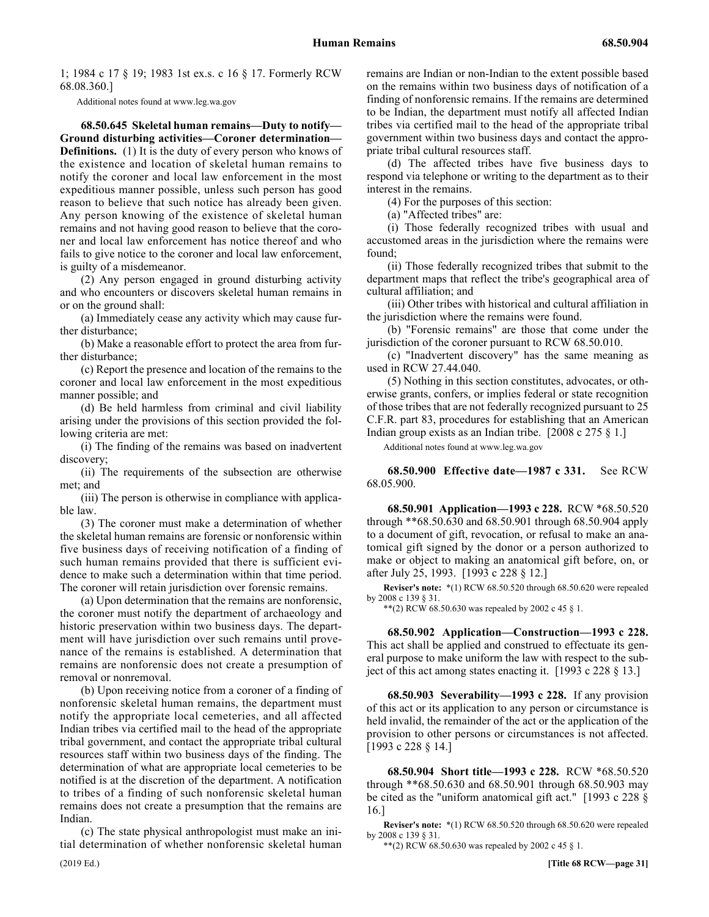1; 1984 c 17 § 19; 1983 1st ex.s. c 16 § 17. Formerly RCW 68.08.360.]

Additional notes found at www.leg.wa.gov

68.50.645 68.50.645 Skeletal human remains—Duty to notify—Ground disturbing activities—Coroner determination—Definitions. **68.50.645 Skeletal human remains—Duty to notify— Ground disturbing activities—Coroner determination— Definitions.** (1) It is the duty of every person who knows of the existence and location of skeletal human remains to notify the coroner and local law enforcement in the most expeditious manner possible, unless such person has good reason to believe that such notice has already been given. Any person knowing of the existence of skeletal human remains and not having good reason to believe that the coroner and local law enforcement has notice thereof and who fails to give notice to the coroner and local law enforcement, is guilty of a misdemeanor.

(2) Any person engaged in ground disturbing activity and who encounters or discovers skeletal human remains in or on the ground shall:

(a) Immediately cease any activity which may cause further disturbance;

(b) Make a reasonable effort to protect the area from further disturbance;

(c) Report the presence and location of the remains to the coroner and local law enforcement in the most expeditious manner possible; and

(d) Be held harmless from criminal and civil liability arising under the provisions of this section provided the following criteria are met:

(i) The finding of the remains was based on inadvertent discovery;

(ii) The requirements of the subsection are otherwise met; and

(iii) The person is otherwise in compliance with applicable law.

(3) The coroner must make a determination of whether the skeletal human remains are forensic or nonforensic within five business days of receiving notification of a finding of such human remains provided that there is sufficient evidence to make such a determination within that time period. The coroner will retain jurisdiction over forensic remains.

(a) Upon determination that the remains are nonforensic, the coroner must notify the department of archaeology and historic preservation within two business days. The department will have jurisdiction over such remains until provenance of the remains is established. A determination that remains are nonforensic does not create a presumption of removal or nonremoval.

(b) Upon receiving notice from a coroner of a finding of nonforensic skeletal human remains, the department must notify the appropriate local cemeteries, and all affected Indian tribes via certified mail to the head of the appropriate tribal government, and contact the appropriate tribal cultural resources staff within two business days of the finding. The determination of what are appropriate local cemeteries to be notified is at the discretion of the department. A notification to tribes of a finding of such nonforensic skeletal human remains does not create a presumption that the remains are Indian.

(c) The state physical anthropologist must make an initial determination of whether nonforensic skeletal human remains are Indian or non-Indian to the extent possible based on the remains within two business days of notification of a finding of nonforensic remains. If the remains are determined to be Indian, the department must notify all affected Indian tribes via certified mail to the head of the appropriate tribal government within two business days and contact the appropriate tribal cultural resources staff.

(d) The affected tribes have five business days to respond via telephone or writing to the department as to their interest in the remains.

(4) For the purposes of this section:

(a) "Affected tribes" are:

(i) Those federally recognized tribes with usual and accustomed areas in the jurisdiction where the remains were found;

(ii) Those federally recognized tribes that submit to the department maps that reflect the tribe's geographical area of cultural affiliation; and

(iii) Other tribes with historical and cultural affiliation in the jurisdiction where the remains were found.

(b) "Forensic remains" are those that come under the jurisdiction of the coroner pursuant to RCW 68.50.010.

(c) "Inadvertent discovery" has the same meaning as used in RCW 27.44.040.

(5) Nothing in this section constitutes, advocates, or otherwise grants, confers, or implies federal or state recognition of those tribes that are not federally recognized pursuant to 25 C.F.R. part 83, procedures for establishing that an American Indian group exists as an Indian tribe. [2008 c 275 § 1.]

Additional notes found at www.leg.wa.gov

68.50.900 68.50.900 Effective date—1987 c 331. **68.50.900 Effective date—1987 c 331.** See RCW 68.05.900.

68.50.901 68.50.901 Application—1993 c 228. **68.50.901 Application—1993 c 228.** RCW \*68.50.520 through \*\*68.50.630 and 68.50.901 through 68.50.904 apply to a document of gift, revocation, or refusal to make an anatomical gift signed by the donor or a person authorized to make or object to making an anatomical gift before, on, or after July 25, 1993. [1993 c 228 § 12.]

**Reviser's note:** \*(1) RCW 68.50.520 through 68.50.620 were repealed by 2008 c 139 § 31.

\*\*(2) RCW 68.50.630 was repealed by 2002 c 45  $\S$  1.

68.50.902 68.50.902 Application—Construction—1993 c 228. **68.50.902 Application—Construction—1993 c 228.** This act shall be applied and construed to effectuate its general purpose to make uniform the law with respect to the subject of this act among states enacting it. [1993 c 228 § 13.]

68.50.903 68.50.903 Severability—1993 c 228. **68.50.903 Severability—1993 c 228.** If any provision of this act or its application to any person or circumstance is held invalid, the remainder of the act or the application of the provision to other persons or circumstances is not affected. [1993 c 228 § 14.]

68.50.904 68.50.904 Short title—1993 c 228. **68.50.904 Short title—1993 c 228.** RCW \*68.50.520 through \*\*68.50.630 and 68.50.901 through 68.50.903 may be cited as the "uniform anatomical gift act." [1993 c 228 § 16.]

**Reviser's note:** \*(1) RCW 68.50.520 through 68.50.620 were repealed by 2008 c 139 § 31.

\*\*(2) RCW 68.50.630 was repealed by 2002 c 45  $\S$  1.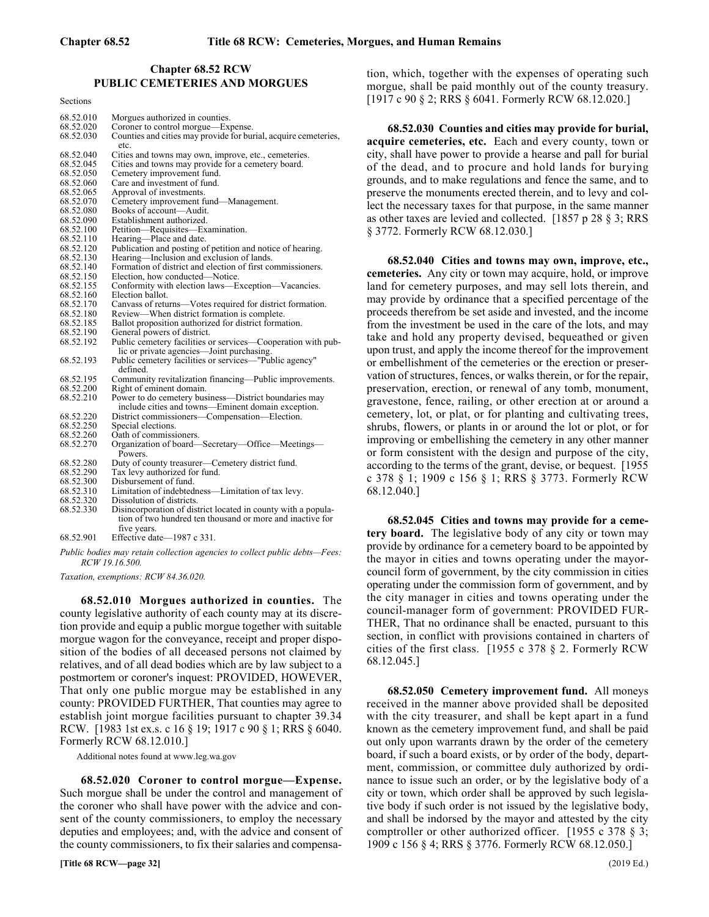# **Chapter 68.52 RCW** 68.52 PUBLIC CEMETERIES AND MORGUES **PUBLIC CEMETERIES AND MORGUES**

Sections

| 68.52.010 | Morgues authorized in counties.                                         |
|-----------|-------------------------------------------------------------------------|
| 68.52.020 | Coroner to control morgue—Expense.                                      |
| 68.52.030 | Counties and cities may provide for burial, acquire cemeteries,<br>etc. |
| 68.52.040 |                                                                         |
|           | Cities and towns may own, improve, etc., cemeteries.                    |
| 68.52.045 | Cities and towns may provide for a cemetery board.                      |
| 68.52.050 | Cemetery improvement fund.                                              |
| 68.52.060 | Care and investment of fund.                                            |
| 68.52.065 | Approval of investments.                                                |
| 68.52.070 | Cemetery improvement fund—Management.                                   |
| 68.52.080 | Books of account-Audit.                                                 |
| 68.52.090 | Establishment authorized.                                               |
| 68.52.100 | Petition—Requisites—Examination.                                        |
| 68.52.110 | Hearing-Place and date.                                                 |
| 68.52.120 | Publication and posting of petition and notice of hearing.              |
| 68.52.130 | Hearing-Inclusion and exclusion of lands.                               |
| 68.52.140 | Formation of district and election of first commissioners.              |
| 68.52.150 | Election, how conducted—Notice.                                         |
| 68.52.155 | Conformity with election laws—Exception—Vacancies.                      |
| 68.52.160 | Election ballot.                                                        |
| 68.52.170 | Canvass of returns—Votes required for district formation.               |
| 68.52.180 | Review—When district formation is complete.                             |
| 68.52.185 | Ballot proposition authorized for district formation.                   |
| 68.52.190 | General powers of district.                                             |
| 68.52.192 | Public cemetery facilities or services—Cooperation with pub-            |
|           |                                                                         |
|           | lic or private agencies—Joint purchasing.                               |
| 68.52.193 | Public cemetery facilities or services—"Public agency"<br>defined.      |
| 68.52.195 | Community revitalization financing—Public improvements.                 |
| 68.52.200 | Right of eminent domain.                                                |
| 68.52.210 | Power to do cemetery business—District boundaries may                   |
|           | include cities and towns—Eminent domain exception.                      |
| 68.52.220 | District commissioners—Compensation—Election.                           |
| 68.52.250 | Special elections.                                                      |
| 68.52.260 | Oath of commissioners.                                                  |
| 68.52.270 | Organization of board—Secretary—Office—Meetings—                        |
|           | Powers.                                                                 |
| 68.52.280 | Duty of county treasurer—Cemetery district fund.                        |
| 68.52.290 | Tax levy authorized for fund.                                           |
| 68.52.300 | Disbursement of fund.                                                   |
| 68.52.310 | Limitation of indebtedness—Limitation of tax levy.                      |
| 68.52.320 | Dissolution of districts.                                               |
| 68.52.330 | Disincorporation of district located in county with a popula-           |
|           | tion of two hundred ten thousand or more and inactive for               |
|           | five years.                                                             |
| 68.52.901 | Effective date-1987 c 331.                                              |

*Public bodies may retain collection agencies to collect public debts—Fees: RCW 19.16.500.*

*Taxation, exemptions: RCW 84.36.020.*

68.52.010 68.52.010 Morgues authorized in counties. **68.52.010 Morgues authorized in counties.** The county legislative authority of each county may at its discretion provide and equip a public morgue together with suitable morgue wagon for the conveyance, receipt and proper disposition of the bodies of all deceased persons not claimed by relatives, and of all dead bodies which are by law subject to a postmortem or coroner's inquest: PROVIDED, HOWEVER, That only one public morgue may be established in any county: PROVIDED FURTHER, That counties may agree to establish joint morgue facilities pursuant to chapter 39.34 RCW. [1983 1st ex.s. c 16 § 19; 1917 c 90 § 1; RRS § 6040. Formerly RCW 68.12.010.]

Additional notes found at www.leg.wa.gov

68.52.020 68.52.020 Coroner to control morgue—Expense. **68.52.020 Coroner to control morgue—Expense.** Such morgue shall be under the control and management of the coroner who shall have power with the advice and consent of the county commissioners, to employ the necessary deputies and employees; and, with the advice and consent of the county commissioners, to fix their salaries and compensation, which, together with the expenses of operating such morgue, shall be paid monthly out of the county treasury. [1917 c 90 § 2; RRS § 6041. Formerly RCW 68.12.020.]

68.52.030 Counties and cities may provide for burial, **acquire cemeteries, etc.** Each and every county, town or city, shall have power to provide a hearse and pall for burial of the dead, and to procure and hold lands for burying grounds, and to make regulations and fence the same, and to preserve the monuments erected therein, and to levy and collect the necessary taxes for that purpose, in the same manner as other taxes are levied and collected. [1857 p 28 § 3; RRS § 3772. Formerly RCW 68.12.030.]

68.52.040 Cities and towns may own, improve, etc., **cemeteries.** Any city or town may acquire, hold, or improve land for cemetery purposes, and may sell lots therein, and may provide by ordinance that a specified percentage of the proceeds therefrom be set aside and invested, and the income from the investment be used in the care of the lots, and may take and hold any property devised, bequeathed or given upon trust, and apply the income thereof for the improvement or embellishment of the cemeteries or the erection or preservation of structures, fences, or walks therein, or for the repair, preservation, erection, or renewal of any tomb, monument, gravestone, fence, railing, or other erection at or around a cemetery, lot, or plat, or for planting and cultivating trees, shrubs, flowers, or plants in or around the lot or plot, or for improving or embellishing the cemetery in any other manner or form consistent with the design and purpose of the city, according to the terms of the grant, devise, or bequest. [1955 c 378 § 1; 1909 c 156 § 1; RRS § 3773. Formerly RCW 68.12.040.]

68.52.045 Cities and towns may provide for a ceme**tery board.** The legislative body of any city or town may provide by ordinance for a cemetery board to be appointed by the mayor in cities and towns operating under the mayorcouncil form of government, by the city commission in cities operating under the commission form of government, and by the city manager in cities and towns operating under the council-manager form of government: PROVIDED FUR-THER, That no ordinance shall be enacted, pursuant to this section, in conflict with provisions contained in charters of cities of the first class. [1955 c 378 § 2. Formerly RCW 68.12.045.]

68.52.050 68.52.050 Cemetery improvement fund. **68.52.050 Cemetery improvement fund.** All moneys received in the manner above provided shall be deposited with the city treasurer, and shall be kept apart in a fund known as the cemetery improvement fund, and shall be paid out only upon warrants drawn by the order of the cemetery board, if such a board exists, or by order of the body, department, commission, or committee duly authorized by ordinance to issue such an order, or by the legislative body of a city or town, which order shall be approved by such legislative body if such order is not issued by the legislative body, and shall be indorsed by the mayor and attested by the city comptroller or other authorized officer. [1955 c 378 § 3; 1909 c 156 § 4; RRS § 3776. Formerly RCW 68.12.050.]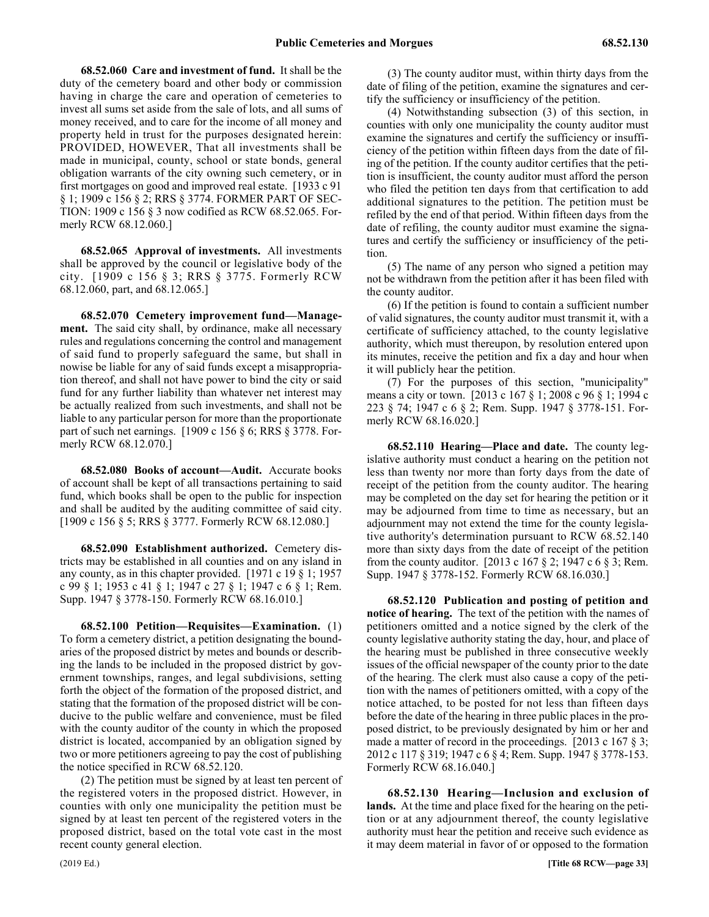68.52.060 68.52.060 Care and investment of fund. **68.52.060 Care and investment of fund.** It shall be the duty of the cemetery board and other body or commission having in charge the care and operation of cemeteries to invest all sums set aside from the sale of lots, and all sums of money received, and to care for the income of all money and property held in trust for the purposes designated herein: PROVIDED, HOWEVER, That all investments shall be made in municipal, county, school or state bonds, general obligation warrants of the city owning such cemetery, or in first mortgages on good and improved real estate. [1933 c 91 § 1; 1909 c 156 § 2; RRS § 3774. FORMER PART OF SEC-TION: 1909 c 156 § 3 now codified as RCW 68.52.065. Formerly RCW 68.12.060.]

68.52.065 68.52.065 Approval of investments. **68.52.065 Approval of investments.** All investments shall be approved by the council or legislative body of the city. [1909 c 156 § 3; RRS § 3775. Formerly RCW 68.12.060, part, and 68.12.065.]

68.52.070 Cemetery improvement fund—Manage**ment.** The said city shall, by ordinance, make all necessary rules and regulations concerning the control and management of said fund to properly safeguard the same, but shall in nowise be liable for any of said funds except a misappropriation thereof, and shall not have power to bind the city or said fund for any further liability than whatever net interest may be actually realized from such investments, and shall not be liable to any particular person for more than the proportionate part of such net earnings. [1909 c 156 § 6; RRS § 3778. Formerly RCW 68.12.070.]

68.52.080 68.52.080 Books of account—Audit. **68.52.080 Books of account—Audit.** Accurate books of account shall be kept of all transactions pertaining to said fund, which books shall be open to the public for inspection and shall be audited by the auditing committee of said city. [1909 c 156 § 5; RRS § 3777. Formerly RCW 68.12.080.]

68.52.090 68.52.090 Establishment authorized. **68.52.090 Establishment authorized.** Cemetery districts may be established in all counties and on any island in any county, as in this chapter provided. [1971 c 19 § 1; 1957 c 99 § 1; 1953 c 41 § 1; 1947 c 27 § 1; 1947 c 6 § 1; Rem. Supp. 1947 § 3778-150. Formerly RCW 68.16.010.]

68.52.100 68.52.100 Petition—Requisites—Examination. **68.52.100 Petition—Requisites—Examination.** (1) To form a cemetery district, a petition designating the boundaries of the proposed district by metes and bounds or describing the lands to be included in the proposed district by government townships, ranges, and legal subdivisions, setting forth the object of the formation of the proposed district, and stating that the formation of the proposed district will be conducive to the public welfare and convenience, must be filed with the county auditor of the county in which the proposed district is located, accompanied by an obligation signed by two or more petitioners agreeing to pay the cost of publishing the notice specified in RCW 68.52.120.

(2) The petition must be signed by at least ten percent of the registered voters in the proposed district. However, in counties with only one municipality the petition must be signed by at least ten percent of the registered voters in the proposed district, based on the total vote cast in the most recent county general election.

(3) The county auditor must, within thirty days from the date of filing of the petition, examine the signatures and certify the sufficiency or insufficiency of the petition.

(4) Notwithstanding subsection (3) of this section, in counties with only one municipality the county auditor must examine the signatures and certify the sufficiency or insufficiency of the petition within fifteen days from the date of filing of the petition. If the county auditor certifies that the petition is insufficient, the county auditor must afford the person who filed the petition ten days from that certification to add additional signatures to the petition. The petition must be refiled by the end of that period. Within fifteen days from the date of refiling, the county auditor must examine the signatures and certify the sufficiency or insufficiency of the petition.

(5) The name of any person who signed a petition may not be withdrawn from the petition after it has been filed with the county auditor.

(6) If the petition is found to contain a sufficient number of valid signatures, the county auditor must transmit it, with a certificate of sufficiency attached, to the county legislative authority, which must thereupon, by resolution entered upon its minutes, receive the petition and fix a day and hour when it will publicly hear the petition.

(7) For the purposes of this section, "municipality" means a city or town. [2013 c 167 § 1; 2008 c 96 § 1; 1994 c 223 § 74; 1947 c 6 § 2; Rem. Supp. 1947 § 3778-151. Formerly RCW 68.16.020.]

68.52.110 68.52.110 Hearing—Place and date. **68.52.110 Hearing—Place and date.** The county legislative authority must conduct a hearing on the petition not less than twenty nor more than forty days from the date of receipt of the petition from the county auditor. The hearing may be completed on the day set for hearing the petition or it may be adjourned from time to time as necessary, but an adjournment may not extend the time for the county legislative authority's determination pursuant to RCW 68.52.140 more than sixty days from the date of receipt of the petition from the county auditor. [2013 c 167 § 2; 1947 c 6 § 3; Rem. Supp. 1947 § 3778-152. Formerly RCW 68.16.030.]

68.52.120 Publication and posting of petition and **notice of hearing.** The text of the petition with the names of petitioners omitted and a notice signed by the clerk of the county legislative authority stating the day, hour, and place of the hearing must be published in three consecutive weekly issues of the official newspaper of the county prior to the date of the hearing. The clerk must also cause a copy of the petition with the names of petitioners omitted, with a copy of the notice attached, to be posted for not less than fifteen days before the date of the hearing in three public places in the proposed district, to be previously designated by him or her and made a matter of record in the proceedings. [2013 c 167 § 3; 2012 c 117 § 319; 1947 c 6 § 4; Rem. Supp. 1947 § 3778-153. Formerly RCW 68.16.040.]

68.52.130 68.52.130 Hearing—Inclusion and exclusion of lands. **68.52.130 Hearing—Inclusion and exclusion of lands.** At the time and place fixed for the hearing on the petition or at any adjournment thereof, the county legislative authority must hear the petition and receive such evidence as it may deem material in favor of or opposed to the formation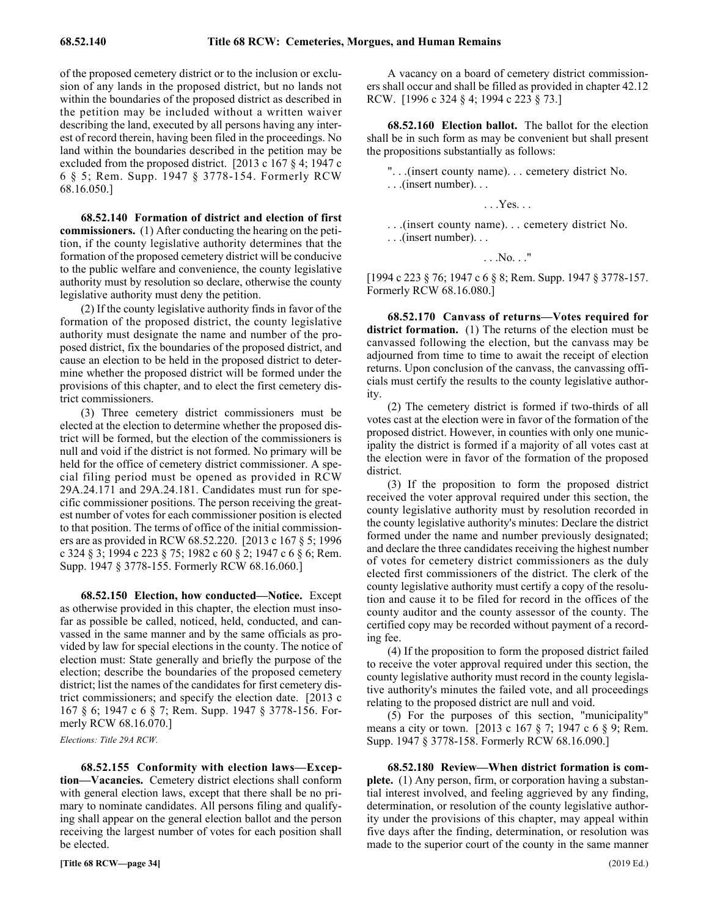of the proposed cemetery district or to the inclusion or exclusion of any lands in the proposed district, but no lands not within the boundaries of the proposed district as described in the petition may be included without a written waiver describing the land, executed by all persons having any interest of record therein, having been filed in the proceedings. No land within the boundaries described in the petition may be excluded from the proposed district. [2013 c 167 § 4; 1947 c 6 § 5; Rem. Supp. 1947 § 3778-154. Formerly RCW 68.16.050.]

68.52.140 Formation of district and election of first **commissioners.** (1) After conducting the hearing on the petition, if the county legislative authority determines that the formation of the proposed cemetery district will be conducive to the public welfare and convenience, the county legislative authority must by resolution so declare, otherwise the county legislative authority must deny the petition.

(2) If the county legislative authority finds in favor of the formation of the proposed district, the county legislative authority must designate the name and number of the proposed district, fix the boundaries of the proposed district, and cause an election to be held in the proposed district to determine whether the proposed district will be formed under the provisions of this chapter, and to elect the first cemetery district commissioners.

(3) Three cemetery district commissioners must be elected at the election to determine whether the proposed district will be formed, but the election of the commissioners is null and void if the district is not formed. No primary will be held for the office of cemetery district commissioner. A special filing period must be opened as provided in RCW 29A.24.171 and 29A.24.181. Candidates must run for specific commissioner positions. The person receiving the greatest number of votes for each commissioner position is elected to that position. The terms of office of the initial commissioners are as provided in RCW 68.52.220. [2013 c 167 § 5; 1996 c 324 § 3; 1994 c 223 § 75; 1982 c 60 § 2; 1947 c 6 § 6; Rem. Supp. 1947 § 3778-155. Formerly RCW 68.16.060.]

68.52.150 68.52.150 Election, how conducted—Notice. **68.52.150 Election, how conducted—Notice.** Except as otherwise provided in this chapter, the election must insofar as possible be called, noticed, held, conducted, and canvassed in the same manner and by the same officials as provided by law for special elections in the county. The notice of election must: State generally and briefly the purpose of the election; describe the boundaries of the proposed cemetery district; list the names of the candidates for first cemetery district commissioners; and specify the election date. [2013 c 167 § 6; 1947 c 6 § 7; Rem. Supp. 1947 § 3778-156. Formerly RCW 68.16.070.]

*Elections: Title 29A RCW.*

68.52.155 Conformity with election laws—Excep**tion—Vacancies.** Cemetery district elections shall conform with general election laws, except that there shall be no primary to nominate candidates. All persons filing and qualifying shall appear on the general election ballot and the person receiving the largest number of votes for each position shall be elected.

A vacancy on a board of cemetery district commissioners shall occur and shall be filled as provided in chapter 42.12 RCW. [1996 c 324 § 4; 1994 c 223 § 73.]

68.52.160 68.52.160 Election ballot. **68.52.160 Election ballot.** The ballot for the election shall be in such form as may be convenient but shall present the propositions substantially as follows:

". . .(insert county name). . . cemetery district No. . . .(insert number). . .

. . .Yes. . .

. . .(insert county name). . . cemetery district No. . . .(insert number). . .

. . .No. . ."

[1994 c 223 § 76; 1947 c 6 § 8; Rem. Supp. 1947 § 3778-157. Formerly RCW 68.16.080.]

68.52.170 Canvass of returns—Votes required for **district formation.** (1) The returns of the election must be canvassed following the election, but the canvass may be adjourned from time to time to await the receipt of election returns. Upon conclusion of the canvass, the canvassing officials must certify the results to the county legislative authority.

(2) The cemetery district is formed if two-thirds of all votes cast at the election were in favor of the formation of the proposed district. However, in counties with only one municipality the district is formed if a majority of all votes cast at the election were in favor of the formation of the proposed district.

(3) If the proposition to form the proposed district received the voter approval required under this section, the county legislative authority must by resolution recorded in the county legislative authority's minutes: Declare the district formed under the name and number previously designated; and declare the three candidates receiving the highest number of votes for cemetery district commissioners as the duly elected first commissioners of the district. The clerk of the county legislative authority must certify a copy of the resolution and cause it to be filed for record in the offices of the county auditor and the county assessor of the county. The certified copy may be recorded without payment of a recording fee.

(4) If the proposition to form the proposed district failed to receive the voter approval required under this section, the county legislative authority must record in the county legislative authority's minutes the failed vote, and all proceedings relating to the proposed district are null and void.

(5) For the purposes of this section, "municipality" means a city or town. [2013 c 167 § 7; 1947 c 6 § 9; Rem. Supp. 1947 § 3778-158. Formerly RCW 68.16.090.]

68.52.180 Review-When district formation is com**plete.** (1) Any person, firm, or corporation having a substantial interest involved, and feeling aggrieved by any finding, determination, or resolution of the county legislative authority under the provisions of this chapter, may appeal within five days after the finding, determination, or resolution was made to the superior court of the county in the same manner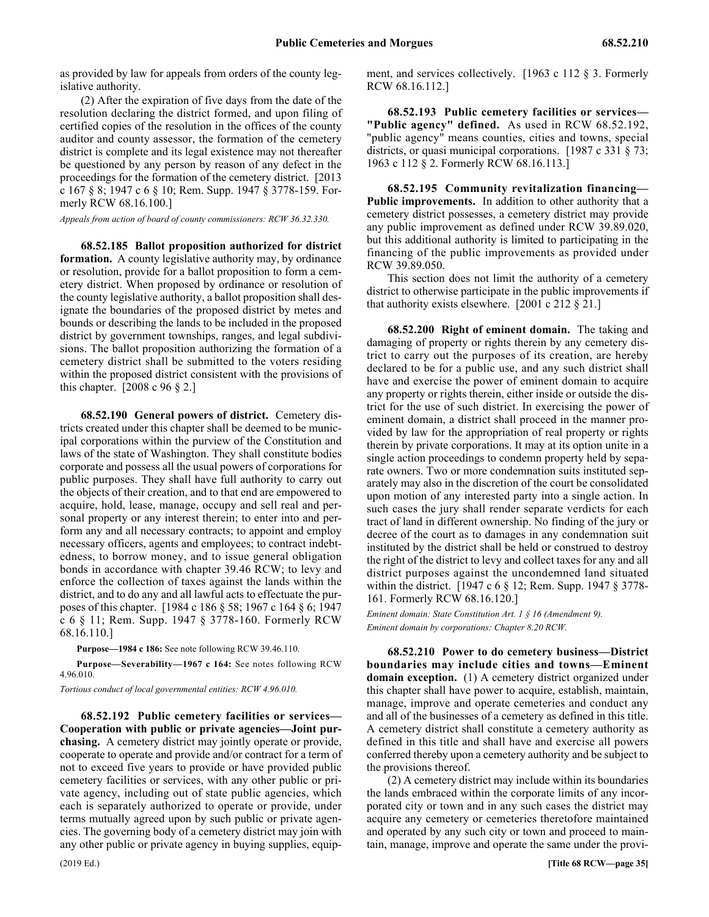as provided by law for appeals from orders of the county legislative authority.

(2) After the expiration of five days from the date of the resolution declaring the district formed, and upon filing of certified copies of the resolution in the offices of the county auditor and county assessor, the formation of the cemetery district is complete and its legal existence may not thereafter be questioned by any person by reason of any defect in the proceedings for the formation of the cemetery district. [2013 c 167 § 8; 1947 c 6 § 10; Rem. Supp. 1947 § 3778-159. Formerly RCW 68.16.100.]

*Appeals from action of board of county commissioners: RCW 36.32.330.*

68.52.185 68.52.185 Ballot proposition authorized for district formation. **68.52.185 Ballot proposition authorized for district formation.** A county legislative authority may, by ordinance or resolution, provide for a ballot proposition to form a cemetery district. When proposed by ordinance or resolution of the county legislative authority, a ballot proposition shall designate the boundaries of the proposed district by metes and bounds or describing the lands to be included in the proposed district by government townships, ranges, and legal subdivisions. The ballot proposition authorizing the formation of a cemetery district shall be submitted to the voters residing within the proposed district consistent with the provisions of this chapter. [2008 c 96 § 2.]

68.52.190 68.52.190 General powers of district. **68.52.190 General powers of district.** Cemetery districts created under this chapter shall be deemed to be municipal corporations within the purview of the Constitution and laws of the state of Washington. They shall constitute bodies corporate and possess all the usual powers of corporations for public purposes. They shall have full authority to carry out the objects of their creation, and to that end are empowered to acquire, hold, lease, manage, occupy and sell real and personal property or any interest therein; to enter into and perform any and all necessary contracts; to appoint and employ necessary officers, agents and employees; to contract indebtedness, to borrow money, and to issue general obligation bonds in accordance with chapter 39.46 RCW; to levy and enforce the collection of taxes against the lands within the district, and to do any and all lawful acts to effectuate the purposes of this chapter. [1984 c 186 § 58; 1967 c 164 § 6; 1947 c 6 § 11; Rem. Supp. 1947 § 3778-160. Formerly RCW 68.16.110.]

**Purpose—1984 c 186:** See note following RCW 39.46.110.

**Purpose—Severability—1967 c 164:** See notes following RCW 4.96.010.

*Tortious conduct of local governmental entities: RCW 4.96.010.*

68.52.192 68.52.192 Public cemetery facilities or services—Cooperation with public or private agencies—Joint purchasing. **68.52.192 Public cemetery facilities or services— Cooperation with public or private agencies—Joint purchasing.** A cemetery district may jointly operate or provide, cooperate to operate and provide and/or contract for a term of not to exceed five years to provide or have provided public cemetery facilities or services, with any other public or private agency, including out of state public agencies, which each is separately authorized to operate or provide, under terms mutually agreed upon by such public or private agencies. The governing body of a cemetery district may join with any other public or private agency in buying supplies, equipment, and services collectively. [1963 c 112 § 3. Formerly RCW 68.16.112.]

68.52.193 68.52.193 Public cemetery facilities or services—"Public agency" defined. **68.52.193 Public cemetery facilities or services— "Public agency" defined.** As used in RCW 68.52.192, "public agency" means counties, cities and towns, special districts, or quasi municipal corporations. [1987 c 331 § 73; 1963 c 112 § 2. Formerly RCW 68.16.113.]

68.52.195 68.52.195 Community revitalization financing—Public improvements. **68.52.195 Community revitalization financing— Public improvements.** In addition to other authority that a cemetery district possesses, a cemetery district may provide any public improvement as defined under RCW 39.89.020, but this additional authority is limited to participating in the financing of the public improvements as provided under RCW 39.89.050.

This section does not limit the authority of a cemetery district to otherwise participate in the public improvements if that authority exists elsewhere. [2001 c 212 § 21.]

68.52.200 68.52.200 Right of eminent domain. **68.52.200 Right of eminent domain.** The taking and damaging of property or rights therein by any cemetery district to carry out the purposes of its creation, are hereby declared to be for a public use, and any such district shall have and exercise the power of eminent domain to acquire any property or rights therein, either inside or outside the district for the use of such district. In exercising the power of eminent domain, a district shall proceed in the manner provided by law for the appropriation of real property or rights therein by private corporations. It may at its option unite in a single action proceedings to condemn property held by separate owners. Two or more condemnation suits instituted separately may also in the discretion of the court be consolidated upon motion of any interested party into a single action. In such cases the jury shall render separate verdicts for each tract of land in different ownership. No finding of the jury or decree of the court as to damages in any condemnation suit instituted by the district shall be held or construed to destroy the right of the district to levy and collect taxes for any and all district purposes against the uncondemned land situated within the district. [1947 c 6 § 12; Rem. Supp. 1947 § 3778- 161. Formerly RCW 68.16.120.]

*Eminent domain: State Constitution Art. 1 § 16 (Amendment 9). Eminent domain by corporations: Chapter 8.20 RCW.*

68.52.210 68.52.210 Power to do cemetery business—District boundaries may include cities and towns—Eminent domain exception. **68.52.210 Power to do cemetery business—District boundaries may include cities and towns—Eminent domain exception.** (1) A cemetery district organized under this chapter shall have power to acquire, establish, maintain, manage, improve and operate cemeteries and conduct any and all of the businesses of a cemetery as defined in this title. A cemetery district shall constitute a cemetery authority as defined in this title and shall have and exercise all powers conferred thereby upon a cemetery authority and be subject to the provisions thereof.

(2) A cemetery district may include within its boundaries the lands embraced within the corporate limits of any incorporated city or town and in any such cases the district may acquire any cemetery or cemeteries theretofore maintained and operated by any such city or town and proceed to maintain, manage, improve and operate the same under the provi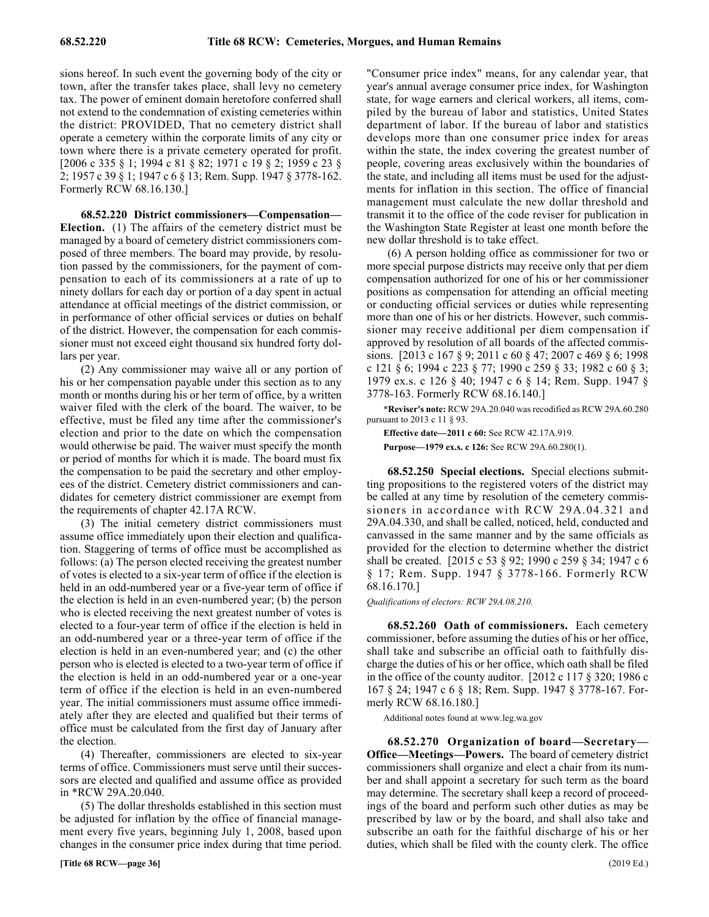sions hereof. In such event the governing body of the city or town, after the transfer takes place, shall levy no cemetery tax. The power of eminent domain heretofore conferred shall not extend to the condemnation of existing cemeteries within the district: PROVIDED, That no cemetery district shall operate a cemetery within the corporate limits of any city or town where there is a private cemetery operated for profit. [2006 c 335 § 1; 1994 c 81 § 82; 1971 c 19 § 2; 1959 c 23 § 2; 1957 c 39 § 1; 1947 c 6 § 13; Rem. Supp. 1947 § 3778-162. Formerly RCW 68.16.130.]

68.52.220 District commissioners—Compensation-**Election.** (1) The affairs of the cemetery district must be managed by a board of cemetery district commissioners composed of three members. The board may provide, by resolution passed by the commissioners, for the payment of compensation to each of its commissioners at a rate of up to ninety dollars for each day or portion of a day spent in actual attendance at official meetings of the district commission, or in performance of other official services or duties on behalf of the district. However, the compensation for each commissioner must not exceed eight thousand six hundred forty dollars per year.

(2) Any commissioner may waive all or any portion of his or her compensation payable under this section as to any month or months during his or her term of office, by a written waiver filed with the clerk of the board. The waiver, to be effective, must be filed any time after the commissioner's election and prior to the date on which the compensation would otherwise be paid. The waiver must specify the month or period of months for which it is made. The board must fix the compensation to be paid the secretary and other employees of the district. Cemetery district commissioners and candidates for cemetery district commissioner are exempt from the requirements of chapter 42.17A RCW.

(3) The initial cemetery district commissioners must assume office immediately upon their election and qualification. Staggering of terms of office must be accomplished as follows: (a) The person elected receiving the greatest number of votes is elected to a six-year term of office if the election is held in an odd-numbered year or a five-year term of office if the election is held in an even-numbered year; (b) the person who is elected receiving the next greatest number of votes is elected to a four-year term of office if the election is held in an odd-numbered year or a three-year term of office if the election is held in an even-numbered year; and (c) the other person who is elected is elected to a two-year term of office if the election is held in an odd-numbered year or a one-year term of office if the election is held in an even-numbered year. The initial commissioners must assume office immediately after they are elected and qualified but their terms of office must be calculated from the first day of January after the election.

(4) Thereafter, commissioners are elected to six-year terms of office. Commissioners must serve until their successors are elected and qualified and assume office as provided in \*RCW 29A.20.040.

(5) The dollar thresholds established in this section must be adjusted for inflation by the office of financial management every five years, beginning July 1, 2008, based upon changes in the consumer price index during that time period.

"Consumer price index" means, for any calendar year, that year's annual average consumer price index, for Washington state, for wage earners and clerical workers, all items, compiled by the bureau of labor and statistics, United States department of labor. If the bureau of labor and statistics develops more than one consumer price index for areas within the state, the index covering the greatest number of people, covering areas exclusively within the boundaries of the state, and including all items must be used for the adjustments for inflation in this section. The office of financial management must calculate the new dollar threshold and transmit it to the office of the code reviser for publication in the Washington State Register at least one month before the new dollar threshold is to take effect.

(6) A person holding office as commissioner for two or more special purpose districts may receive only that per diem compensation authorized for one of his or her commissioner positions as compensation for attending an official meeting or conducting official services or duties while representing more than one of his or her districts. However, such commissioner may receive additional per diem compensation if approved by resolution of all boards of the affected commissions. [2013 c 167 § 9; 2011 c 60 § 47; 2007 c 469 § 6; 1998 c 121 § 6; 1994 c 223 § 77; 1990 c 259 § 33; 1982 c 60 § 3; 1979 ex.s. c 126 § 40; 1947 c 6 § 14; Rem. Supp. 1947 § 3778-163. Formerly RCW 68.16.140.]

**\*Reviser's note:** RCW 29A.20.040 was recodified as RCW 29A.60.280 pursuant to 2013 c 11 § 93.

**Effective date—2011 c 60:** See RCW 42.17A.919.

**Purpose—1979 ex.s. c 126:** See RCW 29A.60.280(1).

68.52.250 68.52.250 Special elections. **68.52.250 Special elections.** Special elections submitting propositions to the registered voters of the district may be called at any time by resolution of the cemetery commissioners in accordance with RCW 29A.04.321 and 29A.04.330, and shall be called, noticed, held, conducted and canvassed in the same manner and by the same officials as provided for the election to determine whether the district shall be created. [2015 c 53 § 92; 1990 c 259 § 34; 1947 c 6 § 17; Rem. Supp. 1947 § 3778-166. Formerly RCW 68.16.170.]

*Qualifications of electors: RCW 29A.08.210.*

68.52.260 68.52.260 Oath of commissioners. **68.52.260 Oath of commissioners.** Each cemetery commissioner, before assuming the duties of his or her office, shall take and subscribe an official oath to faithfully discharge the duties of his or her office, which oath shall be filed in the office of the county auditor. [2012 c 117 § 320; 1986 c 167 § 24; 1947 c 6 § 18; Rem. Supp. 1947 § 3778-167. Formerly RCW 68.16.180.]

Additional notes found at www.leg.wa.gov

68.52.270 Organization of board—Secretary— **Office—Meetings—Powers.** The board of cemetery district commissioners shall organize and elect a chair from its number and shall appoint a secretary for such term as the board may determine. The secretary shall keep a record of proceedings of the board and perform such other duties as may be prescribed by law or by the board, and shall also take and subscribe an oath for the faithful discharge of his or her duties, which shall be filed with the county clerk. The office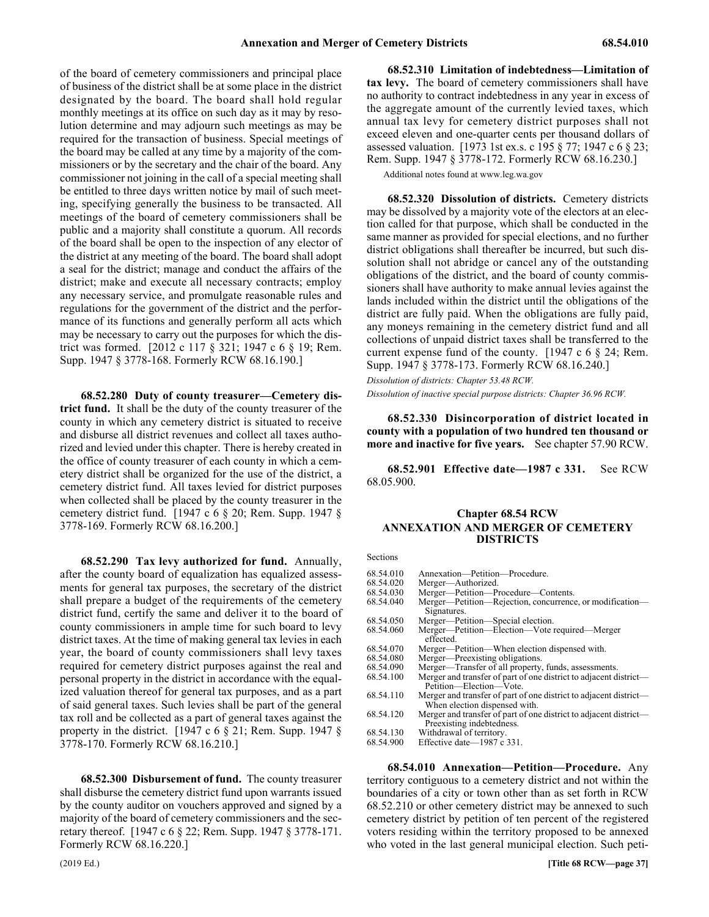of the board of cemetery commissioners and principal place of business of the district shall be at some place in the district designated by the board. The board shall hold regular monthly meetings at its office on such day as it may by resolution determine and may adjourn such meetings as may be required for the transaction of business. Special meetings of the board may be called at any time by a majority of the commissioners or by the secretary and the chair of the board. Any commissioner not joining in the call of a special meeting shall be entitled to three days written notice by mail of such meeting, specifying generally the business to be transacted. All meetings of the board of cemetery commissioners shall be public and a majority shall constitute a quorum. All records of the board shall be open to the inspection of any elector of the district at any meeting of the board. The board shall adopt a seal for the district; manage and conduct the affairs of the district; make and execute all necessary contracts; employ any necessary service, and promulgate reasonable rules and regulations for the government of the district and the performance of its functions and generally perform all acts which may be necessary to carry out the purposes for which the district was formed. [2012 c 117 § 321; 1947 c 6 § 19; Rem. Supp. 1947 § 3778-168. Formerly RCW 68.16.190.]

**68.52.280 Duty of county treasurer—Cemetery district fund.** It shall be the duty of the county treasurer of the county in which any cemetery district is situated to receive and disburse all district revenues and collect all taxes authorized and levied under this chapter. There is hereby created in the office of county treasurer of each county in which a cemetery district shall be organized for the use of the district, a cemetery district fund. All taxes levied for district purposes when collected shall be placed by the county treasurer in the cemetery district fund. [1947 c 6 § 20; Rem. Supp. 1947 § 3778-169. Formerly RCW 68.16.200.]

**68.52.290 Tax levy authorized for fund.** Annually, after the county board of equalization has equalized assessments for general tax purposes, the secretary of the district shall prepare a budget of the requirements of the cemetery district fund, certify the same and deliver it to the board of county commissioners in ample time for such board to levy district taxes. At the time of making general tax levies in each year, the board of county commissioners shall levy taxes required for cemetery district purposes against the real and personal property in the district in accordance with the equalized valuation thereof for general tax purposes, and as a part of said general taxes. Such levies shall be part of the general tax roll and be collected as a part of general taxes against the property in the district. [1947 c 6 § 21; Rem. Supp. 1947 § 3778-170. Formerly RCW 68.16.210.]

**68.52.300 Disbursement of fund.** The county treasurer shall disburse the cemetery district fund upon warrants issued by the county auditor on vouchers approved and signed by a majority of the board of cemetery commissioners and the secretary thereof. [1947 c 6 § 22; Rem. Supp. 1947 § 3778-171. Formerly RCW 68.16.220.]

68.52.310 Limitation of indebtedness—Limitation of **tax levy.** The board of cemetery commissioners shall have no authority to contract indebtedness in any year in excess of the aggregate amount of the currently levied taxes, which annual tax levy for cemetery district purposes shall not exceed eleven and one-quarter cents per thousand dollars of assessed valuation. [1973 1st ex.s. c 195 § 77; 1947 c 6 § 23; Rem. Supp. 1947 § 3778-172. Formerly RCW 68.16.230.]

Additional notes found at www.leg.wa.gov

68.52.320 68.52.320 Dissolution of districts. **68.52.320 Dissolution of districts.** Cemetery districts may be dissolved by a majority vote of the electors at an election called for that purpose, which shall be conducted in the same manner as provided for special elections, and no further district obligations shall thereafter be incurred, but such dissolution shall not abridge or cancel any of the outstanding obligations of the district, and the board of county commissioners shall have authority to make annual levies against the lands included within the district until the obligations of the district are fully paid. When the obligations are fully paid, any moneys remaining in the cemetery district fund and all collections of unpaid district taxes shall be transferred to the current expense fund of the county. [1947 c 6 § 24; Rem. Supp. 1947 § 3778-173. Formerly RCW 68.16.240.]

*Dissolution of districts: Chapter 53.48 RCW.*

*Dissolution of inactive special purpose districts: Chapter 36.96 RCW.*

68.52.330 68.52.330 Disincorporation of district located in county with a population of two hundred ten thousand or more and inactive for five years. **68.52.330 Disincorporation of district located in county with a population of two hundred ten thousand or more and inactive for five years.** See chapter 57.90 RCW.

68.52.901 68.52.901 Effective date—1987 c 331. **68.52.901 Effective date—1987 c 331.** See RCW 68.05.900.

#### Chapter 68.54 **Chapter 68.54 RCW ANNEXATION AND MERGER OF CEMETERY DISTRICTS**

Sections

| 68.54.010 | Annexation—Petition—Procedure.                                                                 |
|-----------|------------------------------------------------------------------------------------------------|
| 68.54.020 | Merger—Authorized.                                                                             |
| 68.54.030 | Merger—Petition—Procedure—Contents.                                                            |
| 68.54.040 | Merger—Petition—Rejection, concurrence, or modification—                                       |
|           | Signatures.                                                                                    |
| 68.54.050 | Merger—Petition—Special election.                                                              |
| 68.54.060 | Merger—Petition—Election—Vote required—Merger<br>effected.                                     |
| 68.54.070 | Merger—Petition—When election dispensed with.                                                  |
| 68.54.080 | Merger—Preexisting obligations.                                                                |
| 68.54.090 | Merger-Transfer of all property, funds, assessments.                                           |
| 68.54.100 | Merger and transfer of part of one district to adjacent district—                              |
|           | Petition—Election—Vote.                                                                        |
| 68.54.110 | Merger and transfer of part of one district to adjacent district—                              |
|           | When election dispensed with.                                                                  |
| 68.54.120 | Merger and transfer of part of one district to adjacent district—<br>Preexisting indebtedness. |
| 68.54.130 | Withdrawal of territory.                                                                       |
| 68.54.900 | Effective date—1987 c 331.                                                                     |
|           |                                                                                                |

68.54.010 68.54.010 Annexation—Petition—Procedure. **68.54.010 Annexation—Petition—Procedure.** Any territory contiguous to a cemetery district and not within the boundaries of a city or town other than as set forth in RCW 68.52.210 or other cemetery district may be annexed to such cemetery district by petition of ten percent of the registered voters residing within the territory proposed to be annexed who voted in the last general municipal election. Such peti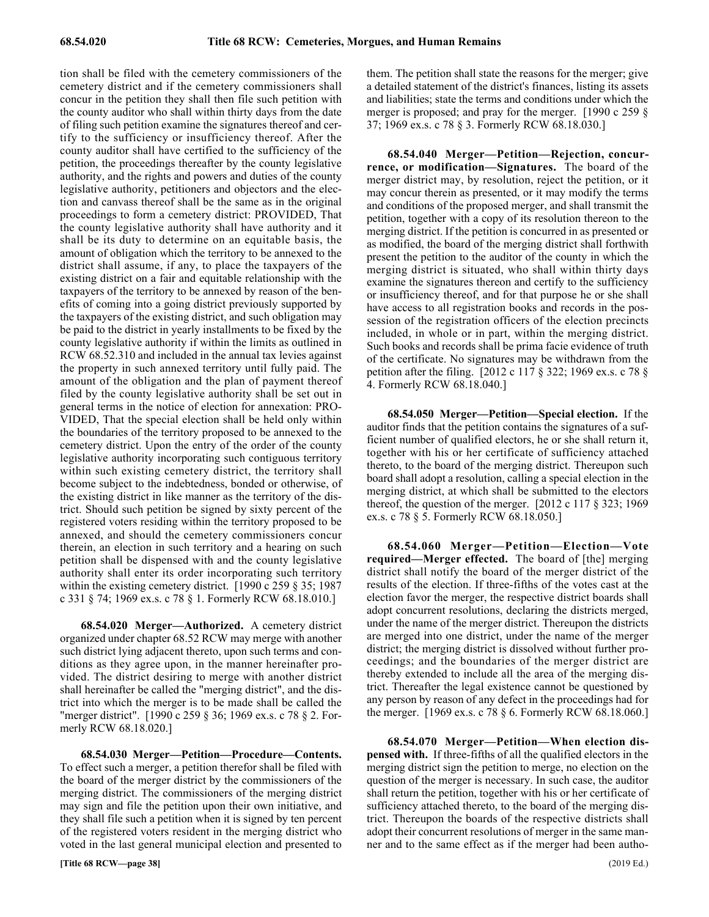tion shall be filed with the cemetery commissioners of the cemetery district and if the cemetery commissioners shall concur in the petition they shall then file such petition with the county auditor who shall within thirty days from the date of filing such petition examine the signatures thereof and certify to the sufficiency or insufficiency thereof. After the county auditor shall have certified to the sufficiency of the petition, the proceedings thereafter by the county legislative authority, and the rights and powers and duties of the county legislative authority, petitioners and objectors and the election and canvass thereof shall be the same as in the original proceedings to form a cemetery district: PROVIDED, That the county legislative authority shall have authority and it shall be its duty to determine on an equitable basis, the amount of obligation which the territory to be annexed to the district shall assume, if any, to place the taxpayers of the existing district on a fair and equitable relationship with the taxpayers of the territory to be annexed by reason of the benefits of coming into a going district previously supported by the taxpayers of the existing district, and such obligation may be paid to the district in yearly installments to be fixed by the county legislative authority if within the limits as outlined in RCW 68.52.310 and included in the annual tax levies against the property in such annexed territory until fully paid. The amount of the obligation and the plan of payment thereof filed by the county legislative authority shall be set out in general terms in the notice of election for annexation: PRO-VIDED, That the special election shall be held only within the boundaries of the territory proposed to be annexed to the cemetery district. Upon the entry of the order of the county legislative authority incorporating such contiguous territory within such existing cemetery district, the territory shall become subject to the indebtedness, bonded or otherwise, of the existing district in like manner as the territory of the district. Should such petition be signed by sixty percent of the registered voters residing within the territory proposed to be annexed, and should the cemetery commissioners concur therein, an election in such territory and a hearing on such petition shall be dispensed with and the county legislative authority shall enter its order incorporating such territory within the existing cemetery district. [1990 c 259 § 35; 1987] c 331 § 74; 1969 ex.s. c 78 § 1. Formerly RCW 68.18.010.]

68.54.020 68.54.020 Merger—Authorized. **68.54.020 Merger—Authorized.** A cemetery district organized under chapter 68.52 RCW may merge with another such district lying adjacent thereto, upon such terms and conditions as they agree upon, in the manner hereinafter provided. The district desiring to merge with another district shall hereinafter be called the "merging district", and the district into which the merger is to be made shall be called the "merger district". [1990 c 259 § 36; 1969 ex.s. c 78 § 2. Formerly RCW 68.18.020.]

68.54.030 68.54.030 Merger—Petition—Procedure—Contents. **68.54.030 Merger—Petition—Procedure—Contents.** To effect such a merger, a petition therefor shall be filed with the board of the merger district by the commissioners of the merging district. The commissioners of the merging district may sign and file the petition upon their own initiative, and they shall file such a petition when it is signed by ten percent of the registered voters resident in the merging district who voted in the last general municipal election and presented to

them. The petition shall state the reasons for the merger; give a detailed statement of the district's finances, listing its assets and liabilities; state the terms and conditions under which the merger is proposed; and pray for the merger. [1990 c 259 § 37; 1969 ex.s. c 78 § 3. Formerly RCW 68.18.030.]

68.54.040 Merger—Petition—Rejection, concur**rence, or modification—Signatures.** The board of the merger district may, by resolution, reject the petition, or it may concur therein as presented, or it may modify the terms and conditions of the proposed merger, and shall transmit the petition, together with a copy of its resolution thereon to the merging district. If the petition is concurred in as presented or as modified, the board of the merging district shall forthwith present the petition to the auditor of the county in which the merging district is situated, who shall within thirty days examine the signatures thereon and certify to the sufficiency or insufficiency thereof, and for that purpose he or she shall have access to all registration books and records in the possession of the registration officers of the election precincts included, in whole or in part, within the merging district. Such books and records shall be prima facie evidence of truth of the certificate. No signatures may be withdrawn from the petition after the filing. [2012 c 117 § 322; 1969 ex.s. c 78 § 4. Formerly RCW 68.18.040.]

68.54.050 68.54.050 Merger—Petition—Special election. **68.54.050 Merger—Petition—Special election.** If the auditor finds that the petition contains the signatures of a sufficient number of qualified electors, he or she shall return it, together with his or her certificate of sufficiency attached thereto, to the board of the merging district. Thereupon such board shall adopt a resolution, calling a special election in the merging district, at which shall be submitted to the electors thereof, the question of the merger.  $[2012 \text{ c } 117 \text{ § } 323; 1969]$ ex.s. c 78 § 5. Formerly RCW 68.18.050.]

68.54.060 Merger—Petition—Election—Vote **required—Merger effected.** The board of [the] merging district shall notify the board of the merger district of the results of the election. If three-fifths of the votes cast at the election favor the merger, the respective district boards shall adopt concurrent resolutions, declaring the districts merged, under the name of the merger district. Thereupon the districts are merged into one district, under the name of the merger district; the merging district is dissolved without further proceedings; and the boundaries of the merger district are thereby extended to include all the area of the merging district. Thereafter the legal existence cannot be questioned by any person by reason of any defect in the proceedings had for the merger. [1969 ex.s. c 78 § 6. Formerly RCW 68.18.060.]

68.54.070 68.54.070 Merger—Petition—When election dispensed with. **68.54.070 Merger—Petition—When election dispensed with.** If three-fifths of all the qualified electors in the merging district sign the petition to merge, no election on the question of the merger is necessary. In such case, the auditor shall return the petition, together with his or her certificate of sufficiency attached thereto, to the board of the merging district. Thereupon the boards of the respective districts shall adopt their concurrent resolutions of merger in the same manner and to the same effect as if the merger had been autho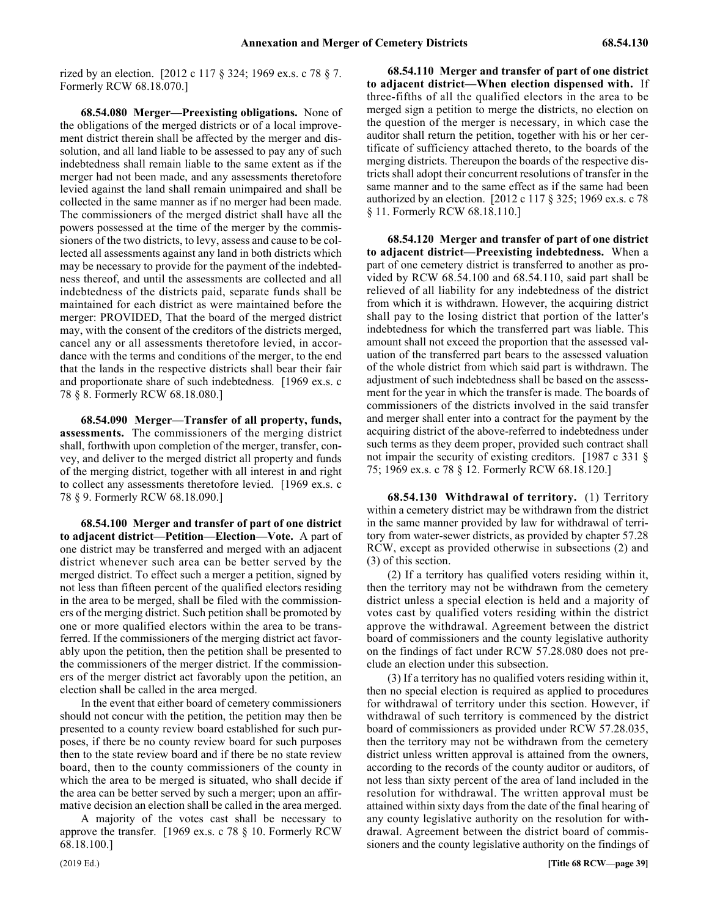rized by an election. [2012 c 117 § 324; 1969 ex.s. c 78 § 7. Formerly RCW 68.18.070.]

68.54.080 68.54.080 Merger—Preexisting obligations. **68.54.080 Merger—Preexisting obligations.** None of the obligations of the merged districts or of a local improvement district therein shall be affected by the merger and dissolution, and all land liable to be assessed to pay any of such indebtedness shall remain liable to the same extent as if the merger had not been made, and any assessments theretofore levied against the land shall remain unimpaired and shall be collected in the same manner as if no merger had been made. The commissioners of the merged district shall have all the powers possessed at the time of the merger by the commissioners of the two districts, to levy, assess and cause to be collected all assessments against any land in both districts which may be necessary to provide for the payment of the indebtedness thereof, and until the assessments are collected and all indebtedness of the districts paid, separate funds shall be maintained for each district as were maintained before the merger: PROVIDED, That the board of the merged district may, with the consent of the creditors of the districts merged, cancel any or all assessments theretofore levied, in accordance with the terms and conditions of the merger, to the end that the lands in the respective districts shall bear their fair and proportionate share of such indebtedness. [1969 ex.s. c 78 § 8. Formerly RCW 68.18.080.]

68.54.090 Merger—Transfer of all property, funds, **assessments.** The commissioners of the merging district shall, forthwith upon completion of the merger, transfer, convey, and deliver to the merged district all property and funds of the merging district, together with all interest in and right to collect any assessments theretofore levied. [1969 ex.s. c 78 § 9. Formerly RCW 68.18.090.]

68.54.100 Merger and transfer of part of one district **to adjacent district—Petition—Election—Vote.** A part of one district may be transferred and merged with an adjacent district whenever such area can be better served by the merged district. To effect such a merger a petition, signed by not less than fifteen percent of the qualified electors residing in the area to be merged, shall be filed with the commissioners of the merging district. Such petition shall be promoted by one or more qualified electors within the area to be transferred. If the commissioners of the merging district act favorably upon the petition, then the petition shall be presented to the commissioners of the merger district. If the commissioners of the merger district act favorably upon the petition, an election shall be called in the area merged.

In the event that either board of cemetery commissioners should not concur with the petition, the petition may then be presented to a county review board established for such purposes, if there be no county review board for such purposes then to the state review board and if there be no state review board, then to the county commissioners of the county in which the area to be merged is situated, who shall decide if the area can be better served by such a merger; upon an affirmative decision an election shall be called in the area merged.

A majority of the votes cast shall be necessary to approve the transfer. [1969 ex.s. c 78 § 10. Formerly RCW 68.18.100.]

68.54.110 Merger and transfer of part of one district **to adjacent district—When election dispensed with.** If three-fifths of all the qualified electors in the area to be merged sign a petition to merge the districts, no election on the question of the merger is necessary, in which case the auditor shall return the petition, together with his or her certificate of sufficiency attached thereto, to the boards of the merging districts. Thereupon the boards of the respective districts shall adopt their concurrent resolutions of transfer in the same manner and to the same effect as if the same had been authorized by an election. [2012 c 117 § 325; 1969 ex.s. c 78 § 11. Formerly RCW 68.18.110.]

68.54.120 Merger and transfer of part of one district **to adjacent district—Preexisting indebtedness.** When a part of one cemetery district is transferred to another as provided by RCW 68.54.100 and 68.54.110, said part shall be relieved of all liability for any indebtedness of the district from which it is withdrawn. However, the acquiring district shall pay to the losing district that portion of the latter's indebtedness for which the transferred part was liable. This amount shall not exceed the proportion that the assessed valuation of the transferred part bears to the assessed valuation of the whole district from which said part is withdrawn. The adjustment of such indebtedness shall be based on the assessment for the year in which the transfer is made. The boards of commissioners of the districts involved in the said transfer and merger shall enter into a contract for the payment by the acquiring district of the above-referred to indebtedness under such terms as they deem proper, provided such contract shall not impair the security of existing creditors. [1987 c 331 § 75; 1969 ex.s. c 78 § 12. Formerly RCW 68.18.120.]

**68.54.130 Withdrawal of territory.** (1) Territory within a cemetery district may be withdrawn from the district in the same manner provided by law for withdrawal of territory from water-sewer districts, as provided by chapter 57.28 RCW, except as provided otherwise in subsections (2) and (3) of this section.

(2) If a territory has qualified voters residing within it, then the territory may not be withdrawn from the cemetery district unless a special election is held and a majority of votes cast by qualified voters residing within the district approve the withdrawal. Agreement between the district board of commissioners and the county legislative authority on the findings of fact under RCW 57.28.080 does not preclude an election under this subsection.

(3) If a territory has no qualified voters residing within it, then no special election is required as applied to procedures for withdrawal of territory under this section. However, if withdrawal of such territory is commenced by the district board of commissioners as provided under RCW 57.28.035, then the territory may not be withdrawn from the cemetery district unless written approval is attained from the owners, according to the records of the county auditor or auditors, of not less than sixty percent of the area of land included in the resolution for withdrawal. The written approval must be attained within sixty days from the date of the final hearing of any county legislative authority on the resolution for withdrawal. Agreement between the district board of commissioners and the county legislative authority on the findings of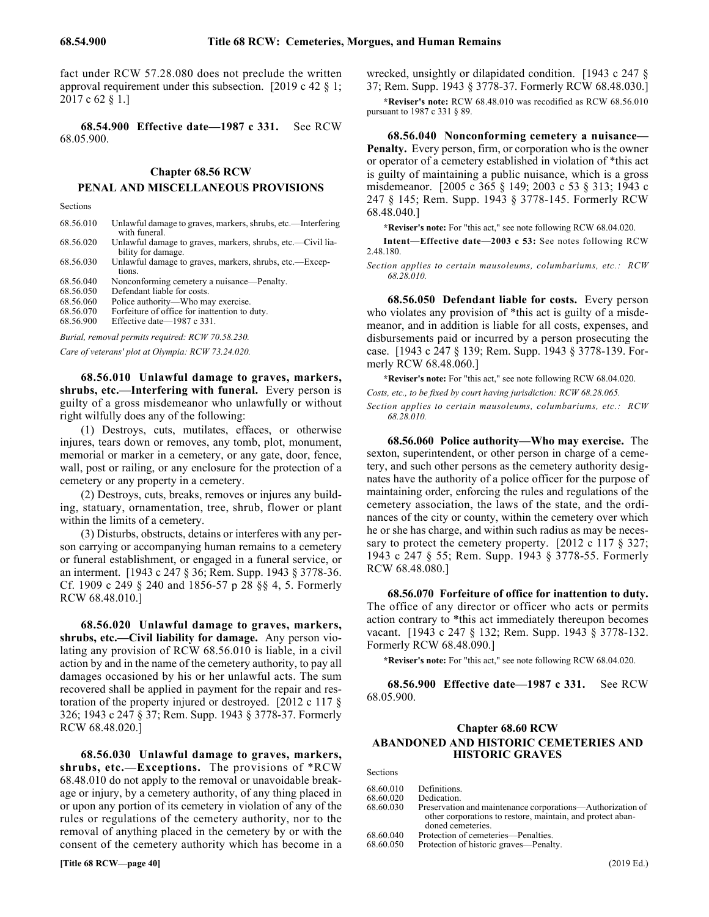fact under RCW 57.28.080 does not preclude the written approval requirement under this subsection. [2019 c 42 § 1; 2017 c 62 § 1.]

68.54.900 68.54.900 Effective date—1987 c 331. **68.54.900 Effective date—1987 c 331.** See RCW 68.05.900.

# Chapter 68.56 **Chapter 68.56 RCW** 68.56 PENAL AND MISCELLANEOUS PROVISIONS **PENAL AND MISCELLANEOUS PROVISIONS**

Sections

| 68.56.010                                        | Unlawful damage to graves, markers, shrubs, etc.—Interfering<br>with funeral.     |  |
|--------------------------------------------------|-----------------------------------------------------------------------------------|--|
| 68.56.020                                        | Unlawful damage to graves, markers, shrubs, etc.—Civil lia-<br>bility for damage. |  |
| 68.56.030                                        | Unlawful damage to graves, markers, shrubs, etc.—Excep-<br>tions.                 |  |
| 68.56.040                                        | Nonconforming cemetery a nuisance—Penalty.                                        |  |
| 68.56.050                                        | Defendant liable for costs.                                                       |  |
| 68.56.060                                        | Police authority—Who may exercise.                                                |  |
| 68.56.070                                        | Forfeiture of office for inattention to duty.                                     |  |
| 68.56.900                                        | Effective date— $1987$ c 331.                                                     |  |
| Burial, removal permits required: RCW 70.58.230. |                                                                                   |  |

*Care of veterans' plot at Olympia: RCW 73.24.020.*

68.56.010 Unlawful damage to graves, markers, **shrubs, etc.—Interfering with funeral.** Every person is guilty of a gross misdemeanor who unlawfully or without right wilfully does any of the following:

(1) Destroys, cuts, mutilates, effaces, or otherwise injures, tears down or removes, any tomb, plot, monument, memorial or marker in a cemetery, or any gate, door, fence, wall, post or railing, or any enclosure for the protection of a cemetery or any property in a cemetery.

(2) Destroys, cuts, breaks, removes or injures any building, statuary, ornamentation, tree, shrub, flower or plant within the limits of a cemetery.

(3) Disturbs, obstructs, detains or interferes with any person carrying or accompanying human remains to a cemetery or funeral establishment, or engaged in a funeral service, or an interment. [1943 c 247 § 36; Rem. Supp. 1943 § 3778-36. Cf. 1909 c 249 § 240 and 1856-57 p 28 §§ 4, 5. Formerly RCW 68.48.010.]

68.56.020 Unlawful damage to graves, markers, **shrubs, etc.—Civil liability for damage.** Any person violating any provision of RCW 68.56.010 is liable, in a civil action by and in the name of the cemetery authority, to pay all damages occasioned by his or her unlawful acts. The sum recovered shall be applied in payment for the repair and restoration of the property injured or destroyed. [2012 c 117 § 326; 1943 c 247 § 37; Rem. Supp. 1943 § 3778-37. Formerly RCW 68.48.020.]

68.56.030 Unlawful damage to graves, markers, **shrubs, etc.—Exceptions.** The provisions of \*RCW 68.48.010 do not apply to the removal or unavoidable breakage or injury, by a cemetery authority, of any thing placed in or upon any portion of its cemetery in violation of any of the rules or regulations of the cemetery authority, nor to the removal of anything placed in the cemetery by or with the consent of the cemetery authority which has become in a wrecked, unsightly or dilapidated condition. [1943 c 247 § 37; Rem. Supp. 1943 § 3778-37. Formerly RCW 68.48.030.]

**\*Reviser's note:** RCW 68.48.010 was recodified as RCW 68.56.010 pursuant to 1987 c 331 § 89.

68.56.040 68.56.040 Nonconforming cemetery a nuisance—Penalty. **68.56.040 Nonconforming cemetery a nuisance— Penalty.** Every person, firm, or corporation who is the owner or operator of a cemetery established in violation of \*this act is guilty of maintaining a public nuisance, which is a gross misdemeanor. [2005 c 365 § 149; 2003 c 53 § 313; 1943 c 247 § 145; Rem. Supp. 1943 § 3778-145. Formerly RCW 68.48.040.]

**\*Reviser's note:** For "this act," see note following RCW 68.04.020.

**Intent—Effective date—2003 c 53:** See notes following RCW 2.48.180.

*Section applies to certain mausoleums, columbariums, etc.: RCW 68.28.010.*

68.56.050 68.56.050 Defendant liable for costs. **68.56.050 Defendant liable for costs.** Every person who violates any provision of \*this act is guilty of a misdemeanor, and in addition is liable for all costs, expenses, and disbursements paid or incurred by a person prosecuting the case. [1943 c 247 § 139; Rem. Supp. 1943 § 3778-139. Formerly RCW 68.48.060.]

**\*Reviser's note:** For "this act," see note following RCW 68.04.020. *Costs, etc., to be fixed by court having jurisdiction: RCW 68.28.065. Section applies to certain mausoleums, columbariums, etc.: RCW 68.28.010.*

68.56.060 68.56.060 Police authority—Who may exercise. **68.56.060 Police authority—Who may exercise.** The sexton, superintendent, or other person in charge of a cemetery, and such other persons as the cemetery authority designates have the authority of a police officer for the purpose of maintaining order, enforcing the rules and regulations of the cemetery association, the laws of the state, and the ordinances of the city or county, within the cemetery over which he or she has charge, and within such radius as may be necessary to protect the cemetery property. [2012 c 117  $\S$  327; 1943 c 247 § 55; Rem. Supp. 1943 § 3778-55. Formerly RCW 68.48.080.]

68.56.070 68.56.070 Forfeiture of office for inattention to duty. **68.56.070 Forfeiture of office for inattention to duty.** The office of any director or officer who acts or permits action contrary to \*this act immediately thereupon becomes vacant. [1943 c 247 § 132; Rem. Supp. 1943 § 3778-132. Formerly RCW 68.48.090.]

**\*Reviser's note:** For "this act," see note following RCW 68.04.020.

68.56.900 68.56.900 Effective date—1987 c 331. **68.56.900 Effective date—1987 c 331.** See RCW 68.05.900.

# Chapter 68.60 **Chapter 68.60 RCW** 68.60 ABANDONED AND HISTORIC CEMETERIES AND HISTORIC GRAVES **ABANDONED AND HISTORIC CEMETERIES AND HISTORIC GRAVES**

Sections

| 68.60.010 | Definitions.                                               |
|-----------|------------------------------------------------------------|
| 68.60.020 | Dedication.                                                |
| 68.60.030 | Preservation and maintenance corporations—Authorization of |
|           | other corporations to restore, maintain, and protect aban- |
|           | doned cemeteries.                                          |
| 68.60.040 | Protection of cemeteries—Penalties.                        |
| 68.60.050 | Protection of historic graves—Penalty.                     |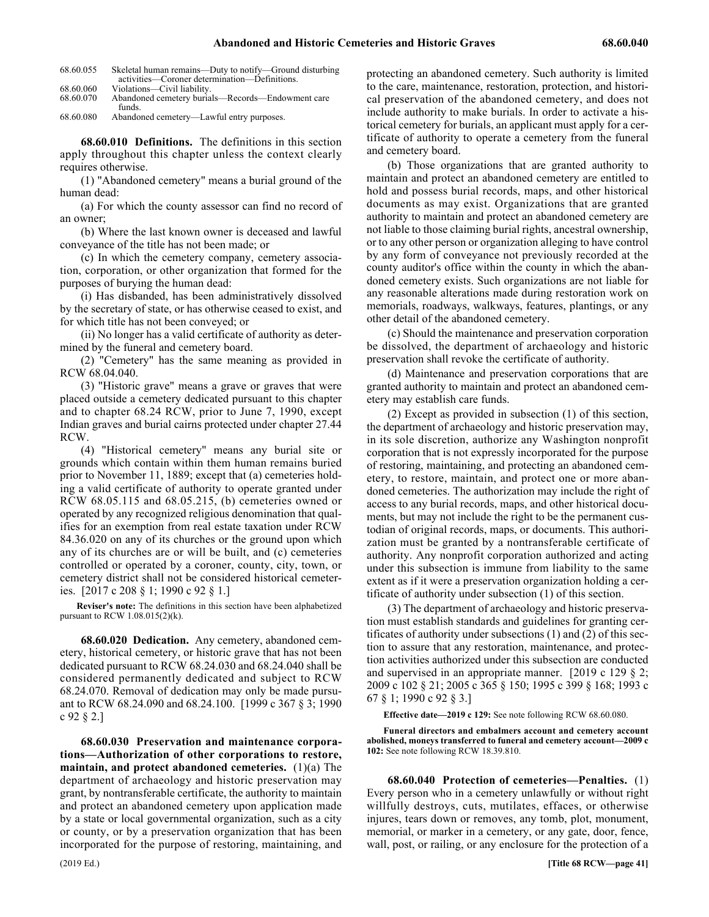| 68.60.055 | Skeletal human remains—Duty to notify—Ground disturbing |
|-----------|---------------------------------------------------------|
|           | activities—Coroner determination—Definitions.           |
| 68.60.060 | Violations—Civil liability.                             |
| 68.60.070 | Abandoned cemetery burials—Records—Endowment care       |
|           | funds.                                                  |

68.60.080 Abandoned cemetery—Lawful entry purposes.

68.60.010 68.60.010 Definitions. **68.60.010 Definitions.** The definitions in this section apply throughout this chapter unless the context clearly requires otherwise.

(1) "Abandoned cemetery" means a burial ground of the human dead:

(a) For which the county assessor can find no record of an owner;

(b) Where the last known owner is deceased and lawful conveyance of the title has not been made; or

(c) In which the cemetery company, cemetery association, corporation, or other organization that formed for the purposes of burying the human dead:

(i) Has disbanded, has been administratively dissolved by the secretary of state, or has otherwise ceased to exist, and for which title has not been conveyed; or

(ii) No longer has a valid certificate of authority as determined by the funeral and cemetery board.

(2) "Cemetery" has the same meaning as provided in RCW 68.04.040.

(3) "Historic grave" means a grave or graves that were placed outside a cemetery dedicated pursuant to this chapter and to chapter 68.24 RCW, prior to June 7, 1990, except Indian graves and burial cairns protected under chapter 27.44 RCW.

(4) "Historical cemetery" means any burial site or grounds which contain within them human remains buried prior to November 11, 1889; except that (a) cemeteries holding a valid certificate of authority to operate granted under RCW 68.05.115 and 68.05.215, (b) cemeteries owned or operated by any recognized religious denomination that qualifies for an exemption from real estate taxation under RCW 84.36.020 on any of its churches or the ground upon which any of its churches are or will be built, and (c) cemeteries controlled or operated by a coroner, county, city, town, or cemetery district shall not be considered historical cemeteries. [2017 c 208 § 1; 1990 c 92 § 1.]

**Reviser's note:** The definitions in this section have been alphabetized pursuant to RCW 1.08.015(2)(k).

68.60.020 68.60.020 Dedication. **68.60.020 Dedication.** Any cemetery, abandoned cemetery, historical cemetery, or historic grave that has not been dedicated pursuant to RCW 68.24.030 and 68.24.040 shall be considered permanently dedicated and subject to RCW 68.24.070. Removal of dedication may only be made pursuant to RCW 68.24.090 and 68.24.100. [1999 c 367 § 3; 1990 c 92 § 2.]

68.60.030 68.60.030 Preservation and maintenance corporations—Authorization of other corporations to restore, maintain, and protect abandoned cemeteries. **68.60.030 Preservation and maintenance corporations—Authorization of other corporations to restore, maintain, and protect abandoned cemeteries.** (1)(a) The department of archaeology and historic preservation may grant, by nontransferable certificate, the authority to maintain and protect an abandoned cemetery upon application made by a state or local governmental organization, such as a city or county, or by a preservation organization that has been incorporated for the purpose of restoring, maintaining, and

protecting an abandoned cemetery. Such authority is limited to the care, maintenance, restoration, protection, and historical preservation of the abandoned cemetery, and does not include authority to make burials. In order to activate a historical cemetery for burials, an applicant must apply for a certificate of authority to operate a cemetery from the funeral and cemetery board.

(b) Those organizations that are granted authority to maintain and protect an abandoned cemetery are entitled to hold and possess burial records, maps, and other historical documents as may exist. Organizations that are granted authority to maintain and protect an abandoned cemetery are not liable to those claiming burial rights, ancestral ownership, or to any other person or organization alleging to have control by any form of conveyance not previously recorded at the county auditor's office within the county in which the abandoned cemetery exists. Such organizations are not liable for any reasonable alterations made during restoration work on memorials, roadways, walkways, features, plantings, or any other detail of the abandoned cemetery.

(c) Should the maintenance and preservation corporation be dissolved, the department of archaeology and historic preservation shall revoke the certificate of authority.

(d) Maintenance and preservation corporations that are granted authority to maintain and protect an abandoned cemetery may establish care funds.

(2) Except as provided in subsection (1) of this section, the department of archaeology and historic preservation may, in its sole discretion, authorize any Washington nonprofit corporation that is not expressly incorporated for the purpose of restoring, maintaining, and protecting an abandoned cemetery, to restore, maintain, and protect one or more abandoned cemeteries. The authorization may include the right of access to any burial records, maps, and other historical documents, but may not include the right to be the permanent custodian of original records, maps, or documents. This authorization must be granted by a nontransferable certificate of authority. Any nonprofit corporation authorized and acting under this subsection is immune from liability to the same extent as if it were a preservation organization holding a certificate of authority under subsection (1) of this section.

(3) The department of archaeology and historic preservation must establish standards and guidelines for granting certificates of authority under subsections (1) and (2) of this section to assure that any restoration, maintenance, and protection activities authorized under this subsection are conducted and supervised in an appropriate manner. [2019 c 129 § 2; 2009 c 102 § 21; 2005 c 365 § 150; 1995 c 399 § 168; 1993 c 67 § 1; 1990 c 92 § 3.]

**Effective date—2019 c 129:** See note following RCW 68.60.080.

**Funeral directors and embalmers account and cemetery account abolished, moneys transferred to funeral and cemetery account—2009 c 102:** See note following RCW 18.39.810.

68.60.040 68.60.040 Protection of cemeteries—Penalties. **68.60.040 Protection of cemeteries—Penalties.** (1) Every person who in a cemetery unlawfully or without right willfully destroys, cuts, mutilates, effaces, or otherwise injures, tears down or removes, any tomb, plot, monument, memorial, or marker in a cemetery, or any gate, door, fence, wall, post, or railing, or any enclosure for the protection of a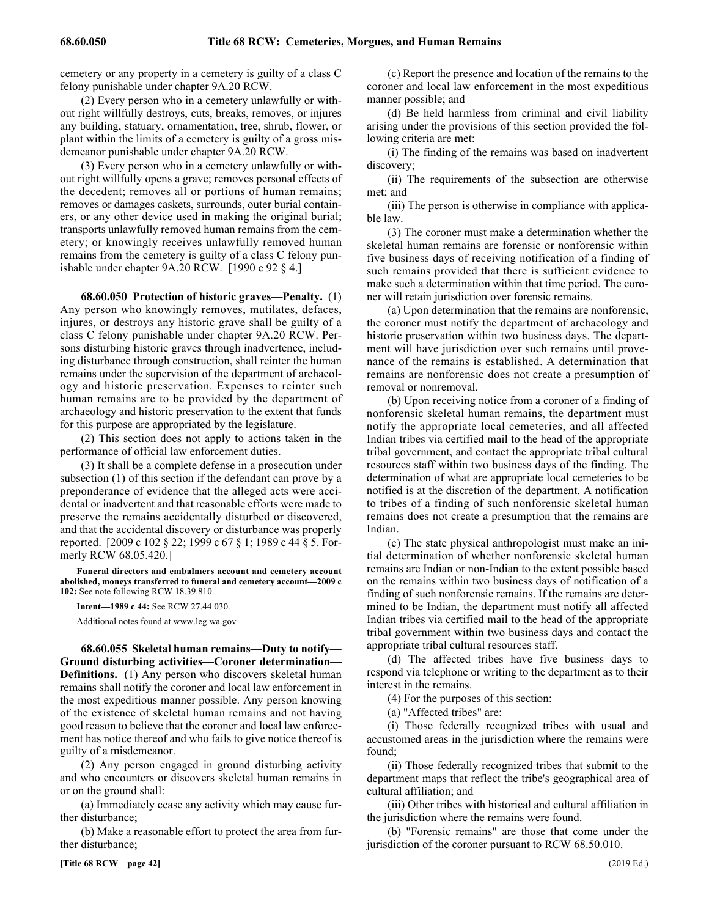cemetery or any property in a cemetery is guilty of a class C felony punishable under chapter 9A.20 RCW.

(2) Every person who in a cemetery unlawfully or without right willfully destroys, cuts, breaks, removes, or injures any building, statuary, ornamentation, tree, shrub, flower, or plant within the limits of a cemetery is guilty of a gross misdemeanor punishable under chapter 9A.20 RCW.

(3) Every person who in a cemetery unlawfully or without right willfully opens a grave; removes personal effects of the decedent; removes all or portions of human remains; removes or damages caskets, surrounds, outer burial containers, or any other device used in making the original burial; transports unlawfully removed human remains from the cemetery; or knowingly receives unlawfully removed human remains from the cemetery is guilty of a class C felony punishable under chapter 9A.20 RCW. [1990 c 92 § 4.]

68.60.050 68.60.050 Protection of historic graves—Penalty. **68.60.050 Protection of historic graves—Penalty.** (1) Any person who knowingly removes, mutilates, defaces, injures, or destroys any historic grave shall be guilty of a class C felony punishable under chapter 9A.20 RCW. Persons disturbing historic graves through inadvertence, including disturbance through construction, shall reinter the human remains under the supervision of the department of archaeology and historic preservation. Expenses to reinter such human remains are to be provided by the department of archaeology and historic preservation to the extent that funds for this purpose are appropriated by the legislature.

(2) This section does not apply to actions taken in the performance of official law enforcement duties.

(3) It shall be a complete defense in a prosecution under subsection (1) of this section if the defendant can prove by a preponderance of evidence that the alleged acts were accidental or inadvertent and that reasonable efforts were made to preserve the remains accidentally disturbed or discovered, and that the accidental discovery or disturbance was properly reported. [2009 c 102 § 22; 1999 c 67 § 1; 1989 c 44 § 5. Formerly RCW 68.05.420.]

**Funeral directors and embalmers account and cemetery account abolished, moneys transferred to funeral and cemetery account—2009 c 102:** See note following RCW 18.39.810.

**Intent—1989 c 44:** See RCW 27.44.030.

Additional notes found at www.leg.wa.gov

68.60.055 Skeletal human remains—Duty to notify— **Ground disturbing activities—Coroner determination— Definitions.** (1) Any person who discovers skeletal human remains shall notify the coroner and local law enforcement in the most expeditious manner possible. Any person knowing of the existence of skeletal human remains and not having good reason to believe that the coroner and local law enforcement has notice thereof and who fails to give notice thereof is guilty of a misdemeanor.

(2) Any person engaged in ground disturbing activity and who encounters or discovers skeletal human remains in or on the ground shall:

(a) Immediately cease any activity which may cause further disturbance;

(b) Make a reasonable effort to protect the area from further disturbance;

(c) Report the presence and location of the remains to the coroner and local law enforcement in the most expeditious manner possible; and

(d) Be held harmless from criminal and civil liability arising under the provisions of this section provided the following criteria are met:

(i) The finding of the remains was based on inadvertent discovery;

(ii) The requirements of the subsection are otherwise met; and

(iii) The person is otherwise in compliance with applicable law.

(3) The coroner must make a determination whether the skeletal human remains are forensic or nonforensic within five business days of receiving notification of a finding of such remains provided that there is sufficient evidence to make such a determination within that time period. The coroner will retain jurisdiction over forensic remains.

(a) Upon determination that the remains are nonforensic, the coroner must notify the department of archaeology and historic preservation within two business days. The department will have jurisdiction over such remains until provenance of the remains is established. A determination that remains are nonforensic does not create a presumption of removal or nonremoval.

(b) Upon receiving notice from a coroner of a finding of nonforensic skeletal human remains, the department must notify the appropriate local cemeteries, and all affected Indian tribes via certified mail to the head of the appropriate tribal government, and contact the appropriate tribal cultural resources staff within two business days of the finding. The determination of what are appropriate local cemeteries to be notified is at the discretion of the department. A notification to tribes of a finding of such nonforensic skeletal human remains does not create a presumption that the remains are Indian.

(c) The state physical anthropologist must make an initial determination of whether nonforensic skeletal human remains are Indian or non-Indian to the extent possible based on the remains within two business days of notification of a finding of such nonforensic remains. If the remains are determined to be Indian, the department must notify all affected Indian tribes via certified mail to the head of the appropriate tribal government within two business days and contact the appropriate tribal cultural resources staff.

(d) The affected tribes have five business days to respond via telephone or writing to the department as to their interest in the remains.

(4) For the purposes of this section:

(a) "Affected tribes" are:

(i) Those federally recognized tribes with usual and accustomed areas in the jurisdiction where the remains were found;

(ii) Those federally recognized tribes that submit to the department maps that reflect the tribe's geographical area of cultural affiliation; and

(iii) Other tribes with historical and cultural affiliation in the jurisdiction where the remains were found.

(b) "Forensic remains" are those that come under the jurisdiction of the coroner pursuant to RCW 68.50.010.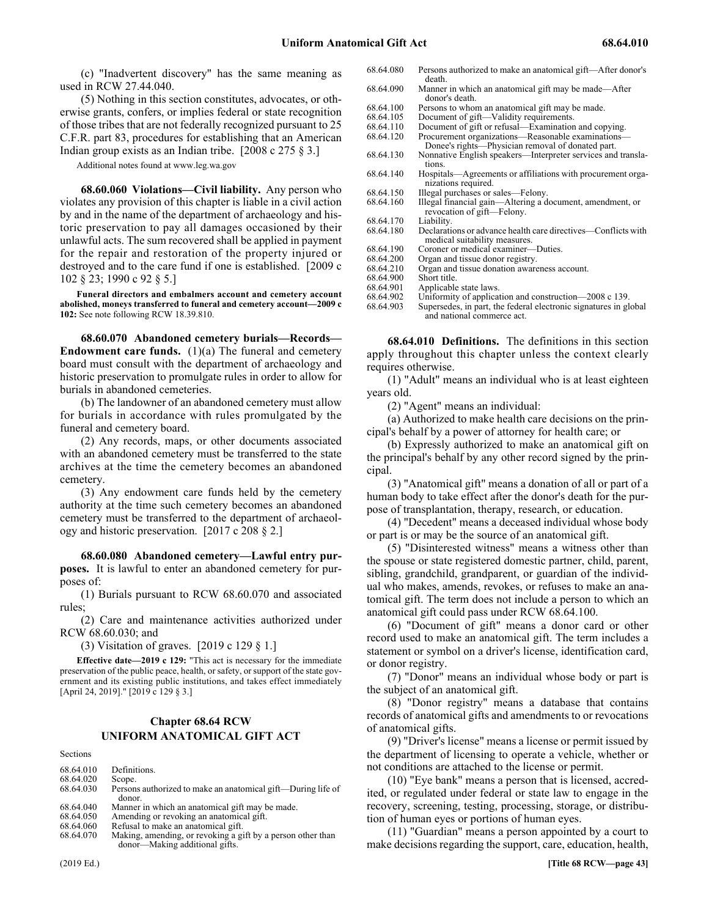(c) "Inadvertent discovery" has the same meaning as used in RCW 27.44.040.

(5) Nothing in this section constitutes, advocates, or otherwise grants, confers, or implies federal or state recognition of those tribes that are not federally recognized pursuant to 25 C.F.R. part 83, procedures for establishing that an American Indian group exists as an Indian tribe. [2008 c 275 § 3.]

Additional notes found at www.leg.wa.gov

68.60.060 68.60.060 Violations—Civil liability. **68.60.060 Violations—Civil liability.** Any person who violates any provision of this chapter is liable in a civil action by and in the name of the department of archaeology and historic preservation to pay all damages occasioned by their unlawful acts. The sum recovered shall be applied in payment for the repair and restoration of the property injured or destroyed and to the care fund if one is established. [2009 c 102 § 23; 1990 c 92 § 5.]

**Funeral directors and embalmers account and cemetery account abolished, moneys transferred to funeral and cemetery account—2009 c 102:** See note following RCW 18.39.810.

68.60.070 Abandoned cemetery burials-Records-**Endowment care funds.** (1)(a) The funeral and cemetery board must consult with the department of archaeology and historic preservation to promulgate rules in order to allow for burials in abandoned cemeteries.

(b) The landowner of an abandoned cemetery must allow for burials in accordance with rules promulgated by the funeral and cemetery board.

(2) Any records, maps, or other documents associated with an abandoned cemetery must be transferred to the state archives at the time the cemetery becomes an abandoned cemetery.

(3) Any endowment care funds held by the cemetery authority at the time such cemetery becomes an abandoned cemetery must be transferred to the department of archaeology and historic preservation. [2017 c 208 § 2.]

68.60.080 Abandoned cemetery-Lawful entry pur**poses.** It is lawful to enter an abandoned cemetery for purposes of:

(1) Burials pursuant to RCW 68.60.070 and associated rules;

(2) Care and maintenance activities authorized under RCW 68.60.030; and

(3) Visitation of graves. [2019 c 129 § 1.]

**Effective date—2019 c 129:** "This act is necessary for the immediate preservation of the public peace, health, or safety, or support of the state government and its existing public institutions, and takes effect immediately [April 24, 2019]." [2019 c 129 § 3.]

# Chapter 68.64 **Chapter 68.64 RCW** 68.64 UNIFORM ANATOMICAL GIFT ACT **UNIFORM ANATOMICAL GIFT ACT**

Sections

| 68.64.010 | Definitions.                                                           |
|-----------|------------------------------------------------------------------------|
| 68.64.020 | Scope.                                                                 |
| 68.64.030 |                                                                        |
|           | Persons authorized to make an anatomical gift—During life of<br>donor. |
| 68.64.040 | Manner in which an anatomical gift may be made.                        |
| 68.64.050 | Amending or revoking an anatomical gift.                               |

- 68.64.060 Refusal to make an anatomical gift.
- 68.64.070 Making, amending, or revoking a gift by a person other than donor—Making additional gifts.

| 68.64.080 | Persons authorized to make an anatomical gift—After donor's<br>death.                                   |
|-----------|---------------------------------------------------------------------------------------------------------|
| 68.64.090 | Manner in which an anatomical gift may be made—After<br>donor's death.                                  |
| 68.64.100 | Persons to whom an anatomical gift may be made.                                                         |
| 68.64.105 | Document of gift—Validity requirements.                                                                 |
| 68.64.110 | Document of gift or refusal—Examination and copying.                                                    |
| 68.64.120 | Procurement organizations—Reasonable examinations—<br>Donee's rights—Physician removal of donated part. |
| 68.64.130 | Nonnative English speakers—Interpreter services and transla-<br>tions.                                  |
| 68.64.140 | Hospitals—Agreements or affiliations with procurement orga-<br>nizations required.                      |
| 68.64.150 | Illegal purchases or sales—Felony.                                                                      |
| 68.64.160 | Illegal financial gain—Altering a document, amendment, or<br>revocation of gift—Felony.                 |
| 68.64.170 | Liability.                                                                                              |
| 68.64.180 | Declarations or advance health care directives—Conflicts with<br>medical suitability measures.          |
| 68.64.190 | Coroner or medical examiner—Duties.                                                                     |
| 68.64.200 | Organ and tissue donor registry.                                                                        |
| 68.64.210 | Organ and tissue donation awareness account.                                                            |
| 68.64.900 | Short title.                                                                                            |
| 68.64.901 | Applicable state laws.                                                                                  |
| 68.64.902 | Uniformity of application and construction—2008 c 139.                                                  |
| 68.64.903 | Supersedes, in part, the federal electronic signatures in global<br>and national commerce act.          |

68.64.010 68.64.010 Definitions. **68.64.010 Definitions.** The definitions in this section apply throughout this chapter unless the context clearly requires otherwise.

(1) "Adult" means an individual who is at least eighteen years old.

(2) "Agent" means an individual:

(a) Authorized to make health care decisions on the principal's behalf by a power of attorney for health care; or

(b) Expressly authorized to make an anatomical gift on the principal's behalf by any other record signed by the principal.

(3) "Anatomical gift" means a donation of all or part of a human body to take effect after the donor's death for the purpose of transplantation, therapy, research, or education.

(4) "Decedent" means a deceased individual whose body or part is or may be the source of an anatomical gift.

(5) "Disinterested witness" means a witness other than the spouse or state registered domestic partner, child, parent, sibling, grandchild, grandparent, or guardian of the individual who makes, amends, revokes, or refuses to make an anatomical gift. The term does not include a person to which an anatomical gift could pass under RCW 68.64.100.

(6) "Document of gift" means a donor card or other record used to make an anatomical gift. The term includes a statement or symbol on a driver's license, identification card, or donor registry.

(7) "Donor" means an individual whose body or part is the subject of an anatomical gift.

(8) "Donor registry" means a database that contains records of anatomical gifts and amendments to or revocations of anatomical gifts.

(9) "Driver's license" means a license or permit issued by the department of licensing to operate a vehicle, whether or not conditions are attached to the license or permit.

(10) "Eye bank" means a person that is licensed, accredited, or regulated under federal or state law to engage in the recovery, screening, testing, processing, storage, or distribution of human eyes or portions of human eyes.

(11) "Guardian" means a person appointed by a court to make decisions regarding the support, care, education, health,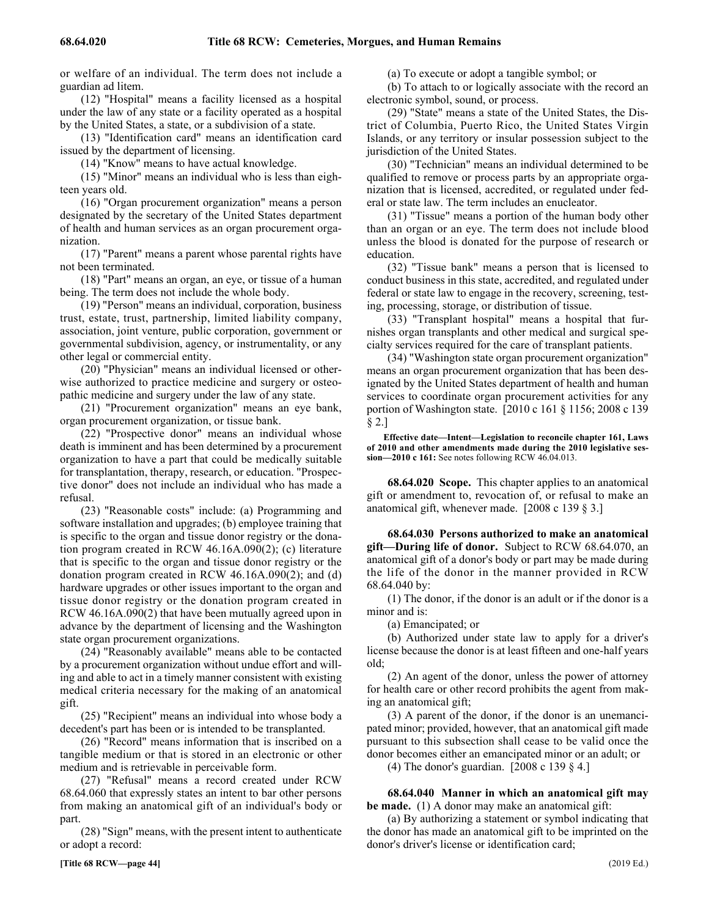or welfare of an individual. The term does not include a guardian ad litem.

(12) "Hospital" means a facility licensed as a hospital under the law of any state or a facility operated as a hospital by the United States, a state, or a subdivision of a state.

(13) "Identification card" means an identification card issued by the department of licensing.

(14) "Know" means to have actual knowledge.

(15) "Minor" means an individual who is less than eighteen years old.

(16) "Organ procurement organization" means a person designated by the secretary of the United States department of health and human services as an organ procurement organization.

(17) "Parent" means a parent whose parental rights have not been terminated.

(18) "Part" means an organ, an eye, or tissue of a human being. The term does not include the whole body.

(19) "Person" means an individual, corporation, business trust, estate, trust, partnership, limited liability company, association, joint venture, public corporation, government or governmental subdivision, agency, or instrumentality, or any other legal or commercial entity.

(20) "Physician" means an individual licensed or otherwise authorized to practice medicine and surgery or osteopathic medicine and surgery under the law of any state.

(21) "Procurement organization" means an eye bank, organ procurement organization, or tissue bank.

(22) "Prospective donor" means an individual whose death is imminent and has been determined by a procurement organization to have a part that could be medically suitable for transplantation, therapy, research, or education. "Prospective donor" does not include an individual who has made a refusal.

(23) "Reasonable costs" include: (a) Programming and software installation and upgrades; (b) employee training that is specific to the organ and tissue donor registry or the donation program created in RCW 46.16A.090(2); (c) literature that is specific to the organ and tissue donor registry or the donation program created in RCW 46.16A.090(2); and (d) hardware upgrades or other issues important to the organ and tissue donor registry or the donation program created in RCW 46.16A.090(2) that have been mutually agreed upon in advance by the department of licensing and the Washington state organ procurement organizations.

(24) "Reasonably available" means able to be contacted by a procurement organization without undue effort and willing and able to act in a timely manner consistent with existing medical criteria necessary for the making of an anatomical gift.

(25) "Recipient" means an individual into whose body a decedent's part has been or is intended to be transplanted.

(26) "Record" means information that is inscribed on a tangible medium or that is stored in an electronic or other medium and is retrievable in perceivable form.

(27) "Refusal" means a record created under RCW 68.64.060 that expressly states an intent to bar other persons from making an anatomical gift of an individual's body or part.

(28) "Sign" means, with the present intent to authenticate or adopt a record:

(a) To execute or adopt a tangible symbol; or

(b) To attach to or logically associate with the record an electronic symbol, sound, or process.

(29) "State" means a state of the United States, the District of Columbia, Puerto Rico, the United States Virgin Islands, or any territory or insular possession subject to the jurisdiction of the United States.

(30) "Technician" means an individual determined to be qualified to remove or process parts by an appropriate organization that is licensed, accredited, or regulated under federal or state law. The term includes an enucleator.

(31) "Tissue" means a portion of the human body other than an organ or an eye. The term does not include blood unless the blood is donated for the purpose of research or education.

(32) "Tissue bank" means a person that is licensed to conduct business in this state, accredited, and regulated under federal or state law to engage in the recovery, screening, testing, processing, storage, or distribution of tissue.

(33) "Transplant hospital" means a hospital that furnishes organ transplants and other medical and surgical specialty services required for the care of transplant patients.

(34) "Washington state organ procurement organization" means an organ procurement organization that has been designated by the United States department of health and human services to coordinate organ procurement activities for any portion of Washington state. [2010 c 161 § 1156; 2008 c 139 § 2.]

**Effective date—Intent—Legislation to reconcile chapter 161, Laws of 2010 and other amendments made during the 2010 legislative session—2010 c 161:** See notes following RCW 46.04.013.

68.64.020 68.64.020 Scope. **68.64.020 Scope.** This chapter applies to an anatomical gift or amendment to, revocation of, or refusal to make an anatomical gift, whenever made. [2008 c 139 § 3.]

68.64.030 Persons authorized to make an anatomical **gift—During life of donor.** Subject to RCW 68.64.070, an anatomical gift of a donor's body or part may be made during the life of the donor in the manner provided in RCW 68.64.040 by:

(1) The donor, if the donor is an adult or if the donor is a minor and is:

(a) Emancipated; or

(b) Authorized under state law to apply for a driver's license because the donor is at least fifteen and one-half years old;

(2) An agent of the donor, unless the power of attorney for health care or other record prohibits the agent from making an anatomical gift;

(3) A parent of the donor, if the donor is an unemancipated minor; provided, however, that an anatomical gift made pursuant to this subsection shall cease to be valid once the donor becomes either an emancipated minor or an adult; or

(4) The donor's guardian. [2008 c 139 § 4.]

68.64.040 Manner in which an anatomical gift may **be made.** (1) A donor may make an anatomical gift:

(a) By authorizing a statement or symbol indicating that the donor has made an anatomical gift to be imprinted on the donor's driver's license or identification card;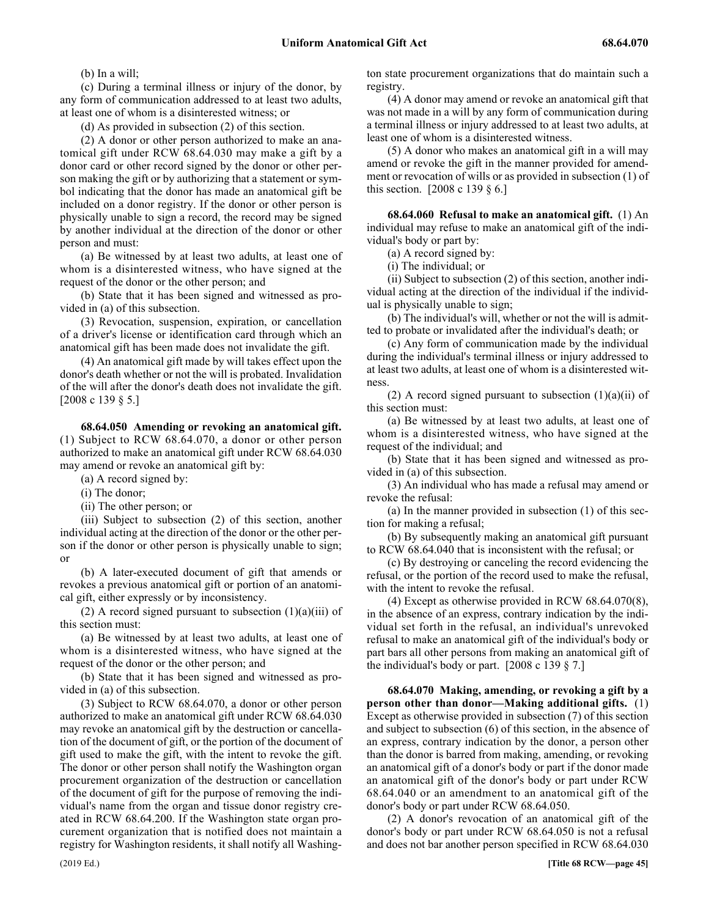(b) In a will;

(c) During a terminal illness or injury of the donor, by any form of communication addressed to at least two adults, at least one of whom is a disinterested witness; or

(d) As provided in subsection (2) of this section.

(2) A donor or other person authorized to make an anatomical gift under RCW 68.64.030 may make a gift by a donor card or other record signed by the donor or other person making the gift or by authorizing that a statement or symbol indicating that the donor has made an anatomical gift be included on a donor registry. If the donor or other person is physically unable to sign a record, the record may be signed by another individual at the direction of the donor or other person and must:

(a) Be witnessed by at least two adults, at least one of whom is a disinterested witness, who have signed at the request of the donor or the other person; and

(b) State that it has been signed and witnessed as provided in (a) of this subsection.

(3) Revocation, suspension, expiration, or cancellation of a driver's license or identification card through which an anatomical gift has been made does not invalidate the gift.

(4) An anatomical gift made by will takes effect upon the donor's death whether or not the will is probated. Invalidation of the will after the donor's death does not invalidate the gift. [2008 c 139 § 5.]

68.64.050 68.64.050 Amending or revoking an anatomical gift. **68.64.050 Amending or revoking an anatomical gift.** (1) Subject to RCW 68.64.070, a donor or other person authorized to make an anatomical gift under RCW 68.64.030 may amend or revoke an anatomical gift by:

(a) A record signed by:

(i) The donor;

(ii) The other person; or

(iii) Subject to subsection (2) of this section, another individual acting at the direction of the donor or the other person if the donor or other person is physically unable to sign; or

(b) A later-executed document of gift that amends or revokes a previous anatomical gift or portion of an anatomical gift, either expressly or by inconsistency.

(2) A record signed pursuant to subsection  $(1)(a)(iii)$  of this section must:

(a) Be witnessed by at least two adults, at least one of whom is a disinterested witness, who have signed at the request of the donor or the other person; and

(b) State that it has been signed and witnessed as provided in (a) of this subsection.

(3) Subject to RCW 68.64.070, a donor or other person authorized to make an anatomical gift under RCW 68.64.030 may revoke an anatomical gift by the destruction or cancellation of the document of gift, or the portion of the document of gift used to make the gift, with the intent to revoke the gift. The donor or other person shall notify the Washington organ procurement organization of the destruction or cancellation of the document of gift for the purpose of removing the individual's name from the organ and tissue donor registry created in RCW 68.64.200. If the Washington state organ procurement organization that is notified does not maintain a registry for Washington residents, it shall notify all Washington state procurement organizations that do maintain such a registry.

(4) A donor may amend or revoke an anatomical gift that was not made in a will by any form of communication during a terminal illness or injury addressed to at least two adults, at least one of whom is a disinterested witness.

(5) A donor who makes an anatomical gift in a will may amend or revoke the gift in the manner provided for amendment or revocation of wills or as provided in subsection (1) of this section. [2008 c 139 § 6.]

68.64.060 68.64.060 Refusal to make an anatomical gift. **68.64.060 Refusal to make an anatomical gift.** (1) An individual may refuse to make an anatomical gift of the individual's body or part by:

(a) A record signed by:

(i) The individual; or

(ii) Subject to subsection (2) of this section, another individual acting at the direction of the individual if the individual is physically unable to sign;

(b) The individual's will, whether or not the will is admitted to probate or invalidated after the individual's death; or

(c) Any form of communication made by the individual during the individual's terminal illness or injury addressed to at least two adults, at least one of whom is a disinterested witness.

(2) A record signed pursuant to subsection  $(1)(a)(ii)$  of this section must:

(a) Be witnessed by at least two adults, at least one of whom is a disinterested witness, who have signed at the request of the individual; and

(b) State that it has been signed and witnessed as provided in (a) of this subsection.

(3) An individual who has made a refusal may amend or revoke the refusal:

(a) In the manner provided in subsection (1) of this section for making a refusal;

(b) By subsequently making an anatomical gift pursuant to RCW 68.64.040 that is inconsistent with the refusal; or

(c) By destroying or canceling the record evidencing the refusal, or the portion of the record used to make the refusal, with the intent to revoke the refusal.

(4) Except as otherwise provided in RCW 68.64.070(8), in the absence of an express, contrary indication by the individual set forth in the refusal, an individual's unrevoked refusal to make an anatomical gift of the individual's body or part bars all other persons from making an anatomical gift of the individual's body or part. [2008 c 139 § 7.]

68.64.070 Making, amending, or revoking a gift by a **person other than donor—Making additional gifts.** (1) Except as otherwise provided in subsection (7) of this section and subject to subsection (6) of this section, in the absence of an express, contrary indication by the donor, a person other than the donor is barred from making, amending, or revoking an anatomical gift of a donor's body or part if the donor made an anatomical gift of the donor's body or part under RCW 68.64.040 or an amendment to an anatomical gift of the donor's body or part under RCW 68.64.050.

(2) A donor's revocation of an anatomical gift of the donor's body or part under RCW 68.64.050 is not a refusal and does not bar another person specified in RCW 68.64.030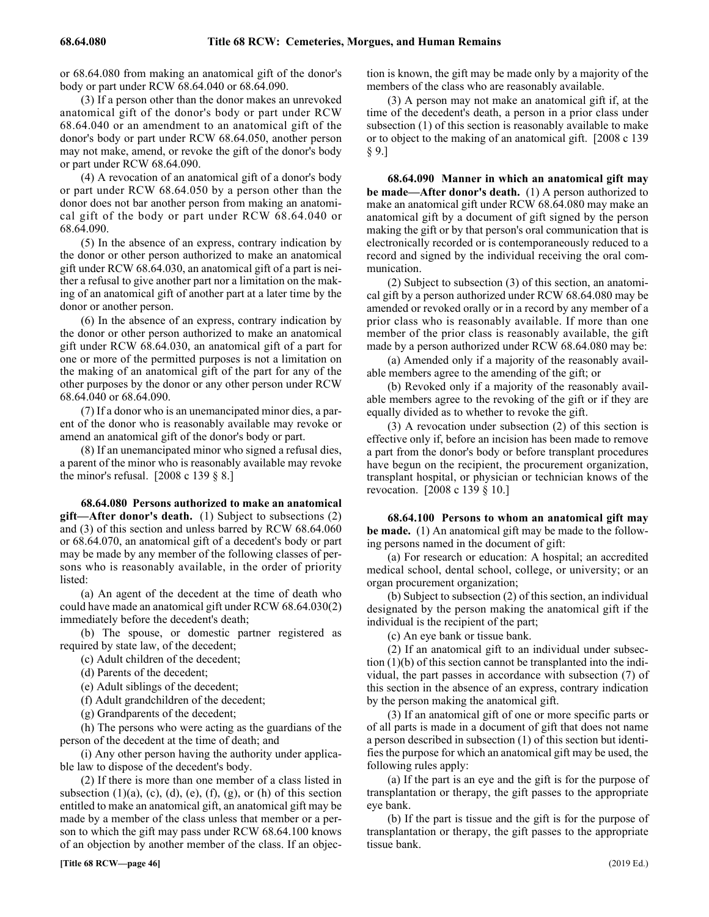or 68.64.080 from making an anatomical gift of the donor's body or part under RCW 68.64.040 or 68.64.090.

(3) If a person other than the donor makes an unrevoked anatomical gift of the donor's body or part under RCW 68.64.040 or an amendment to an anatomical gift of the donor's body or part under RCW 68.64.050, another person may not make, amend, or revoke the gift of the donor's body or part under RCW 68.64.090.

(4) A revocation of an anatomical gift of a donor's body or part under RCW 68.64.050 by a person other than the donor does not bar another person from making an anatomical gift of the body or part under RCW 68.64.040 or 68.64.090.

(5) In the absence of an express, contrary indication by the donor or other person authorized to make an anatomical gift under RCW 68.64.030, an anatomical gift of a part is neither a refusal to give another part nor a limitation on the making of an anatomical gift of another part at a later time by the donor or another person.

(6) In the absence of an express, contrary indication by the donor or other person authorized to make an anatomical gift under RCW 68.64.030, an anatomical gift of a part for one or more of the permitted purposes is not a limitation on the making of an anatomical gift of the part for any of the other purposes by the donor or any other person under RCW 68.64.040 or 68.64.090.

(7) If a donor who is an unemancipated minor dies, a parent of the donor who is reasonably available may revoke or amend an anatomical gift of the donor's body or part.

(8) If an unemancipated minor who signed a refusal dies, a parent of the minor who is reasonably available may revoke the minor's refusal. [2008 c 139 § 8.]

68.64.080 Persons authorized to make an anatomical **gift—After donor's death.** (1) Subject to subsections (2) and (3) of this section and unless barred by RCW 68.64.060 or 68.64.070, an anatomical gift of a decedent's body or part may be made by any member of the following classes of persons who is reasonably available, in the order of priority listed:

(a) An agent of the decedent at the time of death who could have made an anatomical gift under RCW 68.64.030(2) immediately before the decedent's death;

(b) The spouse, or domestic partner registered as required by state law, of the decedent;

(c) Adult children of the decedent;

(d) Parents of the decedent;

(e) Adult siblings of the decedent;

(f) Adult grandchildren of the decedent;

(g) Grandparents of the decedent;

(h) The persons who were acting as the guardians of the person of the decedent at the time of death; and

(i) Any other person having the authority under applicable law to dispose of the decedent's body.

(2) If there is more than one member of a class listed in subsection  $(1)(a)$ ,  $(c)$ ,  $(d)$ ,  $(e)$ ,  $(f)$ ,  $(g)$ , or  $(h)$  of this section entitled to make an anatomical gift, an anatomical gift may be made by a member of the class unless that member or a person to which the gift may pass under RCW 68.64.100 knows of an objection by another member of the class. If an objection is known, the gift may be made only by a majority of the members of the class who are reasonably available.

(3) A person may not make an anatomical gift if, at the time of the decedent's death, a person in a prior class under subsection (1) of this section is reasonably available to make or to object to the making of an anatomical gift. [2008 c 139 § 9.]

68.64.090 Manner in which an anatomical gift may **be made—After donor's death.** (1) A person authorized to make an anatomical gift under RCW 68.64.080 may make an anatomical gift by a document of gift signed by the person making the gift or by that person's oral communication that is electronically recorded or is contemporaneously reduced to a record and signed by the individual receiving the oral communication.

(2) Subject to subsection (3) of this section, an anatomical gift by a person authorized under RCW 68.64.080 may be amended or revoked orally or in a record by any member of a prior class who is reasonably available. If more than one member of the prior class is reasonably available, the gift made by a person authorized under RCW 68.64.080 may be:

(a) Amended only if a majority of the reasonably available members agree to the amending of the gift; or

(b) Revoked only if a majority of the reasonably available members agree to the revoking of the gift or if they are equally divided as to whether to revoke the gift.

(3) A revocation under subsection (2) of this section is effective only if, before an incision has been made to remove a part from the donor's body or before transplant procedures have begun on the recipient, the procurement organization, transplant hospital, or physician or technician knows of the revocation. [2008 c 139 § 10.]

68.64.100 Persons to whom an anatomical gift may **be made.** (1) An anatomical gift may be made to the following persons named in the document of gift:

(a) For research or education: A hospital; an accredited medical school, dental school, college, or university; or an organ procurement organization;

(b) Subject to subsection (2) of this section, an individual designated by the person making the anatomical gift if the individual is the recipient of the part;

(c) An eye bank or tissue bank.

(2) If an anatomical gift to an individual under subsection (1)(b) of this section cannot be transplanted into the individual, the part passes in accordance with subsection (7) of this section in the absence of an express, contrary indication by the person making the anatomical gift.

(3) If an anatomical gift of one or more specific parts or of all parts is made in a document of gift that does not name a person described in subsection (1) of this section but identifies the purpose for which an anatomical gift may be used, the following rules apply:

(a) If the part is an eye and the gift is for the purpose of transplantation or therapy, the gift passes to the appropriate eye bank.

(b) If the part is tissue and the gift is for the purpose of transplantation or therapy, the gift passes to the appropriate tissue bank.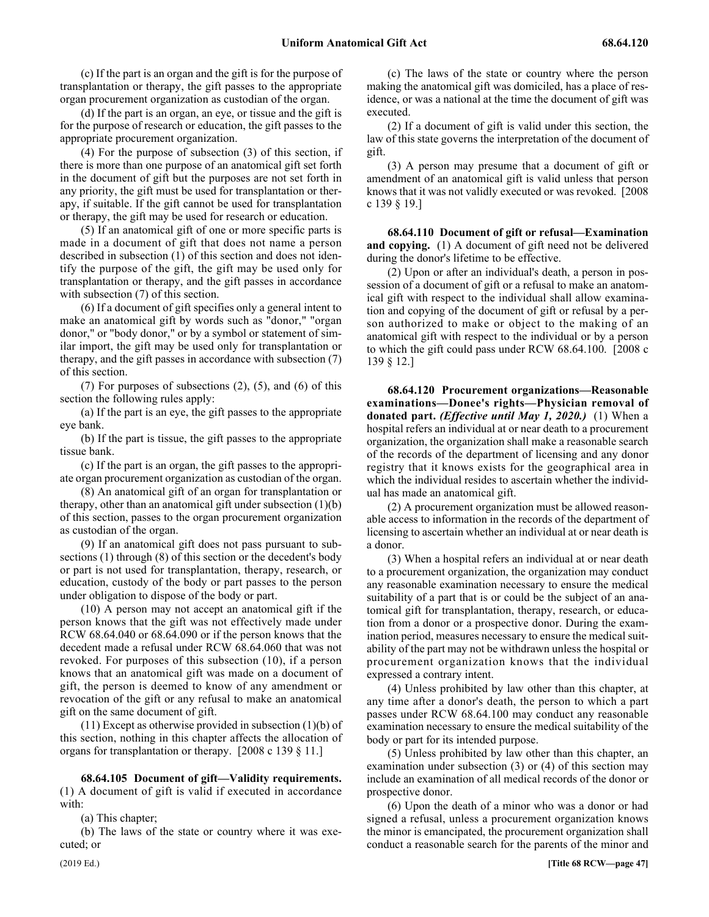(c) If the part is an organ and the gift is for the purpose of transplantation or therapy, the gift passes to the appropriate organ procurement organization as custodian of the organ.

(d) If the part is an organ, an eye, or tissue and the gift is for the purpose of research or education, the gift passes to the appropriate procurement organization.

(4) For the purpose of subsection (3) of this section, if there is more than one purpose of an anatomical gift set forth in the document of gift but the purposes are not set forth in any priority, the gift must be used for transplantation or therapy, if suitable. If the gift cannot be used for transplantation or therapy, the gift may be used for research or education.

(5) If an anatomical gift of one or more specific parts is made in a document of gift that does not name a person described in subsection (1) of this section and does not identify the purpose of the gift, the gift may be used only for transplantation or therapy, and the gift passes in accordance with subsection (7) of this section.

(6) If a document of gift specifies only a general intent to make an anatomical gift by words such as "donor," "organ donor," or "body donor," or by a symbol or statement of similar import, the gift may be used only for transplantation or therapy, and the gift passes in accordance with subsection (7) of this section.

(7) For purposes of subsections (2), (5), and (6) of this section the following rules apply:

(a) If the part is an eye, the gift passes to the appropriate eye bank.

(b) If the part is tissue, the gift passes to the appropriate tissue bank.

(c) If the part is an organ, the gift passes to the appropriate organ procurement organization as custodian of the organ.

(8) An anatomical gift of an organ for transplantation or therapy, other than an anatomical gift under subsection (1)(b) of this section, passes to the organ procurement organization as custodian of the organ.

(9) If an anatomical gift does not pass pursuant to subsections (1) through (8) of this section or the decedent's body or part is not used for transplantation, therapy, research, or education, custody of the body or part passes to the person under obligation to dispose of the body or part.

(10) A person may not accept an anatomical gift if the person knows that the gift was not effectively made under RCW 68.64.040 or 68.64.090 or if the person knows that the decedent made a refusal under RCW 68.64.060 that was not revoked. For purposes of this subsection (10), if a person knows that an anatomical gift was made on a document of gift, the person is deemed to know of any amendment or revocation of the gift or any refusal to make an anatomical gift on the same document of gift.

 $(11)$  Except as otherwise provided in subsection  $(1)(b)$  of this section, nothing in this chapter affects the allocation of organs for transplantation or therapy. [2008 c 139 § 11.]

68.64.105 68.64.105 Document of gift—Validity requirements. **68.64.105 Document of gift—Validity requirements.** (1) A document of gift is valid if executed in accordance with:

(a) This chapter;

(b) The laws of the state or country where it was executed; or

(c) The laws of the state or country where the person making the anatomical gift was domiciled, has a place of residence, or was a national at the time the document of gift was executed.

(2) If a document of gift is valid under this section, the law of this state governs the interpretation of the document of gift.

(3) A person may presume that a document of gift or amendment of an anatomical gift is valid unless that person knows that it was not validly executed or was revoked. [2008 c 139 § 19.]

68.64.110 Document of gift or refusal—Examination **and copying.** (1) A document of gift need not be delivered during the donor's lifetime to be effective.

(2) Upon or after an individual's death, a person in possession of a document of gift or a refusal to make an anatomical gift with respect to the individual shall allow examination and copying of the document of gift or refusal by a person authorized to make or object to the making of an anatomical gift with respect to the individual or by a person to which the gift could pass under RCW 68.64.100. [2008 c 139 § 12.]

68.64.120 68.64.120 Procurement organizations—Reasonable examinations—Donee's rights—Physician removal of donated part. (Effective until May 1, 2020.) **68.64.120 Procurement organizations—Reasonable examinations—Donee's rights—Physician removal of donated part.** *(Effective until May 1, 2020.)* (1) When a hospital refers an individual at or near death to a procurement organization, the organization shall make a reasonable search of the records of the department of licensing and any donor registry that it knows exists for the geographical area in which the individual resides to ascertain whether the individual has made an anatomical gift.

(2) A procurement organization must be allowed reasonable access to information in the records of the department of licensing to ascertain whether an individual at or near death is a donor.

(3) When a hospital refers an individual at or near death to a procurement organization, the organization may conduct any reasonable examination necessary to ensure the medical suitability of a part that is or could be the subject of an anatomical gift for transplantation, therapy, research, or education from a donor or a prospective donor. During the examination period, measures necessary to ensure the medical suitability of the part may not be withdrawn unless the hospital or procurement organization knows that the individual expressed a contrary intent.

(4) Unless prohibited by law other than this chapter, at any time after a donor's death, the person to which a part passes under RCW 68.64.100 may conduct any reasonable examination necessary to ensure the medical suitability of the body or part for its intended purpose.

(5) Unless prohibited by law other than this chapter, an examination under subsection (3) or (4) of this section may include an examination of all medical records of the donor or prospective donor.

(6) Upon the death of a minor who was a donor or had signed a refusal, unless a procurement organization knows the minor is emancipated, the procurement organization shall conduct a reasonable search for the parents of the minor and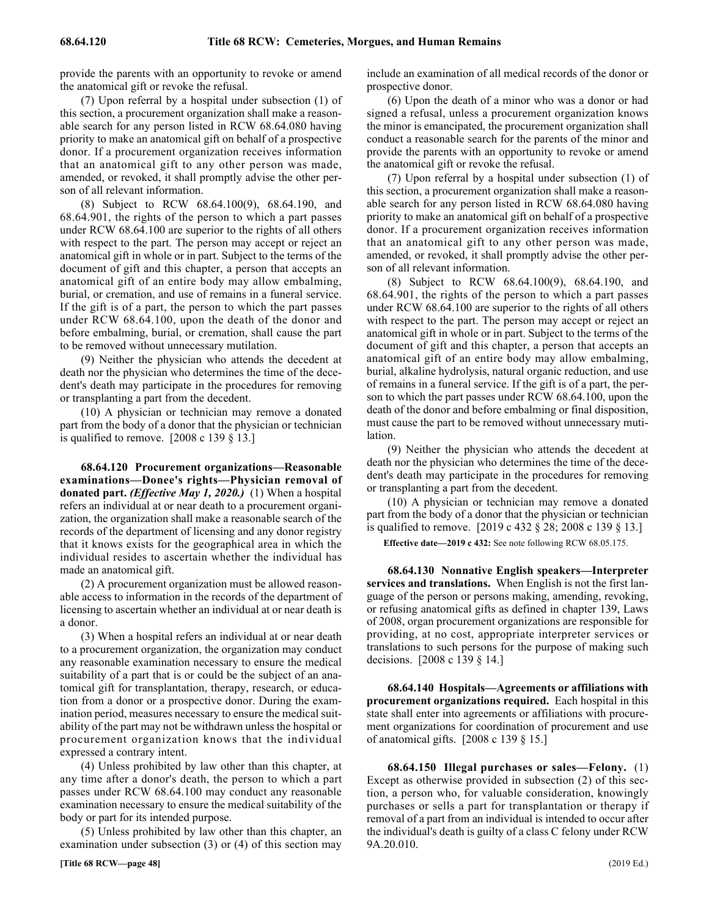provide the parents with an opportunity to revoke or amend the anatomical gift or revoke the refusal.

(7) Upon referral by a hospital under subsection (1) of this section, a procurement organization shall make a reasonable search for any person listed in RCW 68.64.080 having priority to make an anatomical gift on behalf of a prospective donor. If a procurement organization receives information that an anatomical gift to any other person was made, amended, or revoked, it shall promptly advise the other person of all relevant information.

(8) Subject to RCW 68.64.100(9), 68.64.190, and 68.64.901, the rights of the person to which a part passes under RCW 68.64.100 are superior to the rights of all others with respect to the part. The person may accept or reject an anatomical gift in whole or in part. Subject to the terms of the document of gift and this chapter, a person that accepts an anatomical gift of an entire body may allow embalming, burial, or cremation, and use of remains in a funeral service. If the gift is of a part, the person to which the part passes under RCW 68.64.100, upon the death of the donor and before embalming, burial, or cremation, shall cause the part to be removed without unnecessary mutilation.

(9) Neither the physician who attends the decedent at death nor the physician who determines the time of the decedent's death may participate in the procedures for removing or transplanting a part from the decedent.

(10) A physician or technician may remove a donated part from the body of a donor that the physician or technician is qualified to remove. [2008 c 139 § 13.]

68.64.120 68.64.120 Procurement organizations—Reasonable examinations—Donee's rights—Physician removal of donated part. (Effective May 1, 2020.) **68.64.120 Procurement organizations—Reasonable examinations—Donee's rights—Physician removal of donated part.** *(Effective May 1, 2020.)* (1) When a hospital refers an individual at or near death to a procurement organization, the organization shall make a reasonable search of the records of the department of licensing and any donor registry that it knows exists for the geographical area in which the individual resides to ascertain whether the individual has made an anatomical gift.

(2) A procurement organization must be allowed reasonable access to information in the records of the department of licensing to ascertain whether an individual at or near death is a donor.

(3) When a hospital refers an individual at or near death to a procurement organization, the organization may conduct any reasonable examination necessary to ensure the medical suitability of a part that is or could be the subject of an anatomical gift for transplantation, therapy, research, or education from a donor or a prospective donor. During the examination period, measures necessary to ensure the medical suitability of the part may not be withdrawn unless the hospital or procurement organization knows that the individual expressed a contrary intent.

(4) Unless prohibited by law other than this chapter, at any time after a donor's death, the person to which a part passes under RCW 68.64.100 may conduct any reasonable examination necessary to ensure the medical suitability of the body or part for its intended purpose.

(5) Unless prohibited by law other than this chapter, an examination under subsection (3) or (4) of this section may include an examination of all medical records of the donor or prospective donor.

(6) Upon the death of a minor who was a donor or had signed a refusal, unless a procurement organization knows the minor is emancipated, the procurement organization shall conduct a reasonable search for the parents of the minor and provide the parents with an opportunity to revoke or amend the anatomical gift or revoke the refusal.

(7) Upon referral by a hospital under subsection (1) of this section, a procurement organization shall make a reasonable search for any person listed in RCW 68.64.080 having priority to make an anatomical gift on behalf of a prospective donor. If a procurement organization receives information that an anatomical gift to any other person was made, amended, or revoked, it shall promptly advise the other person of all relevant information.

(8) Subject to RCW 68.64.100(9), 68.64.190, and 68.64.901, the rights of the person to which a part passes under RCW 68.64.100 are superior to the rights of all others with respect to the part. The person may accept or reject an anatomical gift in whole or in part. Subject to the terms of the document of gift and this chapter, a person that accepts an anatomical gift of an entire body may allow embalming, burial, alkaline hydrolysis, natural organic reduction, and use of remains in a funeral service. If the gift is of a part, the person to which the part passes under RCW 68.64.100, upon the death of the donor and before embalming or final disposition, must cause the part to be removed without unnecessary mutilation.

(9) Neither the physician who attends the decedent at death nor the physician who determines the time of the decedent's death may participate in the procedures for removing or transplanting a part from the decedent.

(10) A physician or technician may remove a donated part from the body of a donor that the physician or technician is qualified to remove. [2019 c 432 § 28; 2008 c 139 § 13.]

**Effective date—2019 c 432:** See note following RCW 68.05.175.

68.64.130 Nonnative English speakers—Interpreter **services and translations.** When English is not the first language of the person or persons making, amending, revoking, or refusing anatomical gifts as defined in chapter 139, Laws of 2008, organ procurement organizations are responsible for providing, at no cost, appropriate interpreter services or translations to such persons for the purpose of making such decisions. [2008 c 139 § 14.]

68.64.140 68.64.140 Hospitals—Agreements or affiliations with procurement organizations required. **68.64.140 Hospitals—Agreements or affiliations with procurement organizations required.** Each hospital in this state shall enter into agreements or affiliations with procurement organizations for coordination of procurement and use of anatomical gifts. [2008 c 139 § 15.]

68.64.150 68.64.150 Illegal purchases or sales—Felony. **68.64.150 Illegal purchases or sales—Felony.** (1) Except as otherwise provided in subsection (2) of this section, a person who, for valuable consideration, knowingly purchases or sells a part for transplantation or therapy if removal of a part from an individual is intended to occur after the individual's death is guilty of a class C felony under RCW 9A.20.010.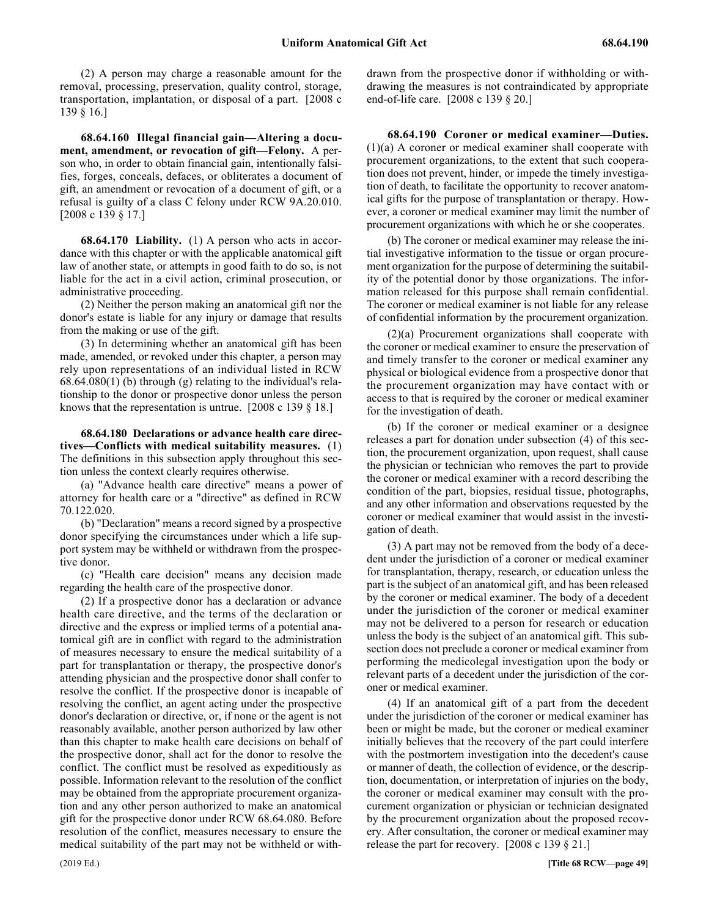(2) A person may charge a reasonable amount for the removal, processing, preservation, quality control, storage, transportation, implantation, or disposal of a part. [2008 c 139 § 16.]

68.64.160 68.64.160 Illegal financial gain—Altering a document, amendment, or revocation of gift—Felony. **68.64.160 Illegal financial gain—Altering a document, amendment, or revocation of gift—Felony.** A person who, in order to obtain financial gain, intentionally falsifies, forges, conceals, defaces, or obliterates a document of gift, an amendment or revocation of a document of gift, or a refusal is guilty of a class C felony under RCW 9A.20.010. [2008 c 139 § 17.]

68.64.170 68.64.170 Liability. **68.64.170 Liability.** (1) A person who acts in accordance with this chapter or with the applicable anatomical gift law of another state, or attempts in good faith to do so, is not liable for the act in a civil action, criminal prosecution, or administrative proceeding.

(2) Neither the person making an anatomical gift nor the donor's estate is liable for any injury or damage that results from the making or use of the gift.

(3) In determining whether an anatomical gift has been made, amended, or revoked under this chapter, a person may rely upon representations of an individual listed in RCW 68.64.080(1) (b) through (g) relating to the individual's relationship to the donor or prospective donor unless the person knows that the representation is untrue. [2008 c 139 § 18.]

68.64.180 Declarations or advance health care direc**tives—Conflicts with medical suitability measures.** (1) The definitions in this subsection apply throughout this section unless the context clearly requires otherwise.

(a) "Advance health care directive" means a power of attorney for health care or a "directive" as defined in RCW 70.122.020.

(b) "Declaration" means a record signed by a prospective donor specifying the circumstances under which a life support system may be withheld or withdrawn from the prospective donor.

(c) "Health care decision" means any decision made regarding the health care of the prospective donor.

(2) If a prospective donor has a declaration or advance health care directive, and the terms of the declaration or directive and the express or implied terms of a potential anatomical gift are in conflict with regard to the administration of measures necessary to ensure the medical suitability of a part for transplantation or therapy, the prospective donor's attending physician and the prospective donor shall confer to resolve the conflict. If the prospective donor is incapable of resolving the conflict, an agent acting under the prospective donor's declaration or directive, or, if none or the agent is not reasonably available, another person authorized by law other than this chapter to make health care decisions on behalf of the prospective donor, shall act for the donor to resolve the conflict. The conflict must be resolved as expeditiously as possible. Information relevant to the resolution of the conflict may be obtained from the appropriate procurement organization and any other person authorized to make an anatomical gift for the prospective donor under RCW 68.64.080. Before resolution of the conflict, measures necessary to ensure the medical suitability of the part may not be withheld or withdrawn from the prospective donor if withholding or withdrawing the measures is not contraindicated by appropriate end-of-life care. [2008 c 139 § 20.]

68.64.190 68.64.190 Coroner or medical examiner—Duties. **68.64.190 Coroner or medical examiner—Duties.** (1)(a) A coroner or medical examiner shall cooperate with procurement organizations, to the extent that such cooperation does not prevent, hinder, or impede the timely investigation of death, to facilitate the opportunity to recover anatomical gifts for the purpose of transplantation or therapy. However, a coroner or medical examiner may limit the number of procurement organizations with which he or she cooperates.

(b) The coroner or medical examiner may release the initial investigative information to the tissue or organ procurement organization for the purpose of determining the suitability of the potential donor by those organizations. The information released for this purpose shall remain confidential. The coroner or medical examiner is not liable for any release of confidential information by the procurement organization.

(2)(a) Procurement organizations shall cooperate with the coroner or medical examiner to ensure the preservation of and timely transfer to the coroner or medical examiner any physical or biological evidence from a prospective donor that the procurement organization may have contact with or access to that is required by the coroner or medical examiner for the investigation of death.

(b) If the coroner or medical examiner or a designee releases a part for donation under subsection (4) of this section, the procurement organization, upon request, shall cause the physician or technician who removes the part to provide the coroner or medical examiner with a record describing the condition of the part, biopsies, residual tissue, photographs, and any other information and observations requested by the coroner or medical examiner that would assist in the investigation of death.

(3) A part may not be removed from the body of a decedent under the jurisdiction of a coroner or medical examiner for transplantation, therapy, research, or education unless the part is the subject of an anatomical gift, and has been released by the coroner or medical examiner. The body of a decedent under the jurisdiction of the coroner or medical examiner may not be delivered to a person for research or education unless the body is the subject of an anatomical gift. This subsection does not preclude a coroner or medical examiner from performing the medicolegal investigation upon the body or relevant parts of a decedent under the jurisdiction of the coroner or medical examiner.

(4) If an anatomical gift of a part from the decedent under the jurisdiction of the coroner or medical examiner has been or might be made, but the coroner or medical examiner initially believes that the recovery of the part could interfere with the postmortem investigation into the decedent's cause or manner of death, the collection of evidence, or the description, documentation, or interpretation of injuries on the body, the coroner or medical examiner may consult with the procurement organization or physician or technician designated by the procurement organization about the proposed recovery. After consultation, the coroner or medical examiner may release the part for recovery. [2008 c 139 § 21.]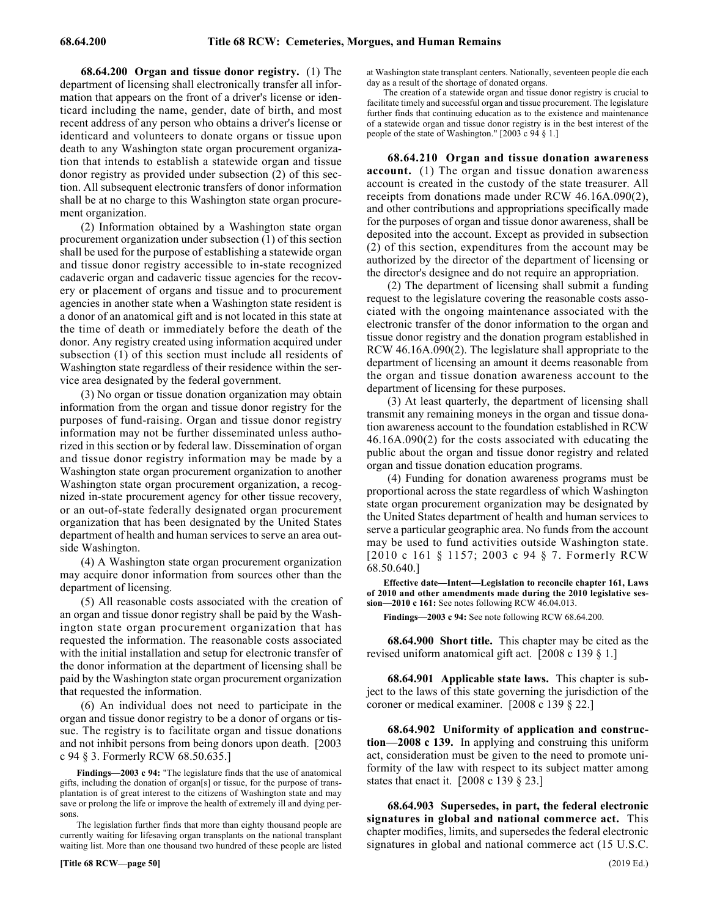68.64.200 68.64.200 Organ and tissue donor registry. **68.64.200 Organ and tissue donor registry.** (1) The department of licensing shall electronically transfer all information that appears on the front of a driver's license or identicard including the name, gender, date of birth, and most recent address of any person who obtains a driver's license or identicard and volunteers to donate organs or tissue upon death to any Washington state organ procurement organization that intends to establish a statewide organ and tissue donor registry as provided under subsection (2) of this section. All subsequent electronic transfers of donor information shall be at no charge to this Washington state organ procurement organization.

(2) Information obtained by a Washington state organ procurement organization under subsection (1) of this section shall be used for the purpose of establishing a statewide organ and tissue donor registry accessible to in-state recognized cadaveric organ and cadaveric tissue agencies for the recovery or placement of organs and tissue and to procurement agencies in another state when a Washington state resident is a donor of an anatomical gift and is not located in this state at the time of death or immediately before the death of the donor. Any registry created using information acquired under subsection (1) of this section must include all residents of Washington state regardless of their residence within the service area designated by the federal government.

(3) No organ or tissue donation organization may obtain information from the organ and tissue donor registry for the purposes of fund-raising. Organ and tissue donor registry information may not be further disseminated unless authorized in this section or by federal law. Dissemination of organ and tissue donor registry information may be made by a Washington state organ procurement organization to another Washington state organ procurement organization, a recognized in-state procurement agency for other tissue recovery, or an out-of-state federally designated organ procurement organization that has been designated by the United States department of health and human services to serve an area outside Washington.

(4) A Washington state organ procurement organization may acquire donor information from sources other than the department of licensing.

(5) All reasonable costs associated with the creation of an organ and tissue donor registry shall be paid by the Washington state organ procurement organization that has requested the information. The reasonable costs associated with the initial installation and setup for electronic transfer of the donor information at the department of licensing shall be paid by the Washington state organ procurement organization that requested the information.

(6) An individual does not need to participate in the organ and tissue donor registry to be a donor of organs or tissue. The registry is to facilitate organ and tissue donations and not inhibit persons from being donors upon death. [2003 c 94 § 3. Formerly RCW 68.50.635.]

**Findings—2003 c 94:** "The legislature finds that the use of anatomical gifts, including the donation of organ[s] or tissue, for the purpose of transplantation is of great interest to the citizens of Washington state and may save or prolong the life or improve the health of extremely ill and dying persons.

The legislation further finds that more than eighty thousand people are currently waiting for lifesaving organ transplants on the national transplant waiting list. More than one thousand two hundred of these people are listed

at Washington state transplant centers. Nationally, seventeen people die each day as a result of the shortage of donated organs.

The creation of a statewide organ and tissue donor registry is crucial to facilitate timely and successful organ and tissue procurement. The legislature further finds that continuing education as to the existence and maintenance of a statewide organ and tissue donor registry is in the best interest of the people of the state of Washington." [2003 c 94 § 1.]

68.64.210 Organ and tissue donation awareness **account.** (1) The organ and tissue donation awareness account is created in the custody of the state treasurer. All receipts from donations made under RCW 46.16A.090(2), and other contributions and appropriations specifically made for the purposes of organ and tissue donor awareness, shall be deposited into the account. Except as provided in subsection (2) of this section, expenditures from the account may be authorized by the director of the department of licensing or the director's designee and do not require an appropriation.

(2) The department of licensing shall submit a funding request to the legislature covering the reasonable costs associated with the ongoing maintenance associated with the electronic transfer of the donor information to the organ and tissue donor registry and the donation program established in RCW 46.16A.090(2). The legislature shall appropriate to the department of licensing an amount it deems reasonable from the organ and tissue donation awareness account to the department of licensing for these purposes.

(3) At least quarterly, the department of licensing shall transmit any remaining moneys in the organ and tissue donation awareness account to the foundation established in RCW 46.16A.090(2) for the costs associated with educating the public about the organ and tissue donor registry and related organ and tissue donation education programs.

(4) Funding for donation awareness programs must be proportional across the state regardless of which Washington state organ procurement organization may be designated by the United States department of health and human services to serve a particular geographic area. No funds from the account may be used to fund activities outside Washington state. [2010 c 161 § 1157; 2003 c 94 § 7. Formerly RCW 68.50.640.]

**Effective date—Intent—Legislation to reconcile chapter 161, Laws of 2010 and other amendments made during the 2010 legislative session—2010 c 161:** See notes following RCW 46.04.013.

**Findings—2003 c 94:** See note following RCW 68.64.200.

68.64.900 68.64.900 Short title. **68.64.900 Short title.** This chapter may be cited as the revised uniform anatomical gift act. [2008 c 139 § 1.]

68.64.901 68.64.901 Applicable state laws. **68.64.901 Applicable state laws.** This chapter is subject to the laws of this state governing the jurisdiction of the coroner or medical examiner. [2008 c 139 § 22.]

68.64.902 Uniformity of application and construc**tion—2008 c 139.** In applying and construing this uniform act, consideration must be given to the need to promote uniformity of the law with respect to its subject matter among states that enact it. [2008 c 139 § 23.]

68.64.903 Supersedes, in part, the federal electronic **signatures in global and national commerce act.** This chapter modifies, limits, and supersedes the federal electronic signatures in global and national commerce act (15 U.S.C.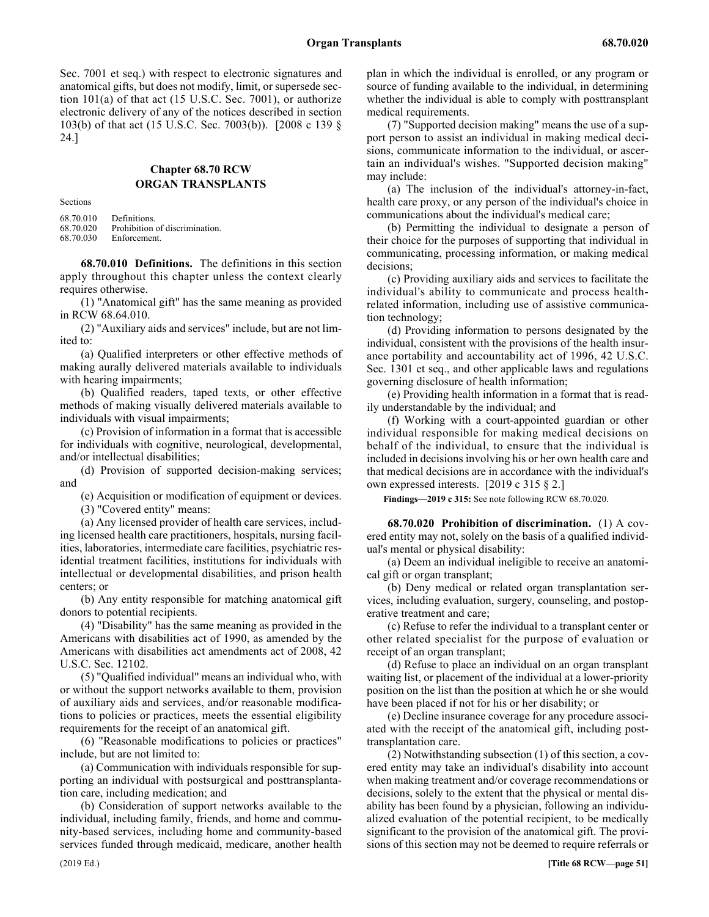Sec. 7001 et seq.) with respect to electronic signatures and anatomical gifts, but does not modify, limit, or supersede section 101(a) of that act (15 U.S.C. Sec. 7001), or authorize electronic delivery of any of the notices described in section 103(b) of that act (15 U.S.C. Sec. 7003(b)). [2008 c 139 § 24.]

# Chapter 68.70 **Chapter 68.70 RCW ORGAN TRANSPLANTS**

Sections

| 68.70.010 | Definitions.                   |
|-----------|--------------------------------|
| 68.70.020 | Prohibition of discrimination. |
| 68.70.030 | Enforcement.                   |

68.70.010 68.70.010 Definitions. **68.70.010 Definitions.** The definitions in this section apply throughout this chapter unless the context clearly requires otherwise.

(1) "Anatomical gift" has the same meaning as provided in RCW 68.64.010.

(2) "Auxiliary aids and services" include, but are not limited to:

(a) Qualified interpreters or other effective methods of making aurally delivered materials available to individuals with hearing impairments;

(b) Qualified readers, taped texts, or other effective methods of making visually delivered materials available to individuals with visual impairments;

(c) Provision of information in a format that is accessible for individuals with cognitive, neurological, developmental, and/or intellectual disabilities;

(d) Provision of supported decision-making services; and

(e) Acquisition or modification of equipment or devices.

(3) "Covered entity" means:

(a) Any licensed provider of health care services, including licensed health care practitioners, hospitals, nursing facilities, laboratories, intermediate care facilities, psychiatric residential treatment facilities, institutions for individuals with intellectual or developmental disabilities, and prison health centers; or

(b) Any entity responsible for matching anatomical gift donors to potential recipients.

(4) "Disability" has the same meaning as provided in the Americans with disabilities act of 1990, as amended by the Americans with disabilities act amendments act of 2008, 42 U.S.C. Sec. 12102.

(5) "Qualified individual" means an individual who, with or without the support networks available to them, provision of auxiliary aids and services, and/or reasonable modifications to policies or practices, meets the essential eligibility requirements for the receipt of an anatomical gift.

(6) "Reasonable modifications to policies or practices" include, but are not limited to:

(a) Communication with individuals responsible for supporting an individual with postsurgical and posttransplantation care, including medication; and

(b) Consideration of support networks available to the individual, including family, friends, and home and community-based services, including home and community-based services funded through medicaid, medicare, another health plan in which the individual is enrolled, or any program or source of funding available to the individual, in determining whether the individual is able to comply with posttransplant medical requirements.

(7) "Supported decision making" means the use of a support person to assist an individual in making medical decisions, communicate information to the individual, or ascertain an individual's wishes. "Supported decision making" may include:

(a) The inclusion of the individual's attorney-in-fact, health care proxy, or any person of the individual's choice in communications about the individual's medical care;

(b) Permitting the individual to designate a person of their choice for the purposes of supporting that individual in communicating, processing information, or making medical decisions;

(c) Providing auxiliary aids and services to facilitate the individual's ability to communicate and process healthrelated information, including use of assistive communication technology;

(d) Providing information to persons designated by the individual, consistent with the provisions of the health insurance portability and accountability act of 1996, 42 U.S.C. Sec. 1301 et seq., and other applicable laws and regulations governing disclosure of health information;

(e) Providing health information in a format that is readily understandable by the individual; and

(f) Working with a court-appointed guardian or other individual responsible for making medical decisions on behalf of the individual, to ensure that the individual is included in decisions involving his or her own health care and that medical decisions are in accordance with the individual's own expressed interests. [2019 c 315 § 2.]

**Findings—2019 c 315:** See note following RCW 68.70.020.

68.70.020 68.70.020 Prohibition of discrimination. **68.70.020 Prohibition of discrimination.** (1) A covered entity may not, solely on the basis of a qualified individual's mental or physical disability:

(a) Deem an individual ineligible to receive an anatomical gift or organ transplant;

(b) Deny medical or related organ transplantation services, including evaluation, surgery, counseling, and postoperative treatment and care;

(c) Refuse to refer the individual to a transplant center or other related specialist for the purpose of evaluation or receipt of an organ transplant;

(d) Refuse to place an individual on an organ transplant waiting list, or placement of the individual at a lower-priority position on the list than the position at which he or she would have been placed if not for his or her disability; or

(e) Decline insurance coverage for any procedure associated with the receipt of the anatomical gift, including posttransplantation care.

(2) Notwithstanding subsection (1) of this section, a covered entity may take an individual's disability into account when making treatment and/or coverage recommendations or decisions, solely to the extent that the physical or mental disability has been found by a physician, following an individualized evaluation of the potential recipient, to be medically significant to the provision of the anatomical gift. The provisions of this section may not be deemed to require referrals or